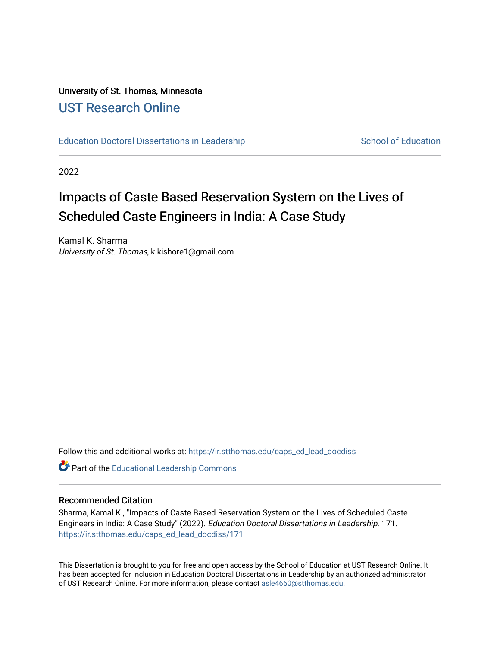# University of St. Thomas, Minnesota [UST Research Online](https://ir.stthomas.edu/)

[Education Doctoral Dissertations in Leadership](https://ir.stthomas.edu/caps_ed_lead_docdiss) School of Education

2022

# Impacts of Caste Based Reservation System on the Lives of Scheduled Caste Engineers in India: A Case Study

Kamal K. Sharma University of St. Thomas, k.kishore1@gmail.com

Follow this and additional works at: [https://ir.stthomas.edu/caps\\_ed\\_lead\\_docdiss](https://ir.stthomas.edu/caps_ed_lead_docdiss?utm_source=ir.stthomas.edu%2Fcaps_ed_lead_docdiss%2F171&utm_medium=PDF&utm_campaign=PDFCoverPages)

Part of the [Educational Leadership Commons](https://network.bepress.com/hgg/discipline/1230?utm_source=ir.stthomas.edu%2Fcaps_ed_lead_docdiss%2F171&utm_medium=PDF&utm_campaign=PDFCoverPages) 

#### Recommended Citation

Sharma, Kamal K., "Impacts of Caste Based Reservation System on the Lives of Scheduled Caste Engineers in India: A Case Study" (2022). Education Doctoral Dissertations in Leadership. 171. [https://ir.stthomas.edu/caps\\_ed\\_lead\\_docdiss/171](https://ir.stthomas.edu/caps_ed_lead_docdiss/171?utm_source=ir.stthomas.edu%2Fcaps_ed_lead_docdiss%2F171&utm_medium=PDF&utm_campaign=PDFCoverPages)

This Dissertation is brought to you for free and open access by the School of Education at UST Research Online. It has been accepted for inclusion in Education Doctoral Dissertations in Leadership by an authorized administrator of UST Research Online. For more information, please contact [asle4660@stthomas.edu](mailto:asle4660@stthomas.edu).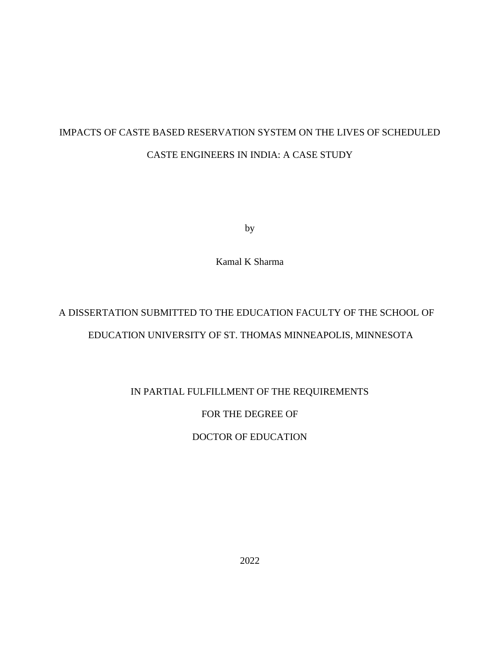# IMPACTS OF CASTE BASED RESERVATION SYSTEM ON THE LIVES OF SCHEDULED CASTE ENGINEERS IN INDIA: A CASE STUDY

by

Kamal K Sharma

# A DISSERTATION SUBMITTED TO THE EDUCATION FACULTY OF THE SCHOOL OF EDUCATION UNIVERSITY OF ST. THOMAS MINNEAPOLIS, MINNESOTA

## IN PARTIAL FULFILLMENT OF THE REQUIREMENTS

## FOR THE DEGREE OF

## DOCTOR OF EDUCATION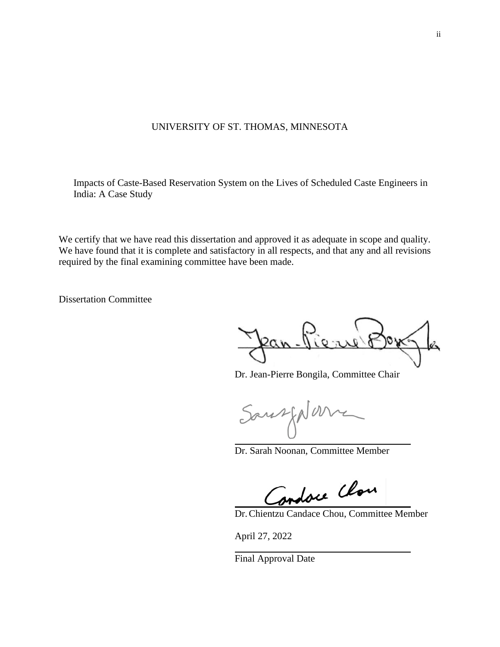### UNIVERSITY OF ST. THOMAS, MINNESOTA

Impacts of Caste-Based Reservation System on the Lives of Scheduled Caste Engineers in India: A Case Study

We certify that we have read this dissertation and approved it as adequate in scope and quality. We have found that it is complete and satisfactory in all respects, and that any and all revisions required by the final examining committee have been made.

Dissertation Committee

Ran

Dr. Jean-Pierre Bongila, Committee Chair

Sausfold

Dr. Sarah Noonan, Committee Member

Condore Close

Dr.Chientzu Candace Chou, Committee Member

April 27, 2022

Final Approval Date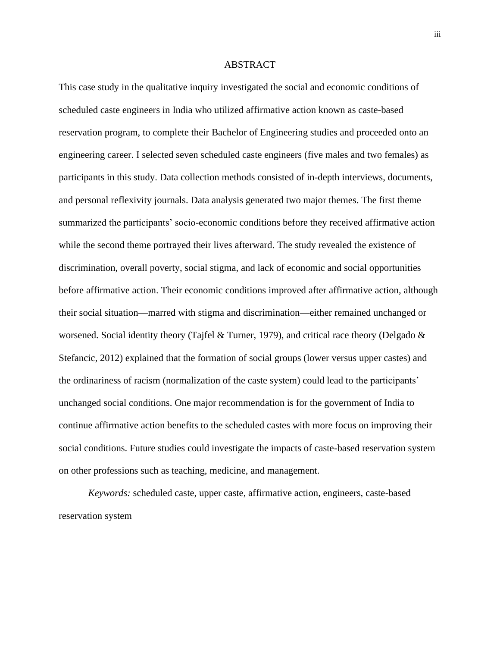#### ABSTRACT

This case study in the qualitative inquiry investigated the social and economic conditions of scheduled caste engineers in India who utilized affirmative action known as caste-based reservation program, to complete their Bachelor of Engineering studies and proceeded onto an engineering career. I selected seven scheduled caste engineers (five males and two females) as participants in this study. Data collection methods consisted of in-depth interviews, documents, and personal reflexivity journals. Data analysis generated two major themes. The first theme summarized the participants' socio-economic conditions before they received affirmative action while the second theme portrayed their lives afterward. The study revealed the existence of discrimination, overall poverty, social stigma, and lack of economic and social opportunities before affirmative action. Their economic conditions improved after affirmative action, although their social situation—marred with stigma and discrimination—either remained unchanged or worsened. Social identity theory (Tajfel & Turner, 1979), and critical race theory (Delgado  $\&$ Stefancic, 2012) explained that the formation of social groups (lower versus upper castes) and the ordinariness of racism (normalization of the caste system) could lead to the participants' unchanged social conditions. One major recommendation is for the government of India to continue affirmative action benefits to the scheduled castes with more focus on improving their social conditions. Future studies could investigate the impacts of caste-based reservation system on other professions such as teaching, medicine, and management.

*Keywords:* scheduled caste, upper caste, affirmative action, engineers, caste-based reservation system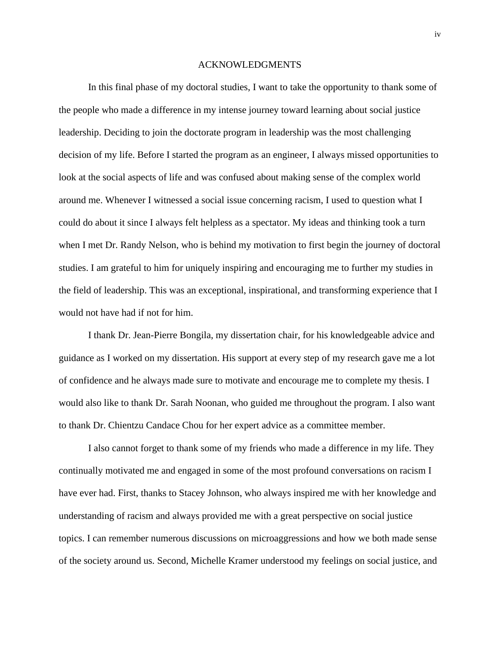#### ACKNOWLEDGMENTS

In this final phase of my doctoral studies, I want to take the opportunity to thank some of the people who made a difference in my intense journey toward learning about social justice leadership. Deciding to join the doctorate program in leadership was the most challenging decision of my life. Before I started the program as an engineer, I always missed opportunities to look at the social aspects of life and was confused about making sense of the complex world around me. Whenever I witnessed a social issue concerning racism, I used to question what I could do about it since I always felt helpless as a spectator. My ideas and thinking took a turn when I met Dr. Randy Nelson, who is behind my motivation to first begin the journey of doctoral studies. I am grateful to him for uniquely inspiring and encouraging me to further my studies in the field of leadership. This was an exceptional, inspirational, and transforming experience that I would not have had if not for him.

I thank Dr. Jean-Pierre Bongila, my dissertation chair, for his knowledgeable advice and guidance as I worked on my dissertation. His support at every step of my research gave me a lot of confidence and he always made sure to motivate and encourage me to complete my thesis. I would also like to thank Dr. Sarah Noonan, who guided me throughout the program. I also want to thank Dr. Chientzu Candace Chou for her expert advice as a committee member.

I also cannot forget to thank some of my friends who made a difference in my life. They continually motivated me and engaged in some of the most profound conversations on racism I have ever had. First, thanks to Stacey Johnson, who always inspired me with her knowledge and understanding of racism and always provided me with a great perspective on social justice topics. I can remember numerous discussions on microaggressions and how we both made sense of the society around us. Second, Michelle Kramer understood my feelings on social justice, and

iv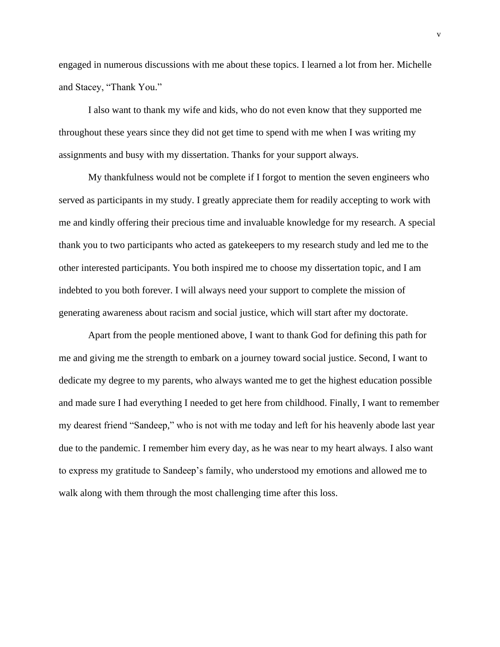engaged in numerous discussions with me about these topics. I learned a lot from her. Michelle and Stacey, "Thank You."

I also want to thank my wife and kids, who do not even know that they supported me throughout these years since they did not get time to spend with me when I was writing my assignments and busy with my dissertation. Thanks for your support always.

My thankfulness would not be complete if I forgot to mention the seven engineers who served as participants in my study. I greatly appreciate them for readily accepting to work with me and kindly offering their precious time and invaluable knowledge for my research. A special thank you to two participants who acted as gatekeepers to my research study and led me to the other interested participants. You both inspired me to choose my dissertation topic, and I am indebted to you both forever. I will always need your support to complete the mission of generating awareness about racism and social justice, which will start after my doctorate.

Apart from the people mentioned above, I want to thank God for defining this path for me and giving me the strength to embark on a journey toward social justice. Second, I want to dedicate my degree to my parents, who always wanted me to get the highest education possible and made sure I had everything I needed to get here from childhood. Finally, I want to remember my dearest friend "Sandeep," who is not with me today and left for his heavenly abode last year due to the pandemic. I remember him every day, as he was near to my heart always. I also want to express my gratitude to Sandeep's family, who understood my emotions and allowed me to walk along with them through the most challenging time after this loss.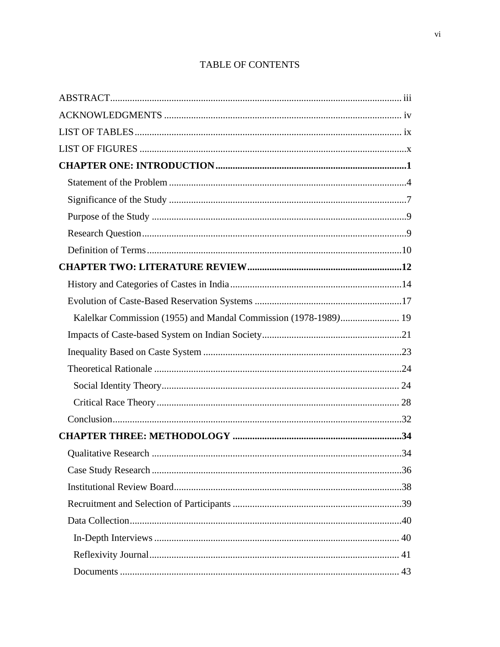| Kalelkar Commission (1955) and Mandal Commission (1978-1989) 19 |  |
|-----------------------------------------------------------------|--|
|                                                                 |  |
|                                                                 |  |
|                                                                 |  |
|                                                                 |  |
|                                                                 |  |
|                                                                 |  |
|                                                                 |  |
|                                                                 |  |
|                                                                 |  |
|                                                                 |  |
|                                                                 |  |
|                                                                 |  |
|                                                                 |  |
|                                                                 |  |
|                                                                 |  |

# TABLE OF CONTENTS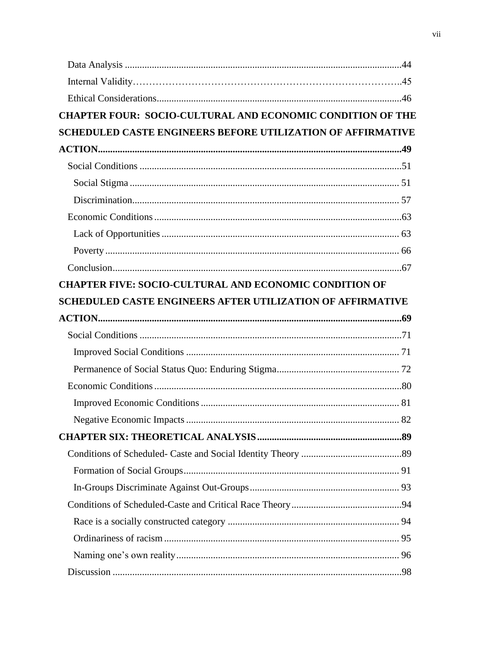| <b>CHAPTER FOUR: SOCIO-CULTURAL AND ECONOMIC CONDITION OF THE</b>  |  |
|--------------------------------------------------------------------|--|
| <b>SCHEDULED CASTE ENGINEERS BEFORE UTILIZATION OF AFFIRMATIVE</b> |  |
|                                                                    |  |
|                                                                    |  |
|                                                                    |  |
|                                                                    |  |
|                                                                    |  |
|                                                                    |  |
|                                                                    |  |
|                                                                    |  |
| <b>CHAPTER FIVE: SOCIO-CULTURAL AND ECONOMIC CONDITION OF</b>      |  |
| <b>SCHEDULED CASTE ENGINEERS AFTER UTILIZATION OF AFFIRMATIVE</b>  |  |
|                                                                    |  |
|                                                                    |  |
|                                                                    |  |
|                                                                    |  |
|                                                                    |  |
|                                                                    |  |
|                                                                    |  |
|                                                                    |  |
|                                                                    |  |
|                                                                    |  |
|                                                                    |  |
|                                                                    |  |
|                                                                    |  |
|                                                                    |  |
|                                                                    |  |
|                                                                    |  |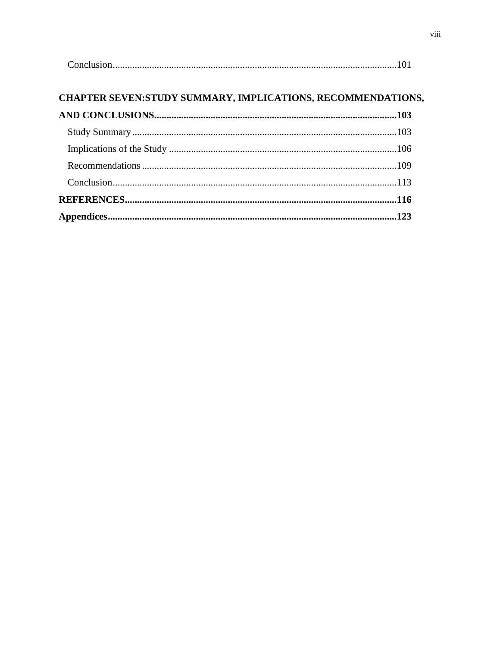|--|

# CHAPTER SEVEN:STUDY SUMMARY, IMPLICATIONS, RECOMMENDATIONS,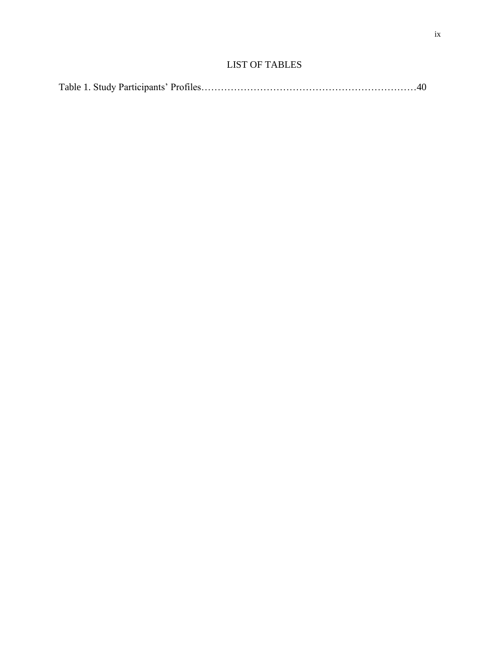## LIST OF TABLES

|--|--|--|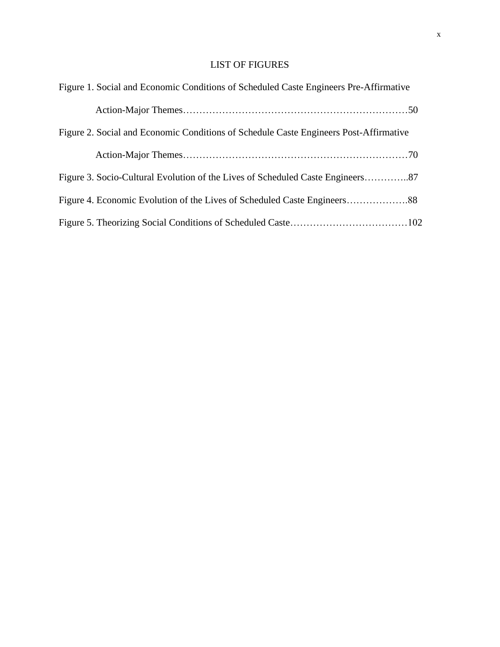## LIST OF FIGURES

| Figure 1. Social and Economic Conditions of Scheduled Caste Engineers Pre-Affirmative |
|---------------------------------------------------------------------------------------|
|                                                                                       |
| Figure 2. Social and Economic Conditions of Schedule Caste Engineers Post-Affirmative |
|                                                                                       |
| Figure 3. Socio-Cultural Evolution of the Lives of Scheduled Caste Engineers87        |
|                                                                                       |
|                                                                                       |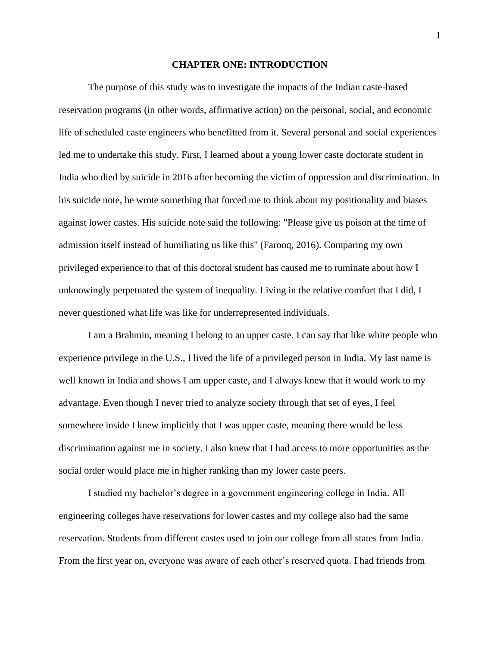#### **CHAPTER ONE: INTRODUCTION**

The purpose of this study was to investigate the impacts of the Indian caste-based reservation programs (in other words, affirmative action) on the personal, social, and economic life of scheduled caste engineers who benefitted from it. Several personal and social experiences led me to undertake this study. First, I learned about a young lower caste doctorate student in India who died by suicide in 2016 after becoming the victim of oppression and discrimination. In his suicide note, he wrote something that forced me to think about my positionality and biases against lower castes. His suicide note said the following: "Please give us poison at the time of admission itself instead of humiliating us like this" (Farooq, 2016). Comparing my own privileged experience to that of this doctoral student has caused me to ruminate about how I unknowingly perpetuated the system of inequality. Living in the relative comfort that I did, I never questioned what life was like for underrepresented individuals.

I am a Brahmin, meaning I belong to an upper caste. I can say that like white people who experience privilege in the U.S., I lived the life of a privileged person in India. My last name is well known in India and shows I am upper caste, and I always knew that it would work to my advantage. Even though I never tried to analyze society through that set of eyes, I feel somewhere inside I knew implicitly that I was upper caste, meaning there would be less discrimination against me in society. I also knew that I had access to more opportunities as the social order would place me in higher ranking than my lower caste peers.

I studied my bachelor's degree in a government engineering college in India. All engineering colleges have reservations for lower castes and my college also had the same reservation. Students from different castes used to join our college from all states from India. From the first year on, everyone was aware of each other's reserved quota. I had friends from 1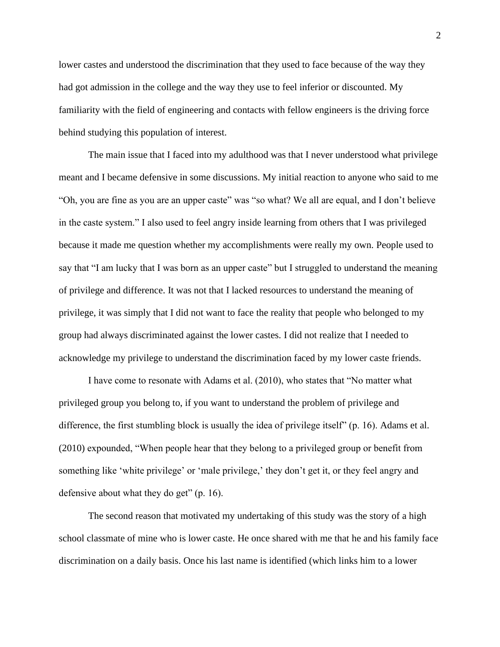lower castes and understood the discrimination that they used to face because of the way they had got admission in the college and the way they use to feel inferior or discounted. My familiarity with the field of engineering and contacts with fellow engineers is the driving force behind studying this population of interest.

The main issue that I faced into my adulthood was that I never understood what privilege meant and I became defensive in some discussions. My initial reaction to anyone who said to me "Oh, you are fine as you are an upper caste" was "so what? We all are equal, and I don't believe in the caste system." I also used to feel angry inside learning from others that I was privileged because it made me question whether my accomplishments were really my own. People used to say that "I am lucky that I was born as an upper caste" but I struggled to understand the meaning of privilege and difference. It was not that I lacked resources to understand the meaning of privilege, it was simply that I did not want to face the reality that people who belonged to my group had always discriminated against the lower castes. I did not realize that I needed to acknowledge my privilege to understand the discrimination faced by my lower caste friends.

I have come to resonate with Adams et al. (2010), who states that "No matter what privileged group you belong to, if you want to understand the problem of privilege and difference, the first stumbling block is usually the idea of privilege itself" (p. 16). Adams et al. (2010) expounded, "When people hear that they belong to a privileged group or benefit from something like 'white privilege' or 'male privilege,' they don't get it, or they feel angry and defensive about what they do get" (p. 16).

The second reason that motivated my undertaking of this study was the story of a high school classmate of mine who is lower caste. He once shared with me that he and his family face discrimination on a daily basis. Once his last name is identified (which links him to a lower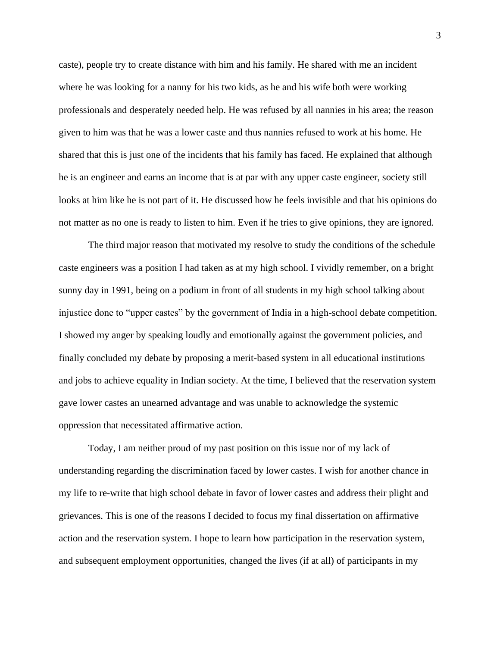caste), people try to create distance with him and his family. He shared with me an incident where he was looking for a nanny for his two kids, as he and his wife both were working professionals and desperately needed help. He was refused by all nannies in his area; the reason given to him was that he was a lower caste and thus nannies refused to work at his home. He shared that this is just one of the incidents that his family has faced. He explained that although he is an engineer and earns an income that is at par with any upper caste engineer, society still looks at him like he is not part of it. He discussed how he feels invisible and that his opinions do not matter as no one is ready to listen to him. Even if he tries to give opinions, they are ignored.

The third major reason that motivated my resolve to study the conditions of the schedule caste engineers was a position I had taken as at my high school. I vividly remember, on a bright sunny day in 1991, being on a podium in front of all students in my high school talking about injustice done to "upper castes" by the government of India in a high-school debate competition. I showed my anger by speaking loudly and emotionally against the government policies, and finally concluded my debate by proposing a merit-based system in all educational institutions and jobs to achieve equality in Indian society. At the time, I believed that the reservation system gave lower castes an unearned advantage and was unable to acknowledge the systemic oppression that necessitated affirmative action.

Today, I am neither proud of my past position on this issue nor of my lack of understanding regarding the discrimination faced by lower castes. I wish for another chance in my life to re-write that high school debate in favor of lower castes and address their plight and grievances. This is one of the reasons I decided to focus my final dissertation on affirmative action and the reservation system. I hope to learn how participation in the reservation system, and subsequent employment opportunities, changed the lives (if at all) of participants in my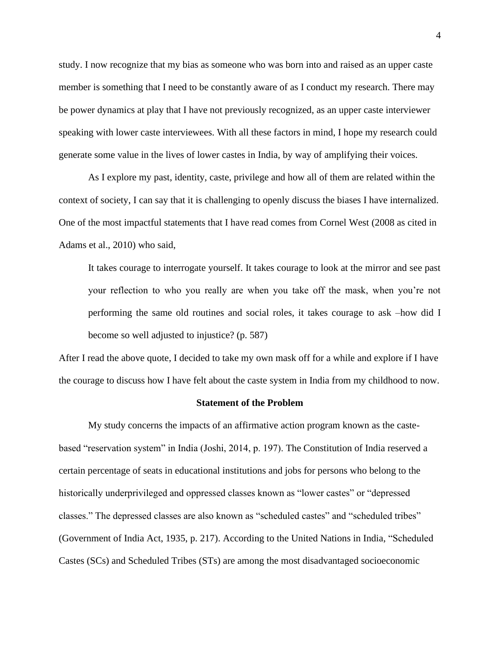study. I now recognize that my bias as someone who was born into and raised as an upper caste member is something that I need to be constantly aware of as I conduct my research. There may be power dynamics at play that I have not previously recognized, as an upper caste interviewer speaking with lower caste interviewees. With all these factors in mind, I hope my research could generate some value in the lives of lower castes in India, by way of amplifying their voices.

As I explore my past, identity, caste, privilege and how all of them are related within the context of society, I can say that it is challenging to openly discuss the biases I have internalized. One of the most impactful statements that I have read comes from Cornel West (2008 as cited in Adams et al., 2010) who said,

It takes courage to interrogate yourself. It takes courage to look at the mirror and see past your reflection to who you really are when you take off the mask, when you're not performing the same old routines and social roles, it takes courage to ask –how did I become so well adjusted to injustice? (p. 587)

After I read the above quote, I decided to take my own mask off for a while and explore if I have the courage to discuss how I have felt about the caste system in India from my childhood to now.

#### **Statement of the Problem**

My study concerns the impacts of an affirmative action program known as the castebased "reservation system" in India (Joshi, 2014, p. 197). The Constitution of India reserved a certain percentage of seats in educational institutions and jobs for persons who belong to the historically underprivileged and oppressed classes known as "lower castes" or "depressed classes." The depressed classes are also known as "scheduled castes" and "scheduled tribes" (Government of India Act, 1935, p. 217). According to the United Nations in India, "Scheduled Castes (SCs) and Scheduled Tribes (STs) are among the most disadvantaged socioeconomic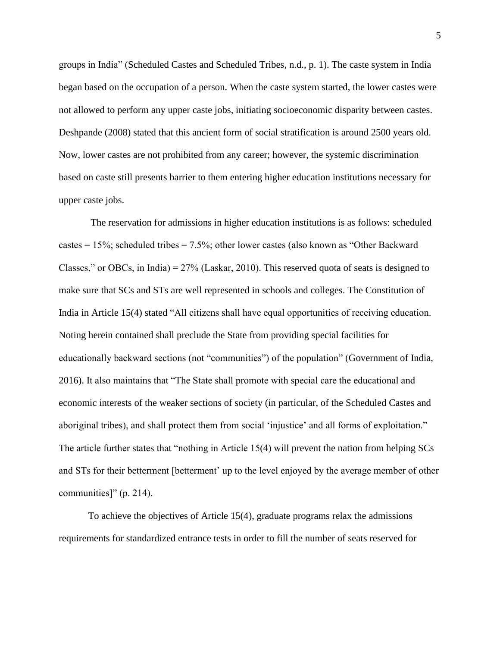groups in India" (Scheduled Castes and Scheduled Tribes, n.d., p. 1). The caste system in India began based on the occupation of a person. When the caste system started, the lower castes were not allowed to perform any upper caste jobs, initiating socioeconomic disparity between castes. Deshpande (2008) stated that this ancient form of social stratification is around 2500 years old. Now, lower castes are not prohibited from any career; however, the systemic discrimination based on caste still presents barrier to them entering higher education institutions necessary for upper caste jobs.

The reservation for admissions in higher education institutions is as follows: scheduled castes = 15%; scheduled tribes = 7.5%; other lower castes (also known as "Other Backward Classes," or OBCs, in India) = 27% (Laskar, 2010). This reserved quota of seats is designed to make sure that SCs and STs are well represented in schools and colleges. The Constitution of India in Article 15(4) stated "All citizens shall have equal opportunities of receiving education. Noting herein contained shall preclude the State from providing special facilities for educationally backward sections (not "communities") of the population" (Government of India, 2016). It also maintains that "The State shall promote with special care the educational and economic interests of the weaker sections of society (in particular, of the Scheduled Castes and aboriginal tribes), and shall protect them from social 'injustice' and all forms of exploitation." The article further states that "nothing in Article 15(4) will prevent the nation from helping SCs and STs for their betterment [betterment' up to the level enjoyed by the average member of other communities]" (p. 214).

To achieve the objectives of Article 15(4), graduate programs relax the admissions requirements for standardized entrance tests in order to fill the number of seats reserved for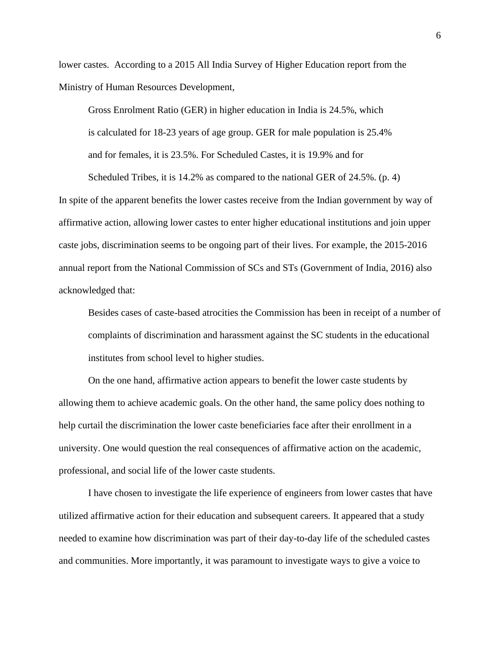lower castes. According to a 2015 All India Survey of Higher Education report from the Ministry of Human Resources Development,

Gross Enrolment Ratio (GER) in higher education in India is 24.5%, which is calculated for 18-23 years of age group. GER for male population is 25.4% and for females, it is 23.5%. For Scheduled Castes, it is 19.9% and for

Scheduled Tribes, it is 14.2% as compared to the national GER of 24.5%. (p. 4) In spite of the apparent benefits the lower castes receive from the Indian government by way of affirmative action, allowing lower castes to enter higher educational institutions and join upper caste jobs, discrimination seems to be ongoing part of their lives. For example, the 2015-2016 annual report from the National Commission of SCs and STs (Government of India, 2016) also acknowledged that:

Besides cases of caste-based atrocities the Commission has been in receipt of a number of complaints of discrimination and harassment against the SC students in the educational institutes from school level to higher studies.

On the one hand, affirmative action appears to benefit the lower caste students by allowing them to achieve academic goals. On the other hand, the same policy does nothing to help curtail the discrimination the lower caste beneficiaries face after their enrollment in a university. One would question the real consequences of affirmative action on the academic, professional, and social life of the lower caste students.

I have chosen to investigate the life experience of engineers from lower castes that have utilized affirmative action for their education and subsequent careers. It appeared that a study needed to examine how discrimination was part of their day-to-day life of the scheduled castes and communities. More importantly, it was paramount to investigate ways to give a voice to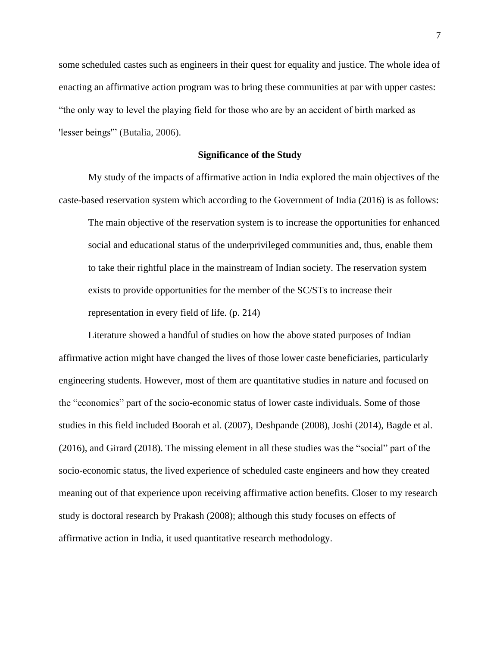some scheduled castes such as engineers in their quest for equality and justice. The whole idea of enacting an affirmative action program was to bring these communities at par with upper castes: "the only way to level the playing field for those who are by an accident of birth marked as 'lesser beings'" (Butalia, 2006).

#### **Significance of the Study**

My study of the impacts of affirmative action in India explored the main objectives of the caste-based reservation system which according to the Government of India (2016) is as follows:

The main objective of the reservation system is to increase the opportunities for enhanced social and educational status of the underprivileged communities and, thus, enable them to take their rightful place in the mainstream of Indian society. The reservation system exists to provide opportunities for the member of the SC/STs to increase their representation in every field of life. (p. 214)

Literature showed a handful of studies on how the above stated purposes of Indian affirmative action might have changed the lives of those lower caste beneficiaries, particularly engineering students. However, most of them are quantitative studies in nature and focused on the "economics" part of the socio-economic status of lower caste individuals. Some of those studies in this field included Boorah et al. (2007), Deshpande (2008), Joshi (2014), Bagde et al. (2016), and Girard (2018). The missing element in all these studies was the "social" part of the socio-economic status, the lived experience of scheduled caste engineers and how they created meaning out of that experience upon receiving affirmative action benefits. Closer to my research study is doctoral research by Prakash (2008); although this study focuses on effects of affirmative action in India, it used quantitative research methodology.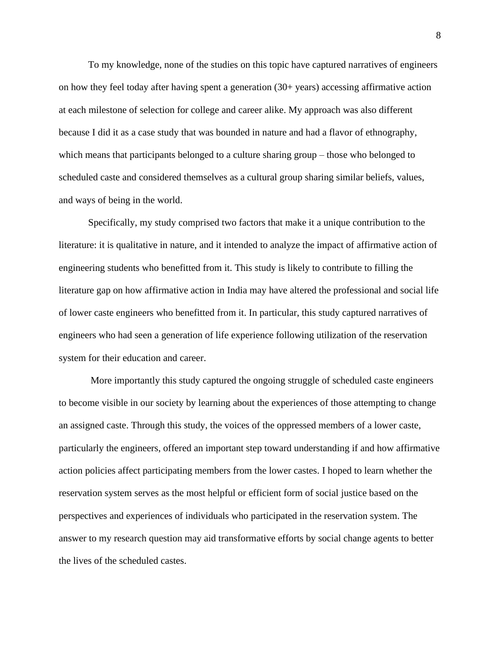To my knowledge, none of the studies on this topic have captured narratives of engineers on how they feel today after having spent a generation (30+ years) accessing affirmative action at each milestone of selection for college and career alike. My approach was also different because I did it as a case study that was bounded in nature and had a flavor of ethnography, which means that participants belonged to a culture sharing group – those who belonged to scheduled caste and considered themselves as a cultural group sharing similar beliefs, values, and ways of being in the world.

Specifically, my study comprised two factors that make it a unique contribution to the literature: it is qualitative in nature, and it intended to analyze the impact of affirmative action of engineering students who benefitted from it. This study is likely to contribute to filling the literature gap on how affirmative action in India may have altered the professional and social life of lower caste engineers who benefitted from it. In particular, this study captured narratives of engineers who had seen a generation of life experience following utilization of the reservation system for their education and career.

More importantly this study captured the ongoing struggle of scheduled caste engineers to become visible in our society by learning about the experiences of those attempting to change an assigned caste. Through this study, the voices of the oppressed members of a lower caste, particularly the engineers, offered an important step toward understanding if and how affirmative action policies affect participating members from the lower castes. I hoped to learn whether the reservation system serves as the most helpful or efficient form of social justice based on the perspectives and experiences of individuals who participated in the reservation system. The answer to my research question may aid transformative efforts by social change agents to better the lives of the scheduled castes.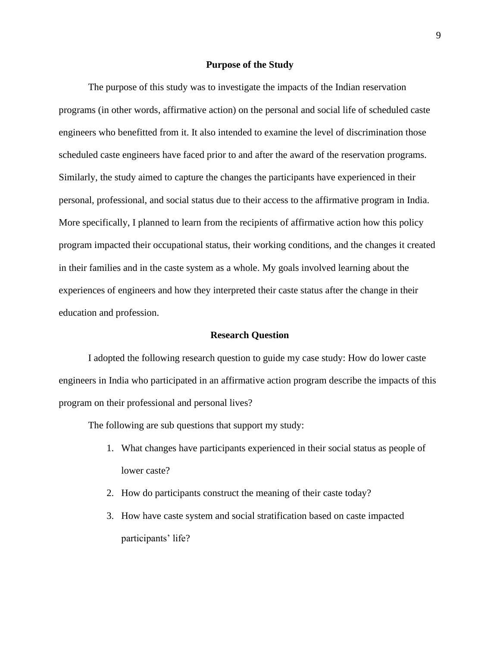#### **Purpose of the Study**

The purpose of this study was to investigate the impacts of the Indian reservation programs (in other words, affirmative action) on the personal and social life of scheduled caste engineers who benefitted from it. It also intended to examine the level of discrimination those scheduled caste engineers have faced prior to and after the award of the reservation programs. Similarly, the study aimed to capture the changes the participants have experienced in their personal, professional, and social status due to their access to the affirmative program in India. More specifically, I planned to learn from the recipients of affirmative action how this policy program impacted their occupational status, their working conditions, and the changes it created in their families and in the caste system as a whole. My goals involved learning about the experiences of engineers and how they interpreted their caste status after the change in their education and profession.

#### **Research Question**

I adopted the following research question to guide my case study: How do lower caste engineers in India who participated in an affirmative action program describe the impacts of this program on their professional and personal lives?

The following are sub questions that support my study:

- 1. What changes have participants experienced in their social status as people of lower caste?
- 2. How do participants construct the meaning of their caste today?
- 3. How have caste system and social stratification based on caste impacted participants' life?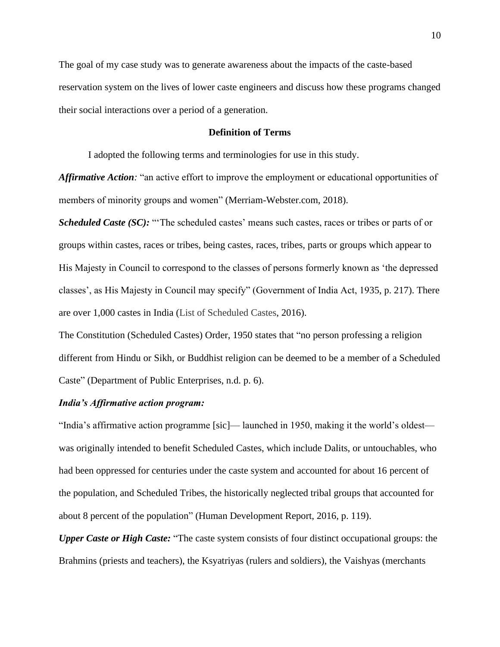The goal of my case study was to generate awareness about the impacts of the caste-based reservation system on the lives of lower caste engineers and discuss how these programs changed their social interactions over a period of a generation.

#### **Definition of Terms**

I adopted the following terms and terminologies for use in this study.

*Affirmative Action:* "an active effort to improve the employment or educational opportunities of members of minority groups and women" (Merriam-Webster.com, 2018).

*Scheduled Caste (SC):* "'The scheduled castes' means such castes, races or tribes or parts of or groups within castes, races or tribes, being castes, races, tribes, parts or groups which appear to His Majesty in Council to correspond to the classes of persons formerly known as 'the depressed classes', as His Majesty in Council may specify" (Government of India Act, 1935, p. 217). There are over 1,000 castes in India (List of Scheduled Castes, 2016).

The Constitution (Scheduled Castes) Order, 1950 states that "no person professing a religion different from Hindu or Sikh, or Buddhist religion can be deemed to be a member of a Scheduled Caste" (Department of Public Enterprises, n.d. p. 6).

#### *India's Affirmative action program:*

"India's affirmative action programme [sic]— launched in 1950, making it the world's oldest was originally intended to benefit Scheduled Castes, which include Dalits, or untouchables, who had been oppressed for centuries under the caste system and accounted for about 16 percent of the population, and Scheduled Tribes, the historically neglected tribal groups that accounted for about 8 percent of the population" (Human Development Report, 2016, p. 119).

*Upper Caste or High Caste:* "The caste system consists of four distinct occupational groups: the Brahmins (priests and teachers), the Ksyatriyas (rulers and soldiers), the Vaishyas (merchants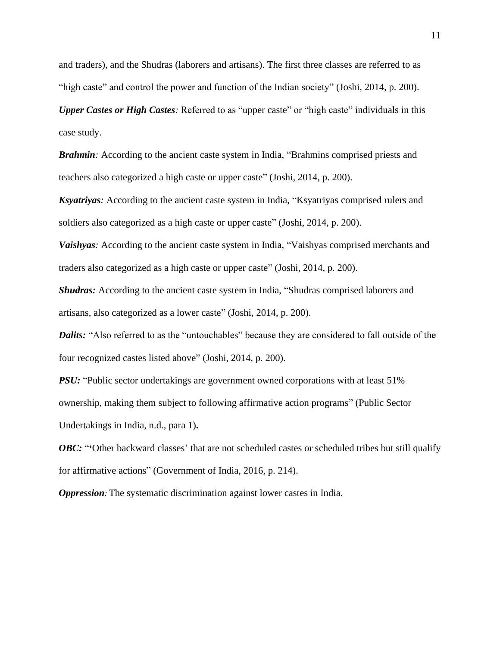and traders), and the Shudras (laborers and artisans). The first three classes are referred to as "high caste" and control the power and function of the Indian society" (Joshi, 2014, p. 200).

*Upper Castes or High Castes*: Referred to as "upper caste" or "high caste" individuals in this case study.

**Brahmin**: According to the ancient caste system in India, "Brahmins comprised priests and teachers also categorized a high caste or upper caste" (Joshi, 2014, p. 200).

*Ksyatriyas:* According to the ancient caste system in India, "Ksyatriyas comprised rulers and soldiers also categorized as a high caste or upper caste" (Joshi, 2014, p. 200).

*Vaishyas*: According to the ancient caste system in India, "Vaishyas comprised merchants and traders also categorized as a high caste or upper caste" (Joshi, 2014, p. 200).

*Shudras:* According to the ancient caste system in India, "Shudras comprised laborers and artisans, also categorized as a lower caste" (Joshi, 2014, p. 200).

*Dalits:* "Also referred to as the "untouchables" because they are considered to fall outside of the four recognized castes listed above" (Joshi, 2014, p. 200).

*PSU:* "Public sector undertakings are government owned corporations with at least 51% ownership, making them subject to following affirmative action programs" (Public Sector Undertakings in India, n.d., para 1)**.**

*OBC***:** "Other backward classes' that are not scheduled castes or scheduled tribes but still qualify for affirmative actions" (Government of India, 2016, p. 214).

*Oppression:* The systematic discrimination against lower castes in India.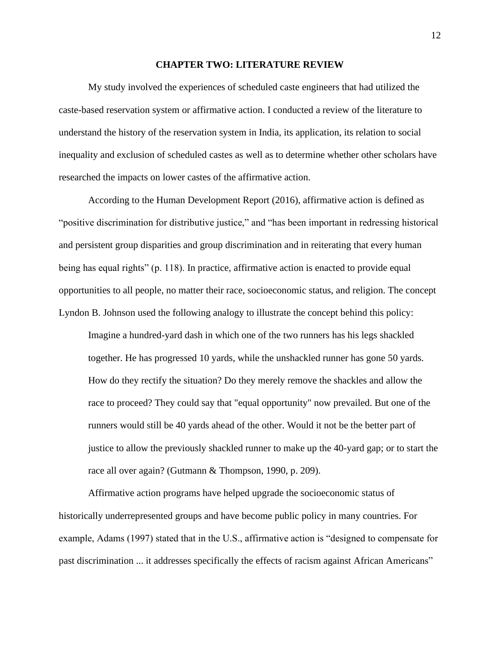#### **CHAPTER TWO: LITERATURE REVIEW**

My study involved the experiences of scheduled caste engineers that had utilized the caste-based reservation system or affirmative action. I conducted a review of the literature to understand the history of the reservation system in India, its application, its relation to social inequality and exclusion of scheduled castes as well as to determine whether other scholars have researched the impacts on lower castes of the affirmative action.

According to the Human Development Report (2016), affirmative action is defined as "positive discrimination for distributive justice," and "has been important in redressing historical and persistent group disparities and group discrimination and in reiterating that every human being has equal rights" (p. 118). In practice, affirmative action is enacted to provide equal opportunities to all people, no matter their race, socioeconomic status, and religion. The concept Lyndon B. Johnson used the following analogy to illustrate the concept behind this policy:

Imagine a hundred-yard dash in which one of the two runners has his legs shackled together. He has progressed 10 yards, while the unshackled runner has gone 50 yards. How do they rectify the situation? Do they merely remove the shackles and allow the race to proceed? They could say that "equal opportunity" now prevailed. But one of the runners would still be 40 yards ahead of the other. Would it not be the better part of justice to allow the previously shackled runner to make up the 40-yard gap; or to start the race all over again? (Gutmann & Thompson, 1990, p. 209).

Affirmative action programs have helped upgrade the socioeconomic status of historically underrepresented groups and have become public policy in many countries. For example, Adams (1997) stated that in the U.S., affirmative action is "designed to compensate for past discrimination ... it addresses specifically the effects of racism against African Americans"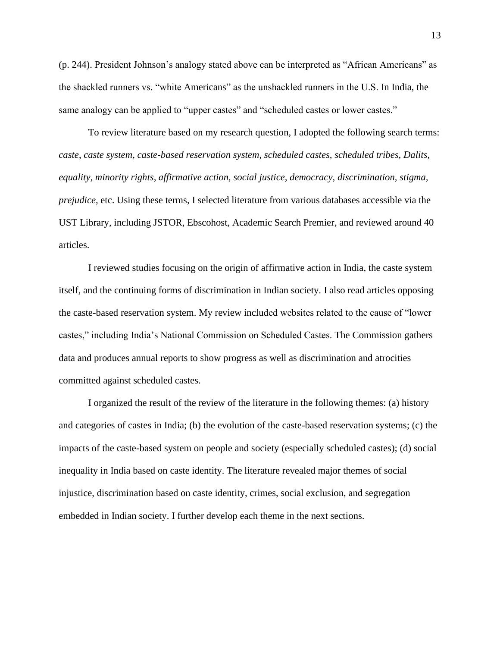(p. 244). President Johnson's analogy stated above can be interpreted as "African Americans" as the shackled runners vs. "white Americans" as the unshackled runners in the U.S. In India, the same analogy can be applied to "upper castes" and "scheduled castes or lower castes."

To review literature based on my research question, I adopted the following search terms: *caste*, *caste system*, *caste-based reservation system, scheduled castes, scheduled tribes, Dalits, equality, minority rights, affirmative action, social justice, democracy, discrimination, stigma, prejudice,* etc. Using these terms, I selected literature from various databases accessible via the UST Library, including JSTOR, Ebscohost, Academic Search Premier, and reviewed around 40 articles.

I reviewed studies focusing on the origin of affirmative action in India, the caste system itself, and the continuing forms of discrimination in Indian society. I also read articles opposing the caste-based reservation system. My review included websites related to the cause of "lower castes," including India's National Commission on Scheduled Castes. The Commission gathers data and produces annual reports to show progress as well as discrimination and atrocities committed against scheduled castes.

I organized the result of the review of the literature in the following themes: (a) history and categories of castes in India; (b) the evolution of the caste-based reservation systems; (c) the impacts of the caste-based system on people and society (especially scheduled castes); (d) social inequality in India based on caste identity. The literature revealed major themes of social injustice, discrimination based on caste identity, crimes, social exclusion, and segregation embedded in Indian society. I further develop each theme in the next sections.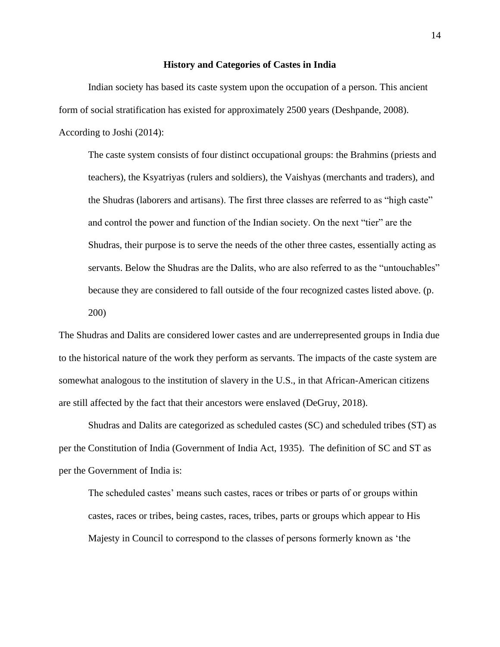#### **History and Categories of Castes in India**

Indian society has based its caste system upon the occupation of a person. This ancient form of social stratification has existed for approximately 2500 years (Deshpande, 2008). According to Joshi (2014):

The caste system consists of four distinct occupational groups: the Brahmins (priests and teachers), the Ksyatriyas (rulers and soldiers), the Vaishyas (merchants and traders), and the Shudras (laborers and artisans). The first three classes are referred to as "high caste" and control the power and function of the Indian society. On the next "tier" are the Shudras, their purpose is to serve the needs of the other three castes, essentially acting as servants. Below the Shudras are the Dalits, who are also referred to as the "untouchables" because they are considered to fall outside of the four recognized castes listed above. (p. 200)

The Shudras and Dalits are considered lower castes and are underrepresented groups in India due to the historical nature of the work they perform as servants. The impacts of the caste system are somewhat analogous to the institution of slavery in the U.S., in that African-American citizens are still affected by the fact that their ancestors were enslaved (DeGruy, 2018).

Shudras and Dalits are categorized as scheduled castes (SC) and scheduled tribes (ST) as per the Constitution of India (Government of India Act, 1935). The definition of SC and ST as per the Government of India is:

The scheduled castes' means such castes, races or tribes or parts of or groups within castes, races or tribes, being castes, races, tribes, parts or groups which appear to His Majesty in Council to correspond to the classes of persons formerly known as 'the

14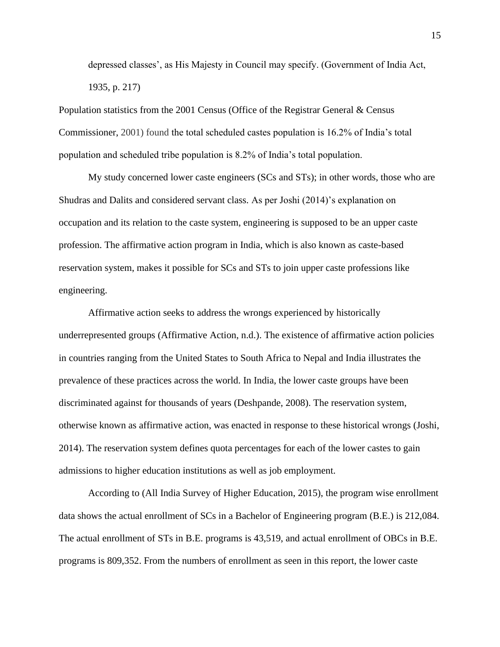depressed classes', as His Majesty in Council may specify. (Government of India Act, 1935, p. 217)

Population statistics from the 2001 Census (Office of the Registrar General & Census Commissioner, 2001) found the total scheduled castes population is 16.2% of India's total population and scheduled tribe population is 8.2% of India's total population.

My study concerned lower caste engineers (SCs and STs); in other words, those who are Shudras and Dalits and considered servant class. As per Joshi (2014)'s explanation on occupation and its relation to the caste system, engineering is supposed to be an upper caste profession. The affirmative action program in India, which is also known as caste-based reservation system, makes it possible for SCs and STs to join upper caste professions like engineering.

Affirmative action seeks to address the wrongs experienced by historically underrepresented groups (Affirmative Action, n.d.). The existence of affirmative action policies in countries ranging from the United States to South Africa to Nepal and India illustrates the prevalence of these practices across the world. In India, the lower caste groups have been discriminated against for thousands of years (Deshpande, 2008). The reservation system, otherwise known as affirmative action, was enacted in response to these historical wrongs (Joshi, 2014). The reservation system defines quota percentages for each of the lower castes to gain admissions to higher education institutions as well as job employment.

According to (All India Survey of Higher Education, 2015), the program wise enrollment data shows the actual enrollment of SCs in a Bachelor of Engineering program (B.E.) is 212,084. The actual enrollment of STs in B.E. programs is 43,519, and actual enrollment of OBCs in B.E. programs is 809,352. From the numbers of enrollment as seen in this report, the lower caste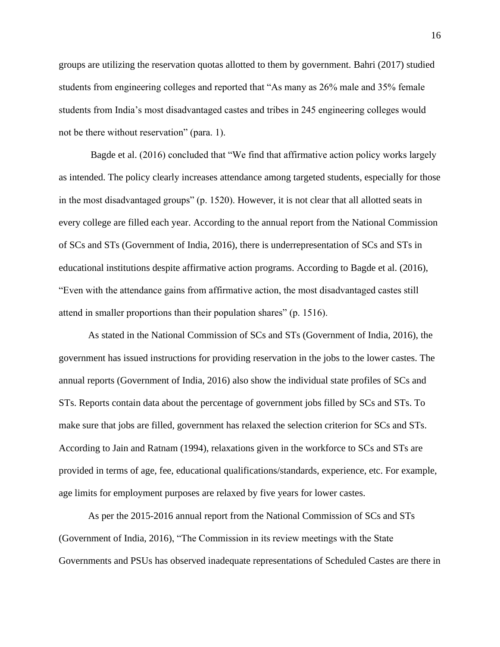groups are utilizing the reservation quotas allotted to them by government. Bahri (2017) studied students from engineering colleges and reported that "As many as 26% male and 35% female students from India's most disadvantaged castes and tribes in 245 engineering colleges would not be there without reservation" (para. 1).

Bagde et al. (2016) concluded that "We find that affirmative action policy works largely as intended. The policy clearly increases attendance among targeted students, especially for those in the most disadvantaged groups" (p. 1520). However, it is not clear that all allotted seats in every college are filled each year. According to the annual report from the National Commission of SCs and STs (Government of India, 2016), there is underrepresentation of SCs and STs in educational institutions despite affirmative action programs. According to Bagde et al. (2016), "Even with the attendance gains from affirmative action, the most disadvantaged castes still attend in smaller proportions than their population shares" (p. 1516).

As stated in the National Commission of SCs and STs (Government of India, 2016), the government has issued instructions for providing reservation in the jobs to the lower castes. The annual reports (Government of India, 2016) also show the individual state profiles of SCs and STs. Reports contain data about the percentage of government jobs filled by SCs and STs. To make sure that jobs are filled, government has relaxed the selection criterion for SCs and STs. According to Jain and Ratnam (1994), relaxations given in the workforce to SCs and STs are provided in terms of age, fee, educational qualifications/standards, experience, etc. For example, age limits for employment purposes are relaxed by five years for lower castes.

As per the 2015-2016 annual report from the National Commission of SCs and STs (Government of India, 2016), "The Commission in its review meetings with the State Governments and PSUs has observed inadequate representations of Scheduled Castes are there in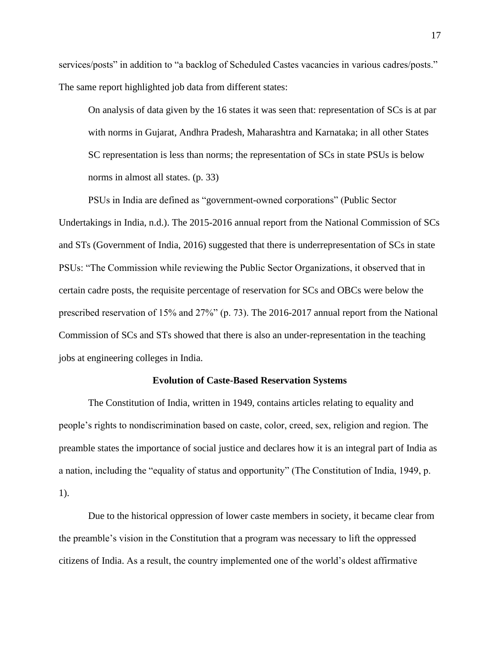services/posts" in addition to "a backlog of Scheduled Castes vacancies in various cadres/posts." The same report highlighted job data from different states:

On analysis of data given by the 16 states it was seen that: representation of SCs is at par with norms in Gujarat, Andhra Pradesh, Maharashtra and Karnataka; in all other States SC representation is less than norms; the representation of SCs in state PSUs is below norms in almost all states. (p. 33)

PSUs in India are defined as "government-owned corporations" (Public Sector Undertakings in India, n.d.). The 2015-2016 annual report from the National Commission of SCs and STs (Government of India, 2016) suggested that there is underrepresentation of SCs in state PSUs: "The Commission while reviewing the Public Sector Organizations, it observed that in certain cadre posts, the requisite percentage of reservation for SCs and OBCs were below the prescribed reservation of 15% and 27%" (p. 73). The 2016-2017 annual report from the National Commission of SCs and STs showed that there is also an under-representation in the teaching jobs at engineering colleges in India.

#### **Evolution of Caste-Based Reservation Systems**

The Constitution of India, written in 1949, contains articles relating to equality and people's rights to nondiscrimination based on caste, color, creed, sex, religion and region. The preamble states the importance of social justice and declares how it is an integral part of India as a nation, including the "equality of status and opportunity" (The Constitution of India, 1949, p. 1).

Due to the historical oppression of lower caste members in society, it became clear from the preamble's vision in the Constitution that a program was necessary to lift the oppressed citizens of India. As a result, the country implemented one of the world's oldest affirmative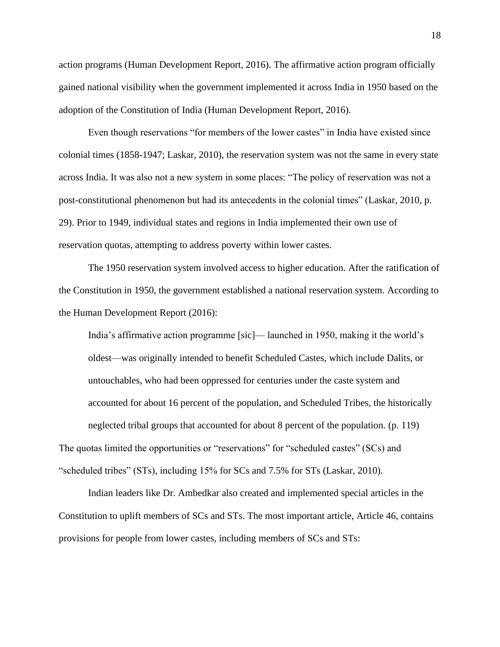action programs (Human Development Report, 2016). The affirmative action program officially gained national visibility when the government implemented it across India in 1950 based on the adoption of the Constitution of India (Human Development Report, 2016).

Even though reservations "for members of the lower castes" in India have existed since colonial times (1858-1947; Laskar, 2010), the reservation system was not the same in every state across India. It was also not a new system in some places: "The policy of reservation was not a post-constitutional phenomenon but had its antecedents in the colonial times" (Laskar, 2010, p. 29). Prior to 1949, individual states and regions in India implemented their own use of reservation quotas, attempting to address poverty within lower castes.

The 1950 reservation system involved access to higher education. After the ratification of the Constitution in 1950, the government established a national reservation system. According to the Human Development Report (2016):

India's affirmative action programme [sic]— launched in 1950, making it the world's oldest—was originally intended to benefit Scheduled Castes, which include Dalits, or untouchables, who had been oppressed for centuries under the caste system and accounted for about 16 percent of the population, and Scheduled Tribes, the historically neglected tribal groups that accounted for about 8 percent of the population. (p. 119) The quotas limited the opportunities or "reservations" for "scheduled castes" (SCs) and "scheduled tribes" (STs), including 15% for SCs and 7.5% for STs (Laskar, 2010).

Indian leaders like Dr. Ambedkar also created and implemented special articles in the Constitution to uplift members of SCs and STs. The most important article, Article 46, contains provisions for people from lower castes, including members of SCs and STs: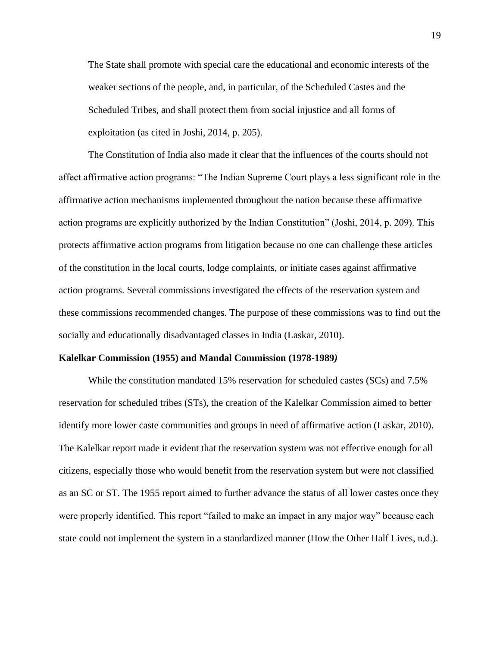The State shall promote with special care the educational and economic interests of the weaker sections of the people, and, in particular, of the Scheduled Castes and the Scheduled Tribes, and shall protect them from social injustice and all forms of exploitation (as cited in Joshi, 2014, p. 205).

The Constitution of India also made it clear that the influences of the courts should not affect affirmative action programs: "The Indian Supreme Court plays a less significant role in the affirmative action mechanisms implemented throughout the nation because these affirmative action programs are explicitly authorized by the Indian Constitution" (Joshi, 2014, p. 209). This protects affirmative action programs from litigation because no one can challenge these articles of the constitution in the local courts, lodge complaints, or initiate cases against affirmative action programs. Several commissions investigated the effects of the reservation system and these commissions recommended changes. The purpose of these commissions was to find out the socially and educationally disadvantaged classes in India (Laskar, 2010).

#### **Kalelkar Commission (1955) and Mandal Commission (1978-1989***)*

While the constitution mandated 15% reservation for scheduled castes (SCs) and 7.5% reservation for scheduled tribes (STs), the creation of the Kalelkar Commission aimed to better identify more lower caste communities and groups in need of affirmative action (Laskar, 2010). The Kalelkar report made it evident that the reservation system was not effective enough for all citizens, especially those who would benefit from the reservation system but were not classified as an SC or ST. The 1955 report aimed to further advance the status of all lower castes once they were properly identified. This report "failed to make an impact in any major way" because each state could not implement the system in a standardized manner (How the Other Half Lives, n.d.).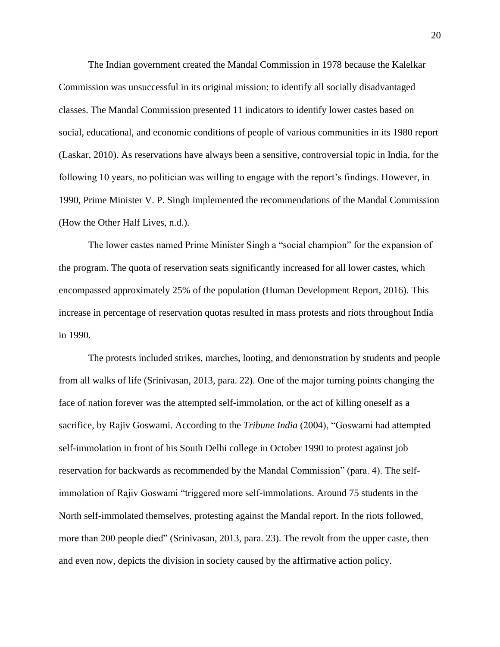The Indian government created the Mandal Commission in 1978 because the Kalelkar Commission was unsuccessful in its original mission: to identify all socially disadvantaged classes. The Mandal Commission presented 11 indicators to identify lower castes based on social, educational, and economic conditions of people of various communities in its 1980 report (Laskar, 2010). As reservations have always been a sensitive, controversial topic in India, for the following 10 years, no politician was willing to engage with the report's findings. However, in 1990, Prime Minister V. P. Singh implemented the recommendations of the Mandal Commission (How the Other Half Lives, n.d.).

The lower castes named Prime Minister Singh a "social champion" for the expansion of the program. The quota of reservation seats significantly increased for all lower castes, which encompassed approximately 25% of the population (Human Development Report, 2016). This increase in percentage of reservation quotas resulted in mass protests and riots throughout India in 1990.

The protests included strikes, marches, looting, and demonstration by students and people from all walks of life (Srinivasan, 2013, para. 22). One of the major turning points changing the face of nation forever was the attempted self-immolation, or the act of killing oneself as a sacrifice, by Rajiv Goswami. According to the *Tribune India* (2004), "Goswami had attempted self-immolation in front of his South Delhi college in October 1990 to protest against job reservation for backwards as recommended by the Mandal Commission" (para. 4). The selfimmolation of Rajiv Goswami "triggered more self-immolations. Around 75 students in the North self-immolated themselves, protesting against the Mandal report. In the riots followed, more than 200 people died" (Srinivasan, 2013, para. 23). The revolt from the upper caste, then and even now, depicts the division in society caused by the affirmative action policy.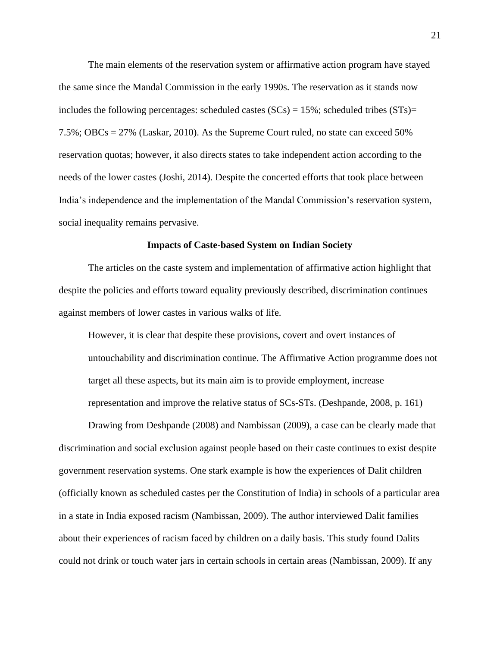The main elements of the reservation system or affirmative action program have stayed the same since the Mandal Commission in the early 1990s. The reservation as it stands now includes the following percentages: scheduled castes  $(SCs) = 15\%$ ; scheduled tribes  $(STs) =$ 7.5%; OBCs = 27% (Laskar, 2010). As the Supreme Court ruled, no state can exceed 50% reservation quotas; however, it also directs states to take independent action according to the needs of the lower castes (Joshi, 2014). Despite the concerted efforts that took place between India's independence and the implementation of the Mandal Commission's reservation system, social inequality remains pervasive.

#### **Impacts of Caste-based System on Indian Society**

The articles on the caste system and implementation of affirmative action highlight that despite the policies and efforts toward equality previously described, discrimination continues against members of lower castes in various walks of life.

However, it is clear that despite these provisions, covert and overt instances of untouchability and discrimination continue. The Affirmative Action programme does not target all these aspects, but its main aim is to provide employment, increase representation and improve the relative status of SCs-STs. (Deshpande, 2008, p. 161)

Drawing from Deshpande (2008) and Nambissan (2009), a case can be clearly made that discrimination and social exclusion against people based on their caste continues to exist despite government reservation systems. One stark example is how the experiences of Dalit children (officially known as scheduled castes per the Constitution of India) in schools of a particular area in a state in India exposed racism (Nambissan, 2009). The author interviewed Dalit families about their experiences of racism faced by children on a daily basis. This study found Dalits could not drink or touch water jars in certain schools in certain areas (Nambissan, 2009). If any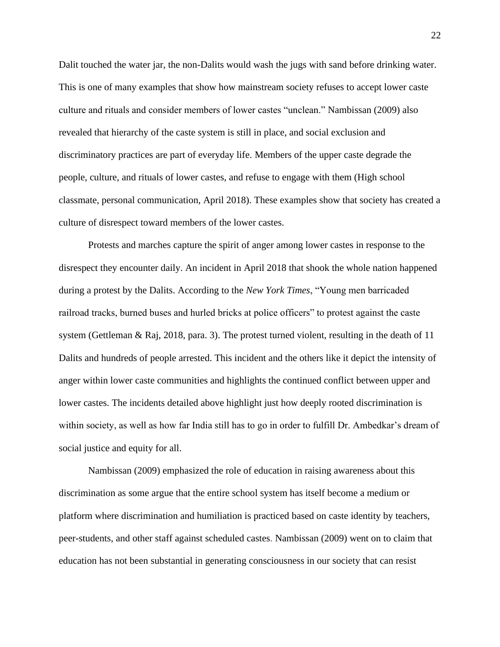Dalit touched the water jar, the non-Dalits would wash the jugs with sand before drinking water. This is one of many examples that show how mainstream society refuses to accept lower caste culture and rituals and consider members of lower castes "unclean." Nambissan (2009) also revealed that hierarchy of the caste system is still in place, and social exclusion and discriminatory practices are part of everyday life. Members of the upper caste degrade the people, culture, and rituals of lower castes, and refuse to engage with them (High school classmate, personal communication, April 2018). These examples show that society has created a culture of disrespect toward members of the lower castes.

Protests and marches capture the spirit of anger among lower castes in response to the disrespect they encounter daily. An incident in April 2018 that shook the whole nation happened during a protest by the Dalits. According to the *New York Times*, "Young men barricaded railroad tracks, burned buses and hurled bricks at police officers" to protest against the caste system (Gettleman & Raj, 2018, para. 3). The protest turned violent, resulting in the death of 11 Dalits and hundreds of people arrested. This incident and the others like it depict the intensity of anger within lower caste communities and highlights the continued conflict between upper and lower castes. The incidents detailed above highlight just how deeply rooted discrimination is within society, as well as how far India still has to go in order to fulfill Dr. Ambedkar's dream of social justice and equity for all.

Nambissan (2009) emphasized the role of education in raising awareness about this discrimination as some argue that the entire school system has itself become a medium or platform where discrimination and humiliation is practiced based on caste identity by teachers, peer-students, and other staff against scheduled castes. Nambissan (2009) went on to claim that education has not been substantial in generating consciousness in our society that can resist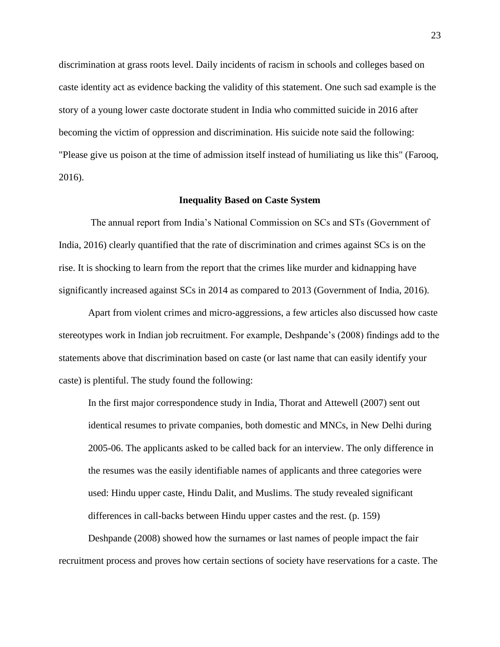discrimination at grass roots level. Daily incidents of racism in schools and colleges based on caste identity act as evidence backing the validity of this statement. One such sad example is the story of a young lower caste doctorate student in India who committed suicide in 2016 after becoming the victim of oppression and discrimination. His suicide note said the following: "Please give us poison at the time of admission itself instead of humiliating us like this" (Farooq, 2016).

#### **Inequality Based on Caste System**

The annual report from India's National Commission on SCs and STs (Government of India, 2016) clearly quantified that the rate of discrimination and crimes against SCs is on the rise. It is shocking to learn from the report that the crimes like murder and kidnapping have significantly increased against SCs in 2014 as compared to 2013 (Government of India, 2016).

Apart from violent crimes and micro-aggressions, a few articles also discussed how caste stereotypes work in Indian job recruitment. For example, Deshpande's (2008) findings add to the statements above that discrimination based on caste (or last name that can easily identify your caste) is plentiful. The study found the following:

In the first major correspondence study in India, Thorat and Attewell (2007) sent out identical resumes to private companies, both domestic and MNCs, in New Delhi during 2005-06. The applicants asked to be called back for an interview. The only difference in the resumes was the easily identifiable names of applicants and three categories were used: Hindu upper caste, Hindu Dalit, and Muslims. The study revealed significant differences in call-backs between Hindu upper castes and the rest. (p. 159)

Deshpande (2008) showed how the surnames or last names of people impact the fair recruitment process and proves how certain sections of society have reservations for a caste. The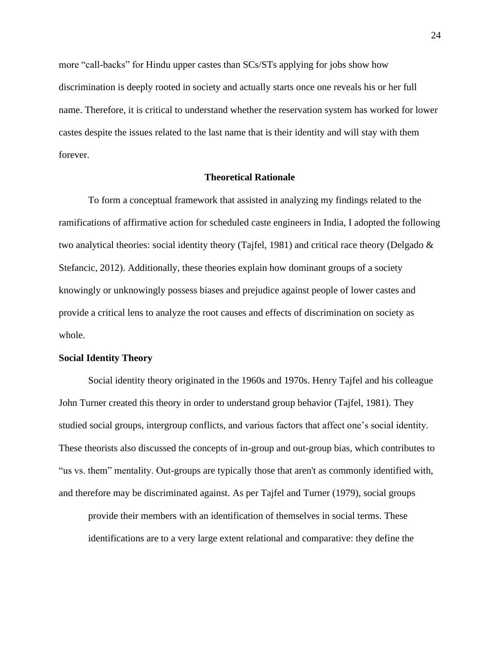more "call-backs" for Hindu upper castes than SCs/STs applying for jobs show how discrimination is deeply rooted in society and actually starts once one reveals his or her full name. Therefore, it is critical to understand whether the reservation system has worked for lower castes despite the issues related to the last name that is their identity and will stay with them forever.

#### **Theoretical Rationale**

To form a conceptual framework that assisted in analyzing my findings related to the ramifications of affirmative action for scheduled caste engineers in India, I adopted the following two analytical theories: social identity theory (Tajfel, 1981) and critical race theory (Delgado & Stefancic, 2012). Additionally, these theories explain how dominant groups of a society knowingly or unknowingly possess biases and prejudice against people of lower castes and provide a critical lens to analyze the root causes and effects of discrimination on society as whole.

#### **Social Identity Theory**

Social identity theory originated in the 1960s and 1970s. Henry Tajfel and his colleague John Turner created this theory in order to understand group behavior (Tajfel, 1981). They studied social groups, intergroup conflicts, and various factors that affect one's social identity. These theorists also discussed the concepts of in-group and out-group bias, which contributes to "us vs. them" mentality. Out-groups are typically those that aren't as commonly identified with, and therefore may be discriminated against. As per Tajfel and Turner (1979), social groups

provide their members with an identification of themselves in social terms. These identifications are to a very large extent relational and comparative: they define the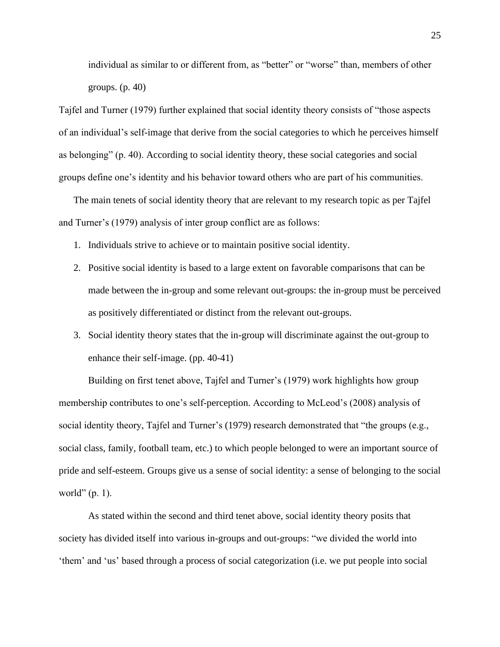individual as similar to or different from, as "better" or "worse" than, members of other groups. (p. 40)

Tajfel and Turner (1979) further explained that social identity theory consists of "those aspects of an individual's self-image that derive from the social categories to which he perceives himself as belonging" (p. 40). According to social identity theory, these social categories and social groups define one's identity and his behavior toward others who are part of his communities.

The main tenets of social identity theory that are relevant to my research topic as per Tajfel and Turner's (1979) analysis of inter group conflict are as follows:

- 1. Individuals strive to achieve or to maintain positive social identity.
- 2. Positive social identity is based to a large extent on favorable comparisons that can be made between the in-group and some relevant out-groups: the in-group must be perceived as positively differentiated or distinct from the relevant out-groups.
- 3. Social identity theory states that the in-group will discriminate against the out-group to enhance their self-image. (pp. 40-41)

Building on first tenet above, Tajfel and Turner's (1979) work highlights how group membership contributes to one's self-perception. According to McLeod's (2008) analysis of social identity theory, Tajfel and Turner's (1979) research demonstrated that "the groups (e.g., social class, family, football team, etc.) to which people belonged to were an important source of pride and self-esteem. Groups give us a sense of social identity: a sense of belonging to the social world" (p. 1).

As stated within the second and third tenet above, social identity theory posits that society has divided itself into various in-groups and out-groups: "we divided the world into 'them' and 'us' based through a process of social categorization (i.e. we put people into social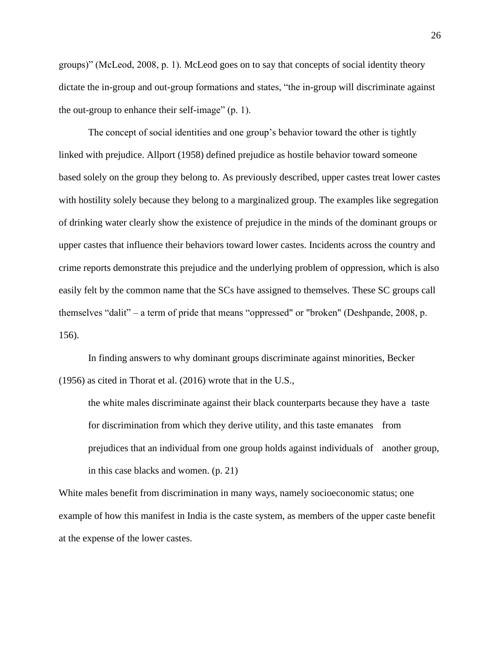groups)" (McLeod, 2008, p. 1). McLeod goes on to say that concepts of social identity theory dictate the in-group and out-group formations and states, "the in-group will discriminate against the out-group to enhance their self-image" (p. 1).

The concept of social identities and one group's behavior toward the other is tightly linked with prejudice. Allport (1958) defined prejudice as hostile behavior toward someone based solely on the group they belong to. As previously described, upper castes treat lower castes with hostility solely because they belong to a marginalized group. The examples like segregation of drinking water clearly show the existence of prejudice in the minds of the dominant groups or upper castes that influence their behaviors toward lower castes. Incidents across the country and crime reports demonstrate this prejudice and the underlying problem of oppression, which is also easily felt by the common name that the SCs have assigned to themselves. These SC groups call themselves "dalit" – a term of pride that means "oppressed" or "broken" (Deshpande, 2008, p. 156).

In finding answers to why dominant groups discriminate against minorities, Becker (1956) as cited in Thorat et al. (2016) wrote that in the U.S.,

the white males discriminate against their black counterparts because they have a taste for discrimination from which they derive utility, and this taste emanates from prejudices that an individual from one group holds against individuals of another group, in this case blacks and women. (p. 21)

White males benefit from discrimination in many ways, namely socioeconomic status; one example of how this manifest in India is the caste system, as members of the upper caste benefit at the expense of the lower castes.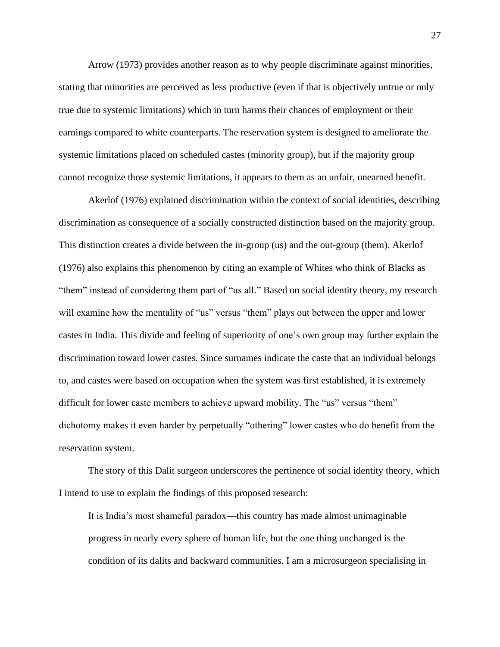Arrow (1973) provides another reason as to why people discriminate against minorities, stating that minorities are perceived as less productive (even if that is objectively untrue or only true due to systemic limitations) which in turn harms their chances of employment or their earnings compared to white counterparts. The reservation system is designed to ameliorate the systemic limitations placed on scheduled castes (minority group), but if the majority group cannot recognize those systemic limitations, it appears to them as an unfair, unearned benefit.

Akerlof (1976) explained discrimination within the context of social identities, describing discrimination as consequence of a socially constructed distinction based on the majority group. This distinction creates a divide between the in-group (us) and the out-group (them). Akerlof (1976) also explains this phenomenon by citing an example of Whites who think of Blacks as "them" instead of considering them part of "us all." Based on social identity theory, my research will examine how the mentality of "us" versus "them" plays out between the upper and lower castes in India. This divide and feeling of superiority of one's own group may further explain the discrimination toward lower castes. Since surnames indicate the caste that an individual belongs to, and castes were based on occupation when the system was first established, it is extremely difficult for lower caste members to achieve upward mobility. The "us" versus "them" dichotomy makes it even harder by perpetually "othering" lower castes who do benefit from the reservation system.

The story of this Dalit surgeon underscores the pertinence of social identity theory, which I intend to use to explain the findings of this proposed research:

It is India's most shameful paradox—this country has made almost unimaginable progress in nearly every sphere of human life, but the one thing unchanged is the condition of its dalits and backward communities. I am a microsurgeon specialising in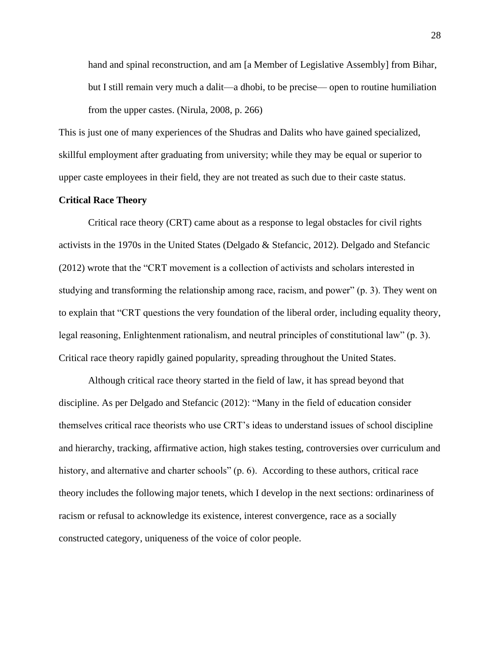hand and spinal reconstruction, and am [a Member of Legislative Assembly] from Bihar, but I still remain very much a dalit—a dhobi, to be precise— open to routine humiliation from the upper castes. (Nirula, 2008, p. 266)

This is just one of many experiences of the Shudras and Dalits who have gained specialized, skillful employment after graduating from university; while they may be equal or superior to upper caste employees in their field, they are not treated as such due to their caste status.

## **Critical Race Theory**

Critical race theory (CRT) came about as a response to legal obstacles for civil rights activists in the 1970s in the United States (Delgado & Stefancic, 2012). Delgado and Stefancic (2012) wrote that the "CRT movement is a collection of activists and scholars interested in studying and transforming the relationship among race, racism, and power" (p. 3). They went on to explain that "CRT questions the very foundation of the liberal order, including equality theory, legal reasoning, Enlightenment rationalism, and neutral principles of constitutional law" (p. 3). Critical race theory rapidly gained popularity, spreading throughout the United States.

Although critical race theory started in the field of law, it has spread beyond that discipline. As per Delgado and Stefancic (2012): "Many in the field of education consider themselves critical race theorists who use CRT's ideas to understand issues of school discipline and hierarchy, tracking, affirmative action, high stakes testing, controversies over curriculum and history, and alternative and charter schools" (p. 6). According to these authors, critical race theory includes the following major tenets, which I develop in the next sections: ordinariness of racism or refusal to acknowledge its existence, interest convergence, race as a socially constructed category, uniqueness of the voice of color people.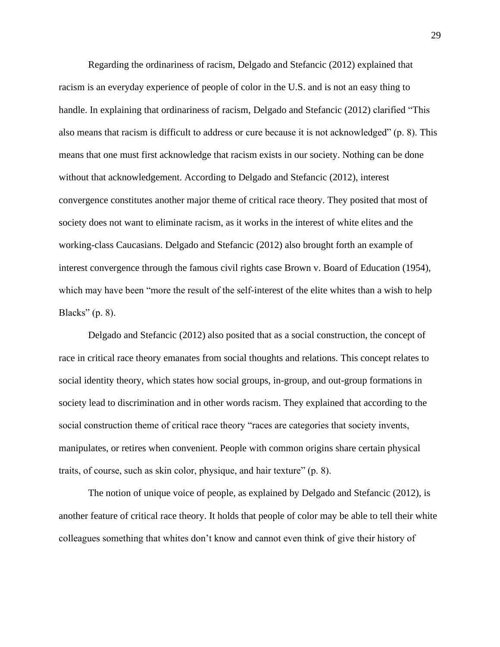Regarding the ordinariness of racism, Delgado and Stefancic (2012) explained that racism is an everyday experience of people of color in the U.S. and is not an easy thing to handle. In explaining that ordinariness of racism, Delgado and Stefancic (2012) clarified "This also means that racism is difficult to address or cure because it is not acknowledged" (p. 8). This means that one must first acknowledge that racism exists in our society. Nothing can be done without that acknowledgement. According to Delgado and Stefancic (2012), interest convergence constitutes another major theme of critical race theory. They posited that most of society does not want to eliminate racism, as it works in the interest of white elites and the working-class Caucasians. Delgado and Stefancic (2012) also brought forth an example of interest convergence through the famous civil rights case Brown v. Board of Education (1954), which may have been "more the result of the self-interest of the elite whites than a wish to help Blacks" (p. 8).

Delgado and Stefancic (2012) also posited that as a social construction, the concept of race in critical race theory emanates from social thoughts and relations. This concept relates to social identity theory, which states how social groups, in-group, and out-group formations in society lead to discrimination and in other words racism. They explained that according to the social construction theme of critical race theory "races are categories that society invents, manipulates, or retires when convenient. People with common origins share certain physical traits, of course, such as skin color, physique, and hair texture" (p. 8).

The notion of unique voice of people, as explained by Delgado and Stefancic (2012), is another feature of critical race theory. It holds that people of color may be able to tell their white colleagues something that whites don't know and cannot even think of give their history of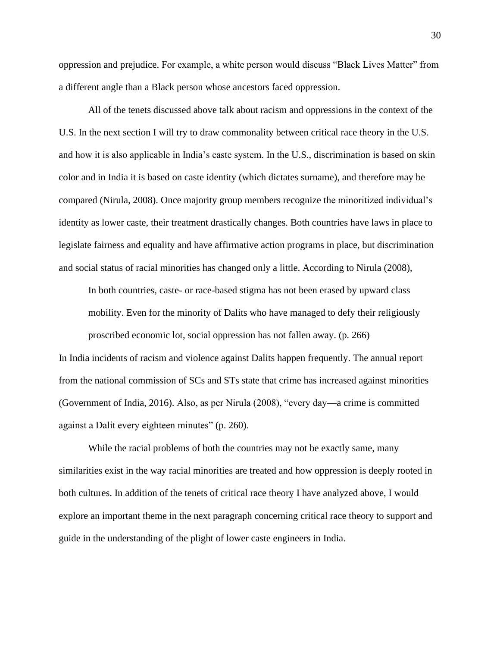oppression and prejudice. For example, a white person would discuss "Black Lives Matter" from a different angle than a Black person whose ancestors faced oppression.

All of the tenets discussed above talk about racism and oppressions in the context of the U.S. In the next section I will try to draw commonality between critical race theory in the U.S. and how it is also applicable in India's caste system. In the U.S., discrimination is based on skin color and in India it is based on caste identity (which dictates surname), and therefore may be compared (Nirula, 2008). Once majority group members recognize the minoritized individual's identity as lower caste, their treatment drastically changes. Both countries have laws in place to legislate fairness and equality and have affirmative action programs in place, but discrimination and social status of racial minorities has changed only a little. According to Nirula (2008),

In both countries, caste- or race-based stigma has not been erased by upward class mobility. Even for the minority of Dalits who have managed to defy their religiously proscribed economic lot, social oppression has not fallen away. (p. 266)

In India incidents of racism and violence against Dalits happen frequently. The annual report from the national commission of SCs and STs state that crime has increased against minorities (Government of India, 2016). Also, as per Nirula (2008), "every day—a crime is committed against a Dalit every eighteen minutes" (p. 260).

While the racial problems of both the countries may not be exactly same, many similarities exist in the way racial minorities are treated and how oppression is deeply rooted in both cultures. In addition of the tenets of critical race theory I have analyzed above, I would explore an important theme in the next paragraph concerning critical race theory to support and guide in the understanding of the plight of lower caste engineers in India.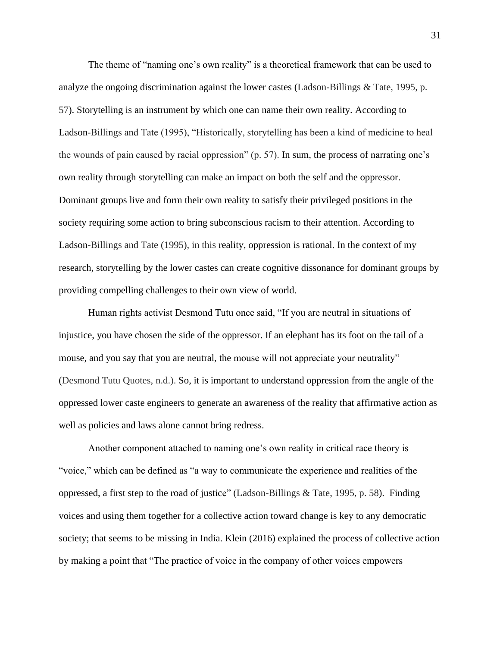The theme of "naming one's own reality" is a theoretical framework that can be used to analyze the ongoing discrimination against the lower castes (Ladson-Billings & Tate, 1995, p. 57). Storytelling is an instrument by which one can name their own reality. According to Ladson-Billings and Tate (1995), "Historically, storytelling has been a kind of medicine to heal the wounds of pain caused by racial oppression" (p. 57). In sum, the process of narrating one's own reality through storytelling can make an impact on both the self and the oppressor. Dominant groups live and form their own reality to satisfy their privileged positions in the society requiring some action to bring subconscious racism to their attention. According to Ladson-Billings and Tate (1995), in this reality, oppression is rational. In the context of my research, storytelling by the lower castes can create cognitive dissonance for dominant groups by providing compelling challenges to their own view of world.

Human rights activist Desmond Tutu once said, "If you are neutral in situations of injustice, you have chosen the side of the oppressor. If an elephant has its foot on the tail of a mouse, and you say that you are neutral, the mouse will not appreciate your neutrality" (Desmond Tutu Quotes, n.d.). So, it is important to understand oppression from the angle of the oppressed lower caste engineers to generate an awareness of the reality that affirmative action as well as policies and laws alone cannot bring redress.

Another component attached to naming one's own reality in critical race theory is "voice," which can be defined as "a way to communicate the experience and realities of the oppressed, a first step to the road of justice" (Ladson-Billings & Tate, 1995, p. 58). Finding voices and using them together for a collective action toward change is key to any democratic society; that seems to be missing in India. Klein (2016) explained the process of collective action by making a point that "The practice of voice in the company of other voices empowers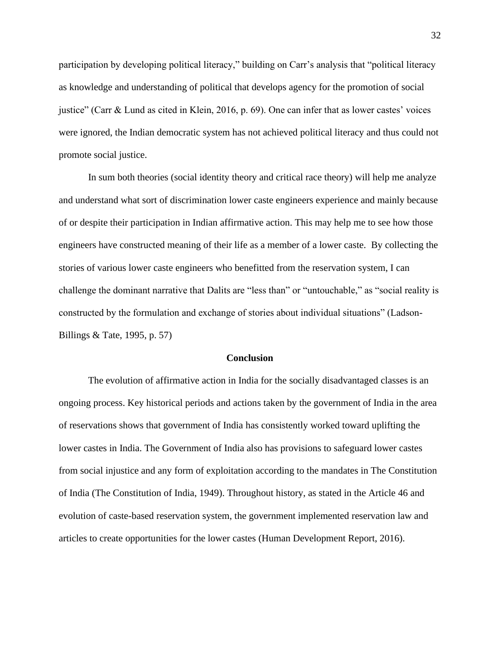participation by developing political literacy," building on Carr's analysis that "political literacy as knowledge and understanding of political that develops agency for the promotion of social justice" (Carr & Lund as cited in Klein, 2016, p. 69). One can infer that as lower castes' voices were ignored, the Indian democratic system has not achieved political literacy and thus could not promote social justice.

In sum both theories (social identity theory and critical race theory) will help me analyze and understand what sort of discrimination lower caste engineers experience and mainly because of or despite their participation in Indian affirmative action. This may help me to see how those engineers have constructed meaning of their life as a member of a lower caste. By collecting the stories of various lower caste engineers who benefitted from the reservation system, I can challenge the dominant narrative that Dalits are "less than" or "untouchable," as "social reality is constructed by the formulation and exchange of stories about individual situations" (Ladson-Billings & Tate, 1995, p. 57)

## **Conclusion**

The evolution of affirmative action in India for the socially disadvantaged classes is an ongoing process. Key historical periods and actions taken by the government of India in the area of reservations shows that government of India has consistently worked toward uplifting the lower castes in India. The Government of India also has provisions to safeguard lower castes from social injustice and any form of exploitation according to the mandates in The Constitution of India (The Constitution of India, 1949). Throughout history, as stated in the Article 46 and evolution of caste-based reservation system, the government implemented reservation law and articles to create opportunities for the lower castes (Human Development Report, 2016).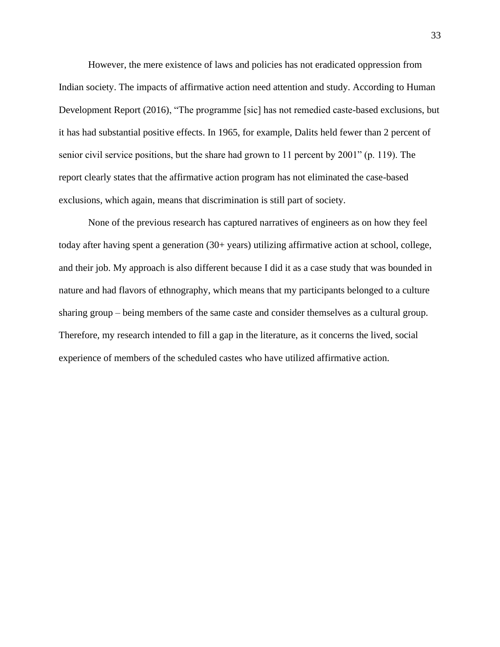However, the mere existence of laws and policies has not eradicated oppression from Indian society. The impacts of affirmative action need attention and study. According to Human Development Report (2016), "The programme [sic] has not remedied caste-based exclusions, but it has had substantial positive effects. In 1965, for example, Dalits held fewer than 2 percent of senior civil service positions, but the share had grown to 11 percent by 2001" (p. 119). The report clearly states that the affirmative action program has not eliminated the case-based exclusions, which again, means that discrimination is still part of society.

None of the previous research has captured narratives of engineers as on how they feel today after having spent a generation (30+ years) utilizing affirmative action at school, college, and their job. My approach is also different because I did it as a case study that was bounded in nature and had flavors of ethnography, which means that my participants belonged to a culture sharing group – being members of the same caste and consider themselves as a cultural group. Therefore, my research intended to fill a gap in the literature, as it concerns the lived, social experience of members of the scheduled castes who have utilized affirmative action.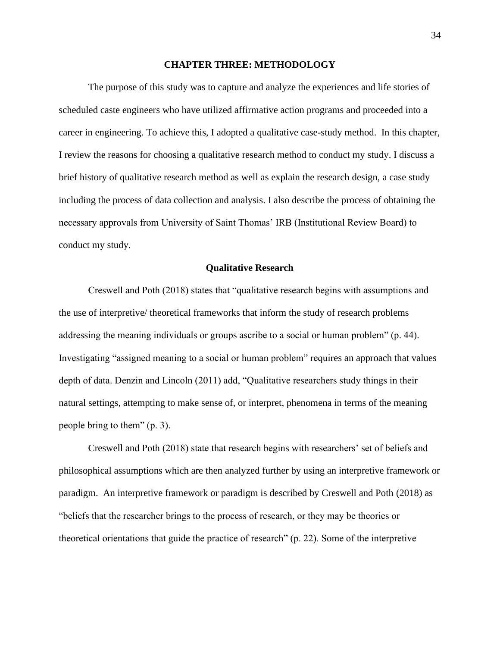#### **CHAPTER THREE: METHODOLOGY**

The purpose of this study was to capture and analyze the experiences and life stories of scheduled caste engineers who have utilized affirmative action programs and proceeded into a career in engineering. To achieve this, I adopted a qualitative case-study method. In this chapter, I review the reasons for choosing a qualitative research method to conduct my study. I discuss a brief history of qualitative research method as well as explain the research design, a case study including the process of data collection and analysis. I also describe the process of obtaining the necessary approvals from University of Saint Thomas' IRB (Institutional Review Board) to conduct my study.

#### **Qualitative Research**

Creswell and Poth (2018) states that "qualitative research begins with assumptions and the use of interpretive/ theoretical frameworks that inform the study of research problems addressing the meaning individuals or groups ascribe to a social or human problem" (p. 44). Investigating "assigned meaning to a social or human problem" requires an approach that values depth of data. Denzin and Lincoln (2011) add, "Qualitative researchers study things in their natural settings, attempting to make sense of, or interpret, phenomena in terms of the meaning people bring to them" (p. 3).

Creswell and Poth (2018) state that research begins with researchers' set of beliefs and philosophical assumptions which are then analyzed further by using an interpretive framework or paradigm. An interpretive framework or paradigm is described by Creswell and Poth (2018) as "beliefs that the researcher brings to the process of research, or they may be theories or theoretical orientations that guide the practice of research" (p. 22). Some of the interpretive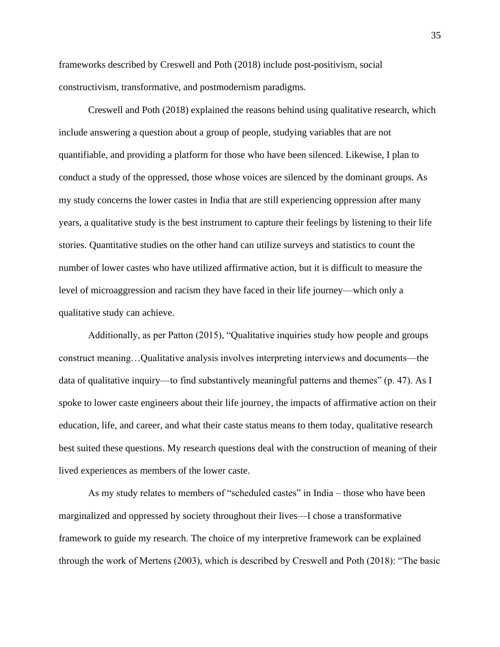frameworks described by Creswell and Poth (2018) include post-positivism, social constructivism, transformative, and postmodernism paradigms.

Creswell and Poth (2018) explained the reasons behind using qualitative research, which include answering a question about a group of people, studying variables that are not quantifiable, and providing a platform for those who have been silenced. Likewise, I plan to conduct a study of the oppressed, those whose voices are silenced by the dominant groups. As my study concerns the lower castes in India that are still experiencing oppression after many years, a qualitative study is the best instrument to capture their feelings by listening to their life stories. Quantitative studies on the other hand can utilize surveys and statistics to count the number of lower castes who have utilized affirmative action, but it is difficult to measure the level of microaggression and racism they have faced in their life journey—which only a qualitative study can achieve.

Additionally, as per Patton (2015), "Qualitative inquiries study how people and groups construct meaning…Qualitative analysis involves interpreting interviews and documents—the data of qualitative inquiry—to find substantively meaningful patterns and themes" (p. 47). As I spoke to lower caste engineers about their life journey, the impacts of affirmative action on their education, life, and career, and what their caste status means to them today, qualitative research best suited these questions. My research questions deal with the construction of meaning of their lived experiences as members of the lower caste.

As my study relates to members of "scheduled castes" in India – those who have been marginalized and oppressed by society throughout their lives—I chose a transformative framework to guide my research. The choice of my interpretive framework can be explained through the work of Mertens (2003), which is described by Creswell and Poth (2018): "The basic

35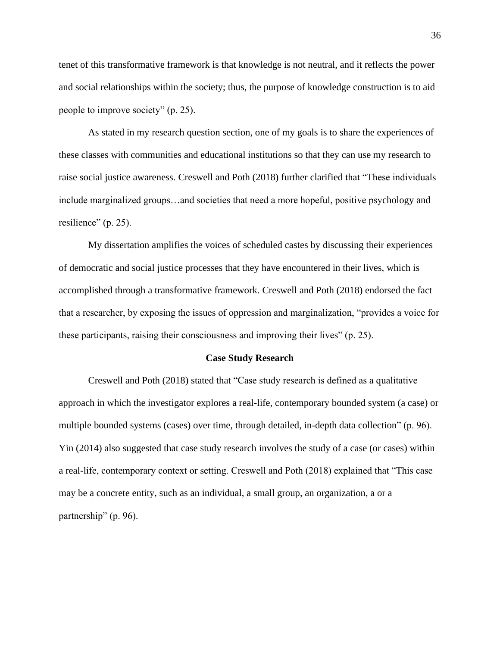tenet of this transformative framework is that knowledge is not neutral, and it reflects the power and social relationships within the society; thus, the purpose of knowledge construction is to aid people to improve society" (p. 25).

As stated in my research question section, one of my goals is to share the experiences of these classes with communities and educational institutions so that they can use my research to raise social justice awareness. Creswell and Poth (2018) further clarified that "These individuals include marginalized groups…and societies that need a more hopeful, positive psychology and resilience" (p. 25).

My dissertation amplifies the voices of scheduled castes by discussing their experiences of democratic and social justice processes that they have encountered in their lives, which is accomplished through a transformative framework. Creswell and Poth (2018) endorsed the fact that a researcher, by exposing the issues of oppression and marginalization, "provides a voice for these participants, raising their consciousness and improving their lives" (p. 25).

#### **Case Study Research**

Creswell and Poth (2018) stated that "Case study research is defined as a qualitative approach in which the investigator explores a real-life, contemporary bounded system (a case) or multiple bounded systems (cases) over time, through detailed, in-depth data collection" (p. 96). Yin (2014) also suggested that case study research involves the study of a case (or cases) within a real-life, contemporary context or setting. Creswell and Poth (2018) explained that "This case may be a concrete entity, such as an individual, a small group, an organization, a or a partnership" (p. 96).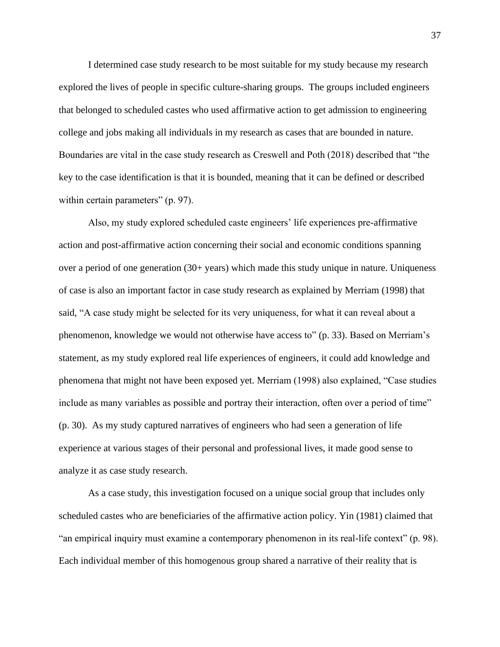I determined case study research to be most suitable for my study because my research explored the lives of people in specific culture-sharing groups. The groups included engineers that belonged to scheduled castes who used affirmative action to get admission to engineering college and jobs making all individuals in my research as cases that are bounded in nature. Boundaries are vital in the case study research as Creswell and Poth (2018) described that "the key to the case identification is that it is bounded, meaning that it can be defined or described within certain parameters" (p. 97).

Also, my study explored scheduled caste engineers' life experiences pre-affirmative action and post-affirmative action concerning their social and economic conditions spanning over a period of one generation (30+ years) which made this study unique in nature. Uniqueness of case is also an important factor in case study research as explained by Merriam (1998) that said, "A case study might be selected for its very uniqueness, for what it can reveal about a phenomenon, knowledge we would not otherwise have access to" (p. 33). Based on Merriam's statement, as my study explored real life experiences of engineers, it could add knowledge and phenomena that might not have been exposed yet. Merriam (1998) also explained, "Case studies include as many variables as possible and portray their interaction, often over a period of time" (p. 30). As my study captured narratives of engineers who had seen a generation of life experience at various stages of their personal and professional lives, it made good sense to analyze it as case study research.

As a case study, this investigation focused on a unique social group that includes only scheduled castes who are beneficiaries of the affirmative action policy. Yin (1981) claimed that "an empirical inquiry must examine a contemporary phenomenon in its real-life context" (p. 98). Each individual member of this homogenous group shared a narrative of their reality that is

37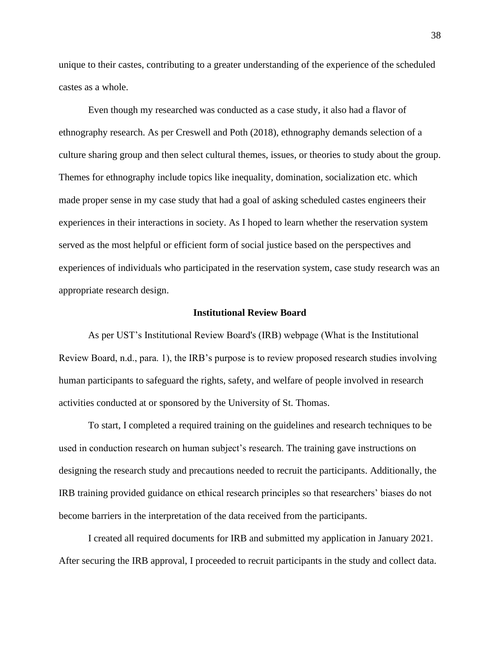unique to their castes, contributing to a greater understanding of the experience of the scheduled castes as a whole.

Even though my researched was conducted as a case study, it also had a flavor of ethnography research. As per Creswell and Poth (2018), ethnography demands selection of a culture sharing group and then select cultural themes, issues, or theories to study about the group. Themes for ethnography include topics like inequality, domination, socialization etc. which made proper sense in my case study that had a goal of asking scheduled castes engineers their experiences in their interactions in society. As I hoped to learn whether the reservation system served as the most helpful or efficient form of social justice based on the perspectives and experiences of individuals who participated in the reservation system, case study research was an appropriate research design.

#### **Institutional Review Board**

As per UST's Institutional Review Board's (IRB) webpage (What is the Institutional Review Board, n.d., para. 1), the IRB's purpose is to review proposed research studies involving human participants to safeguard the rights, safety, and welfare of people involved in research activities conducted at or sponsored by the University of St. Thomas.

To start, I completed a required training on the guidelines and research techniques to be used in conduction research on human subject's research. The training gave instructions on designing the research study and precautions needed to recruit the participants. Additionally, the IRB training provided guidance on ethical research principles so that researchers' biases do not become barriers in the interpretation of the data received from the participants.

I created all required documents for IRB and submitted my application in January 2021. After securing the IRB approval, I proceeded to recruit participants in the study and collect data.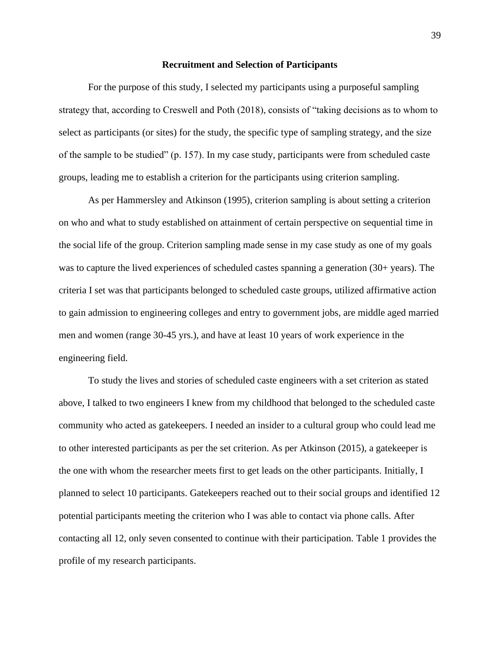#### **Recruitment and Selection of Participants**

For the purpose of this study, I selected my participants using a purposeful sampling strategy that, according to Creswell and Poth (2018), consists of "taking decisions as to whom to select as participants (or sites) for the study, the specific type of sampling strategy, and the size of the sample to be studied" (p. 157). In my case study, participants were from scheduled caste groups, leading me to establish a criterion for the participants using criterion sampling.

As per Hammersley and Atkinson (1995), criterion sampling is about setting a criterion on who and what to study established on attainment of certain perspective on sequential time in the social life of the group. Criterion sampling made sense in my case study as one of my goals was to capture the lived experiences of scheduled castes spanning a generation (30+ years). The criteria I set was that participants belonged to scheduled caste groups, utilized affirmative action to gain admission to engineering colleges and entry to government jobs, are middle aged married men and women (range 30-45 yrs.), and have at least 10 years of work experience in the engineering field.

To study the lives and stories of scheduled caste engineers with a set criterion as stated above, I talked to two engineers I knew from my childhood that belonged to the scheduled caste community who acted as gatekeepers. I needed an insider to a cultural group who could lead me to other interested participants as per the set criterion. As per Atkinson (2015), a gatekeeper is the one with whom the researcher meets first to get leads on the other participants. Initially, I planned to select 10 participants. Gatekeepers reached out to their social groups and identified 12 potential participants meeting the criterion who I was able to contact via phone calls. After contacting all 12, only seven consented to continue with their participation. Table 1 provides the profile of my research participants.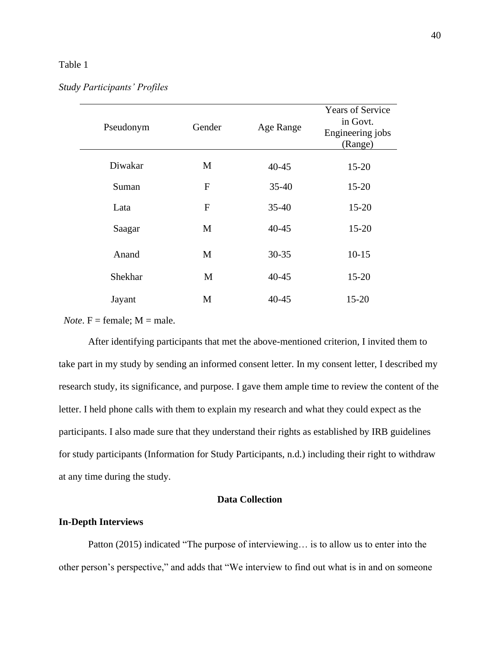# Table 1

*Study Participants' Profiles*

| Pseudonym | Gender       | Age Range | <b>Years of Service</b><br>in Govt.<br>Engineering jobs<br>(Range) |
|-----------|--------------|-----------|--------------------------------------------------------------------|
| Diwakar   | M            | $40 - 45$ | $15 - 20$                                                          |
| Suman     | $\mathbf{F}$ | $35 - 40$ | $15 - 20$                                                          |
| Lata      | $\mathbf{F}$ | $35 - 40$ | $15 - 20$                                                          |
| Saagar    | M            | $40 - 45$ | $15 - 20$                                                          |
| Anand     | M            | $30 - 35$ | $10-15$                                                            |
| Shekhar   | M            | $40 - 45$ | $15 - 20$                                                          |
| Jayant    | M            | $40 - 45$ | $15 - 20$                                                          |

*Note*.  $F =$  female:  $M =$  male.

After identifying participants that met the above-mentioned criterion, I invited them to take part in my study by sending an informed consent letter. In my consent letter, I described my research study, its significance, and purpose. I gave them ample time to review the content of the letter. I held phone calls with them to explain my research and what they could expect as the participants. I also made sure that they understand their rights as established by IRB guidelines for study participants (Information for Study Participants, n.d.) including their right to withdraw at any time during the study.

# **Data Collection**

# **In-Depth Interviews**

Patton (2015) indicated "The purpose of interviewing… is to allow us to enter into the other person's perspective," and adds that "We interview to find out what is in and on someone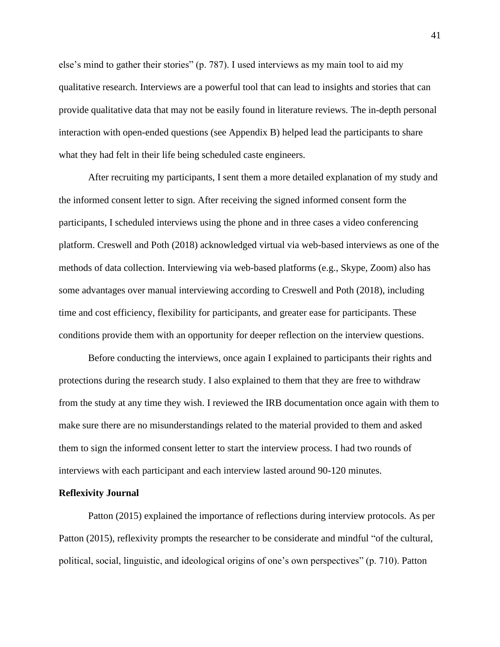else's mind to gather their stories" (p. 787). I used interviews as my main tool to aid my qualitative research. Interviews are a powerful tool that can lead to insights and stories that can provide qualitative data that may not be easily found in literature reviews. The in-depth personal interaction with open-ended questions (see Appendix B) helped lead the participants to share what they had felt in their life being scheduled caste engineers.

After recruiting my participants, I sent them a more detailed explanation of my study and the informed consent letter to sign. After receiving the signed informed consent form the participants, I scheduled interviews using the phone and in three cases a video conferencing platform. Creswell and Poth (2018) acknowledged virtual via web-based interviews as one of the methods of data collection. Interviewing via web-based platforms (e.g., Skype, Zoom) also has some advantages over manual interviewing according to Creswell and Poth (2018), including time and cost efficiency, flexibility for participants, and greater ease for participants. These conditions provide them with an opportunity for deeper reflection on the interview questions.

Before conducting the interviews, once again I explained to participants their rights and protections during the research study. I also explained to them that they are free to withdraw from the study at any time they wish. I reviewed the IRB documentation once again with them to make sure there are no misunderstandings related to the material provided to them and asked them to sign the informed consent letter to start the interview process. I had two rounds of interviews with each participant and each interview lasted around 90-120 minutes.

#### **Reflexivity Journal**

Patton (2015) explained the importance of reflections during interview protocols. As per Patton (2015), reflexivity prompts the researcher to be considerate and mindful "of the cultural, political, social, linguistic, and ideological origins of one's own perspectives" (p. 710). Patton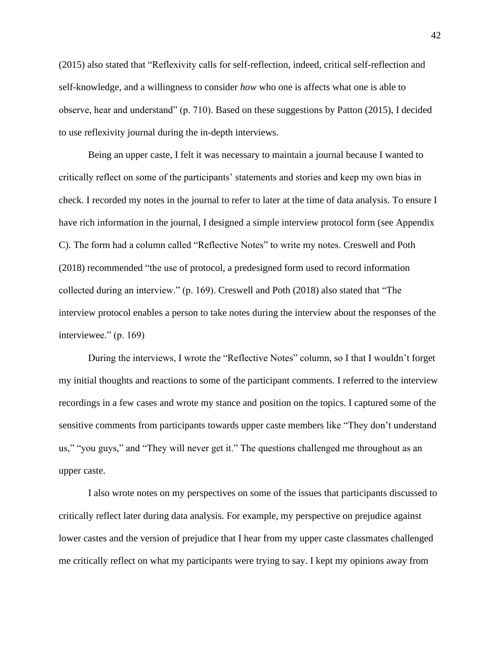(2015) also stated that "Reflexivity calls for self-reflection, indeed, critical self-reflection and self-knowledge, and a willingness to consider *how* who one is affects what one is able to observe, hear and understand" (p. 710). Based on these suggestions by Patton (2015), I decided to use reflexivity journal during the in-depth interviews.

Being an upper caste, I felt it was necessary to maintain a journal because I wanted to critically reflect on some of the participants' statements and stories and keep my own bias in check. I recorded my notes in the journal to refer to later at the time of data analysis. To ensure I have rich information in the journal, I designed a simple interview protocol form (see Appendix C). The form had a column called "Reflective Notes" to write my notes. Creswell and Poth (2018) recommended "the use of protocol, a predesigned form used to record information collected during an interview." (p. 169). Creswell and Poth (2018) also stated that "The interview protocol enables a person to take notes during the interview about the responses of the interviewee." (p. 169)

During the interviews, I wrote the "Reflective Notes" column, so I that I wouldn't forget my initial thoughts and reactions to some of the participant comments. I referred to the interview recordings in a few cases and wrote my stance and position on the topics. I captured some of the sensitive comments from participants towards upper caste members like "They don't understand us," "you guys," and "They will never get it." The questions challenged me throughout as an upper caste.

I also wrote notes on my perspectives on some of the issues that participants discussed to critically reflect later during data analysis. For example, my perspective on prejudice against lower castes and the version of prejudice that I hear from my upper caste classmates challenged me critically reflect on what my participants were trying to say. I kept my opinions away from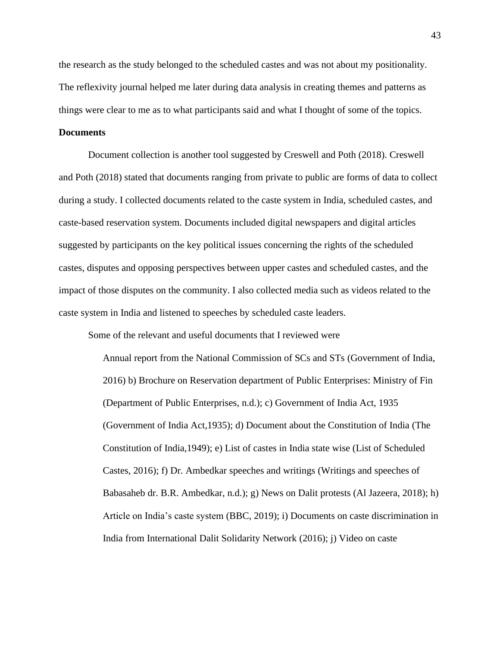the research as the study belonged to the scheduled castes and was not about my positionality. The reflexivity journal helped me later during data analysis in creating themes and patterns as things were clear to me as to what participants said and what I thought of some of the topics.

## **Documents**

Document collection is another tool suggested by Creswell and Poth (2018). Creswell and Poth (2018) stated that documents ranging from private to public are forms of data to collect during a study. I collected documents related to the caste system in India, scheduled castes, and caste-based reservation system. Documents included digital newspapers and digital articles suggested by participants on the key political issues concerning the rights of the scheduled castes, disputes and opposing perspectives between upper castes and scheduled castes, and the impact of those disputes on the community. I also collected media such as videos related to the caste system in India and listened to speeches by scheduled caste leaders.

Some of the relevant and useful documents that I reviewed were

Annual report from the National Commission of SCs and STs (Government of India, 2016) b) Brochure on Reservation department of Public Enterprises: Ministry of Fin (Department of Public Enterprises, n.d.); c) Government of India Act, 1935 (Government of India Act,1935); d) Document about the Constitution of India (The Constitution of India,1949); e) List of castes in India state wise (List of Scheduled Castes, 2016); f) Dr. Ambedkar speeches and writings (Writings and speeches of Babasaheb dr. B.R. Ambedkar, n.d.); g) News on Dalit protests (Al Jazeera, 2018); h) Article on India's caste system (BBC, 2019); i) Documents on caste discrimination in India from International Dalit Solidarity Network (2016); j) Video on caste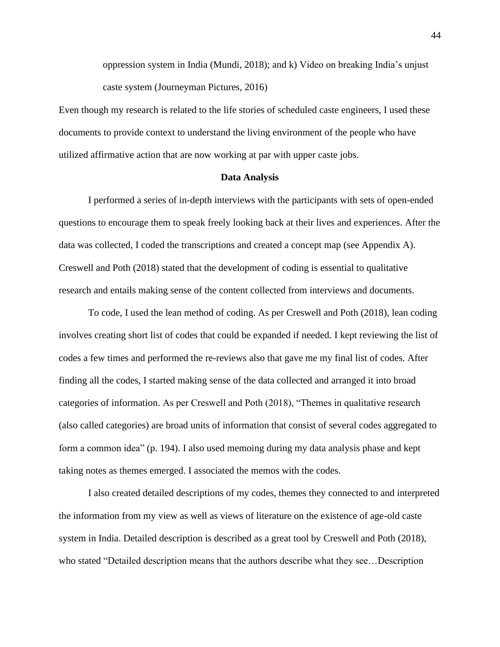oppression system in India (Mundi, 2018); and k) Video on breaking India's unjust caste system (Journeyman Pictures, 2016)

Even though my research is related to the life stories of scheduled caste engineers, I used these documents to provide context to understand the living environment of the people who have utilized affirmative action that are now working at par with upper caste jobs.

## **Data Analysis**

I performed a series of in-depth interviews with the participants with sets of open-ended questions to encourage them to speak freely looking back at their lives and experiences. After the data was collected, I coded the transcriptions and created a concept map (see Appendix A). Creswell and Poth (2018) stated that the development of coding is essential to qualitative research and entails making sense of the content collected from interviews and documents.

To code, I used the lean method of coding. As per Creswell and Poth (2018), lean coding involves creating short list of codes that could be expanded if needed. I kept reviewing the list of codes a few times and performed the re-reviews also that gave me my final list of codes. After finding all the codes, I started making sense of the data collected and arranged it into broad categories of information. As per Creswell and Poth (2018), "Themes in qualitative research (also called categories) are broad units of information that consist of several codes aggregated to form a common idea" (p. 194). I also used memoing during my data analysis phase and kept taking notes as themes emerged. I associated the memos with the codes.

I also created detailed descriptions of my codes, themes they connected to and interpreted the information from my view as well as views of literature on the existence of age-old caste system in India. Detailed description is described as a great tool by Creswell and Poth (2018), who stated "Detailed description means that the authors describe what they see…Description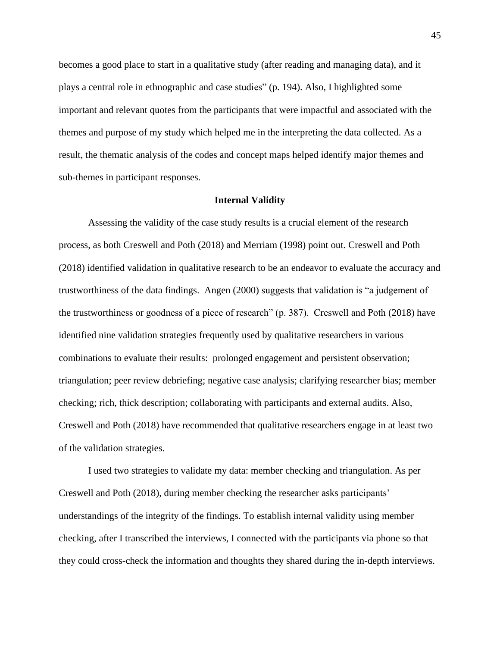becomes a good place to start in a qualitative study (after reading and managing data), and it plays a central role in ethnographic and case studies" (p. 194). Also, I highlighted some important and relevant quotes from the participants that were impactful and associated with the themes and purpose of my study which helped me in the interpreting the data collected. As a result, the thematic analysis of the codes and concept maps helped identify major themes and sub-themes in participant responses.

#### **Internal Validity**

Assessing the validity of the case study results is a crucial element of the research process, as both Creswell and Poth (2018) and Merriam (1998) point out. Creswell and Poth (2018) identified validation in qualitative research to be an endeavor to evaluate the accuracy and trustworthiness of the data findings. Angen (2000) suggests that validation is "a judgement of the trustworthiness or goodness of a piece of research" (p. 387). Creswell and Poth (2018) have identified nine validation strategies frequently used by qualitative researchers in various combinations to evaluate their results: prolonged engagement and persistent observation; triangulation; peer review debriefing; negative case analysis; clarifying researcher bias; member checking; rich, thick description; collaborating with participants and external audits. Also, Creswell and Poth (2018) have recommended that qualitative researchers engage in at least two of the validation strategies.

I used two strategies to validate my data: member checking and triangulation. As per Creswell and Poth (2018), during member checking the researcher asks participants' understandings of the integrity of the findings. To establish internal validity using member checking, after I transcribed the interviews, I connected with the participants via phone so that they could cross-check the information and thoughts they shared during the in-depth interviews.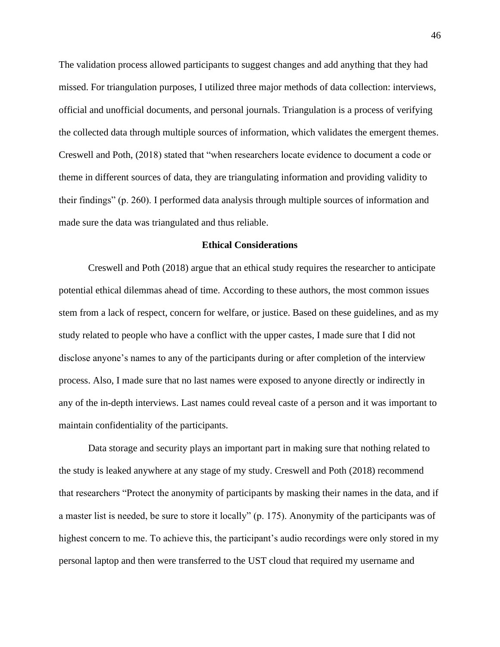The validation process allowed participants to suggest changes and add anything that they had missed. For triangulation purposes, I utilized three major methods of data collection: interviews, official and unofficial documents, and personal journals. Triangulation is a process of verifying the collected data through multiple sources of information, which validates the emergent themes. Creswell and Poth, (2018) stated that "when researchers locate evidence to document a code or theme in different sources of data, they are triangulating information and providing validity to their findings" (p. 260). I performed data analysis through multiple sources of information and made sure the data was triangulated and thus reliable.

#### **Ethical Considerations**

Creswell and Poth (2018) argue that an ethical study requires the researcher to anticipate potential ethical dilemmas ahead of time. According to these authors, the most common issues stem from a lack of respect, concern for welfare, or justice. Based on these guidelines, and as my study related to people who have a conflict with the upper castes, I made sure that I did not disclose anyone's names to any of the participants during or after completion of the interview process. Also, I made sure that no last names were exposed to anyone directly or indirectly in any of the in-depth interviews. Last names could reveal caste of a person and it was important to maintain confidentiality of the participants.

Data storage and security plays an important part in making sure that nothing related to the study is leaked anywhere at any stage of my study. Creswell and Poth (2018) recommend that researchers "Protect the anonymity of participants by masking their names in the data, and if a master list is needed, be sure to store it locally" (p. 175). Anonymity of the participants was of highest concern to me. To achieve this, the participant's audio recordings were only stored in my personal laptop and then were transferred to the UST cloud that required my username and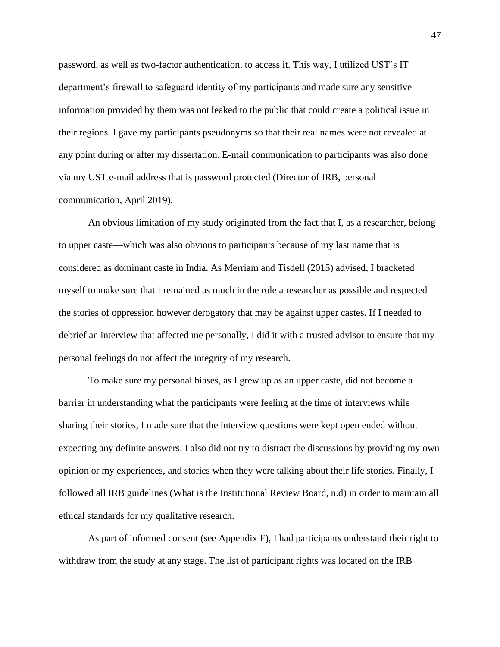password, as well as two-factor authentication, to access it. This way, I utilized UST's IT department's firewall to safeguard identity of my participants and made sure any sensitive information provided by them was not leaked to the public that could create a political issue in their regions. I gave my participants pseudonyms so that their real names were not revealed at any point during or after my dissertation. E-mail communication to participants was also done via my UST e-mail address that is password protected (Director of IRB, personal communication, April 2019).

An obvious limitation of my study originated from the fact that I, as a researcher, belong to upper caste—which was also obvious to participants because of my last name that is considered as dominant caste in India. As Merriam and Tisdell (2015) advised, I bracketed myself to make sure that I remained as much in the role a researcher as possible and respected the stories of oppression however derogatory that may be against upper castes. If I needed to debrief an interview that affected me personally, I did it with a trusted advisor to ensure that my personal feelings do not affect the integrity of my research.

To make sure my personal biases, as I grew up as an upper caste, did not become a barrier in understanding what the participants were feeling at the time of interviews while sharing their stories, I made sure that the interview questions were kept open ended without expecting any definite answers. I also did not try to distract the discussions by providing my own opinion or my experiences, and stories when they were talking about their life stories. Finally, I followed all IRB guidelines (What is the Institutional Review Board, n.d) in order to maintain all ethical standards for my qualitative research.

As part of informed consent (see Appendix F), I had participants understand their right to withdraw from the study at any stage. The list of participant rights was located on the IRB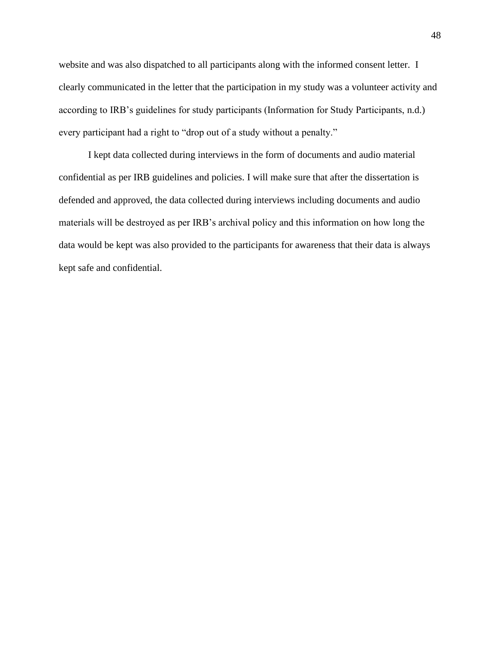website and was also dispatched to all participants along with the informed consent letter. I clearly communicated in the letter that the participation in my study was a volunteer activity and according to IRB's guidelines for study participants (Information for Study Participants, n.d.) every participant had a right to "drop out of a study without a penalty."

I kept data collected during interviews in the form of documents and audio material confidential as per IRB guidelines and policies. I will make sure that after the dissertation is defended and approved, the data collected during interviews including documents and audio materials will be destroyed as per IRB's archival policy and this information on how long the data would be kept was also provided to the participants for awareness that their data is always kept safe and confidential.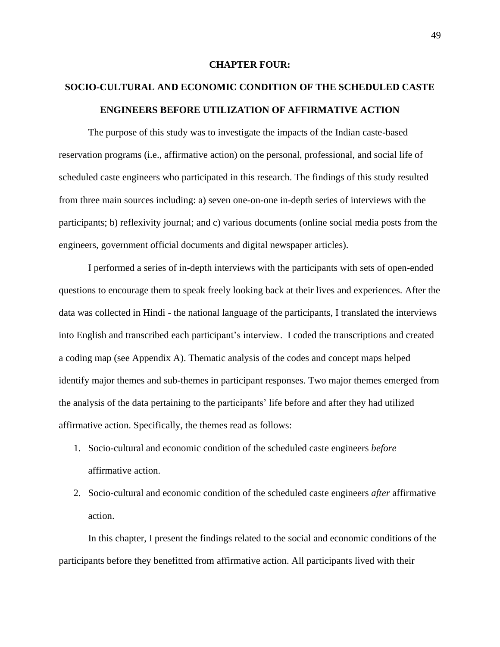## **CHAPTER FOUR:**

# **SOCIO-CULTURAL AND ECONOMIC CONDITION OF THE SCHEDULED CASTE ENGINEERS BEFORE UTILIZATION OF AFFIRMATIVE ACTION**

The purpose of this study was to investigate the impacts of the Indian caste-based reservation programs (i.e., affirmative action) on the personal, professional, and social life of scheduled caste engineers who participated in this research. The findings of this study resulted from three main sources including: a) seven one-on-one in-depth series of interviews with the participants; b) reflexivity journal; and c) various documents (online social media posts from the engineers, government official documents and digital newspaper articles).

I performed a series of in-depth interviews with the participants with sets of open-ended questions to encourage them to speak freely looking back at their lives and experiences. After the data was collected in Hindi - the national language of the participants, I translated the interviews into English and transcribed each participant's interview. I coded the transcriptions and created a coding map (see Appendix A). Thematic analysis of the codes and concept maps helped identify major themes and sub-themes in participant responses. Two major themes emerged from the analysis of the data pertaining to the participants' life before and after they had utilized affirmative action. Specifically, the themes read as follows:

- 1. Socio-cultural and economic condition of the scheduled caste engineers *before*  affirmative action.
- 2. Socio-cultural and economic condition of the scheduled caste engineers *after* affirmative action.

In this chapter, I present the findings related to the social and economic conditions of the participants before they benefitted from affirmative action. All participants lived with their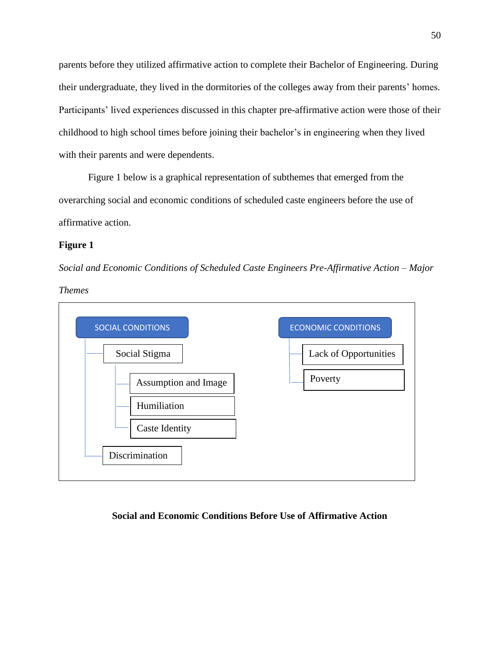parents before they utilized affirmative action to complete their Bachelor of Engineering. During their undergraduate, they lived in the dormitories of the colleges away from their parents' homes. Participants' lived experiences discussed in this chapter pre-affirmative action were those of their childhood to high school times before joining their bachelor's in engineering when they lived with their parents and were dependents.

Figure 1 below is a graphical representation of subthemes that emerged from the overarching social and economic conditions of scheduled caste engineers before the use of affirmative action.

# **Figure 1**

*Social and Economic Conditions of Scheduled Caste Engineers Pre-Affirmative Action – Major* 

*Themes*



# **Social and Economic Conditions Before Use of Affirmative Action**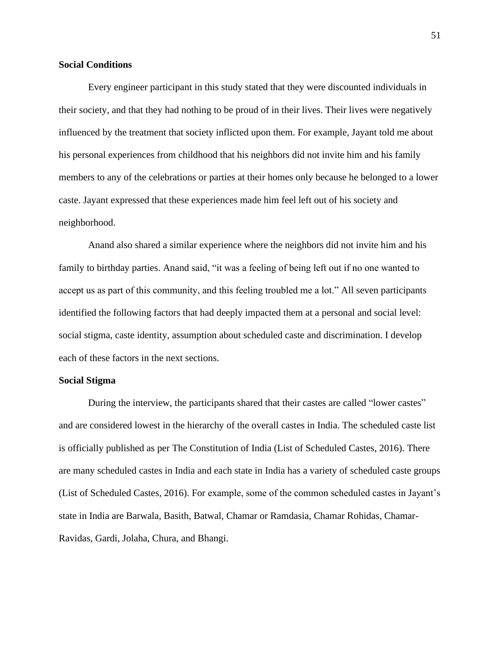## **Social Conditions**

Every engineer participant in this study stated that they were discounted individuals in their society, and that they had nothing to be proud of in their lives. Their lives were negatively influenced by the treatment that society inflicted upon them. For example, Jayant told me about his personal experiences from childhood that his neighbors did not invite him and his family members to any of the celebrations or parties at their homes only because he belonged to a lower caste. Jayant expressed that these experiences made him feel left out of his society and neighborhood.

Anand also shared a similar experience where the neighbors did not invite him and his family to birthday parties. Anand said, "it was a feeling of being left out if no one wanted to accept us as part of this community, and this feeling troubled me a lot." All seven participants identified the following factors that had deeply impacted them at a personal and social level: social stigma, caste identity, assumption about scheduled caste and discrimination. I develop each of these factors in the next sections.

## **Social Stigma**

During the interview, the participants shared that their castes are called "lower castes" and are considered lowest in the hierarchy of the overall castes in India. The scheduled caste list is officially published as per The Constitution of India (List of Scheduled Castes, 2016). There are many scheduled castes in India and each state in India has a variety of scheduled caste groups (List of Scheduled Castes, 2016). For example, some of the common scheduled castes in Jayant's state in India are Barwala, Basith, Batwal, Chamar or Ramdasia, Chamar Rohidas, Chamar-Ravidas, Gardi, Jolaha, Chura, and Bhangi.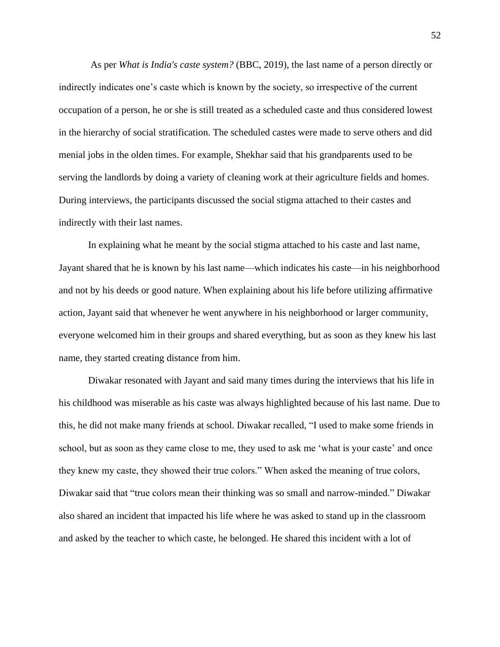As per *What is India's caste system?* (BBC, 2019), the last name of a person directly or indirectly indicates one's caste which is known by the society, so irrespective of the current occupation of a person, he or she is still treated as a scheduled caste and thus considered lowest in the hierarchy of social stratification. The scheduled castes were made to serve others and did menial jobs in the olden times. For example, Shekhar said that his grandparents used to be serving the landlords by doing a variety of cleaning work at their agriculture fields and homes. During interviews, the participants discussed the social stigma attached to their castes and indirectly with their last names.

In explaining what he meant by the social stigma attached to his caste and last name, Jayant shared that he is known by his last name—which indicates his caste—in his neighborhood and not by his deeds or good nature. When explaining about his life before utilizing affirmative action, Jayant said that whenever he went anywhere in his neighborhood or larger community, everyone welcomed him in their groups and shared everything, but as soon as they knew his last name, they started creating distance from him.

Diwakar resonated with Jayant and said many times during the interviews that his life in his childhood was miserable as his caste was always highlighted because of his last name. Due to this, he did not make many friends at school. Diwakar recalled, "I used to make some friends in school, but as soon as they came close to me, they used to ask me 'what is your caste' and once they knew my caste, they showed their true colors." When asked the meaning of true colors, Diwakar said that "true colors mean their thinking was so small and narrow-minded." Diwakar also shared an incident that impacted his life where he was asked to stand up in the classroom and asked by the teacher to which caste, he belonged. He shared this incident with a lot of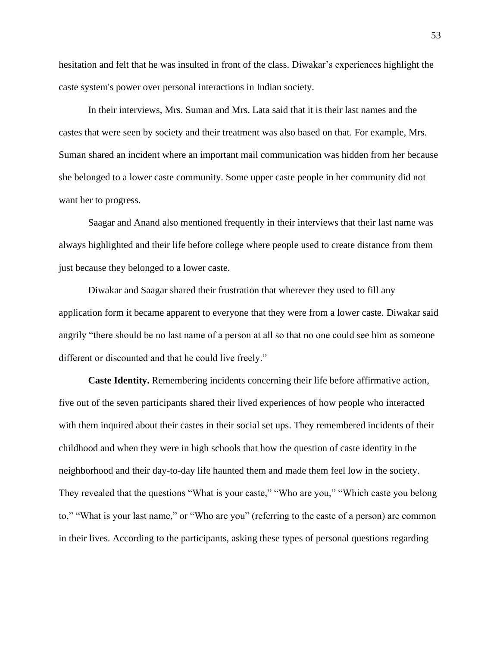hesitation and felt that he was insulted in front of the class. Diwakar's experiences highlight the caste system's power over personal interactions in Indian society.

In their interviews, Mrs. Suman and Mrs. Lata said that it is their last names and the castes that were seen by society and their treatment was also based on that. For example, Mrs. Suman shared an incident where an important mail communication was hidden from her because she belonged to a lower caste community. Some upper caste people in her community did not want her to progress.

Saagar and Anand also mentioned frequently in their interviews that their last name was always highlighted and their life before college where people used to create distance from them just because they belonged to a lower caste.

Diwakar and Saagar shared their frustration that wherever they used to fill any application form it became apparent to everyone that they were from a lower caste. Diwakar said angrily "there should be no last name of a person at all so that no one could see him as someone different or discounted and that he could live freely."

**Caste Identity.** Remembering incidents concerning their life before affirmative action, five out of the seven participants shared their lived experiences of how people who interacted with them inquired about their castes in their social set ups. They remembered incidents of their childhood and when they were in high schools that how the question of caste identity in the neighborhood and their day-to-day life haunted them and made them feel low in the society. They revealed that the questions "What is your caste," "Who are you," "Which caste you belong to," "What is your last name," or "Who are you" (referring to the caste of a person) are common in their lives. According to the participants, asking these types of personal questions regarding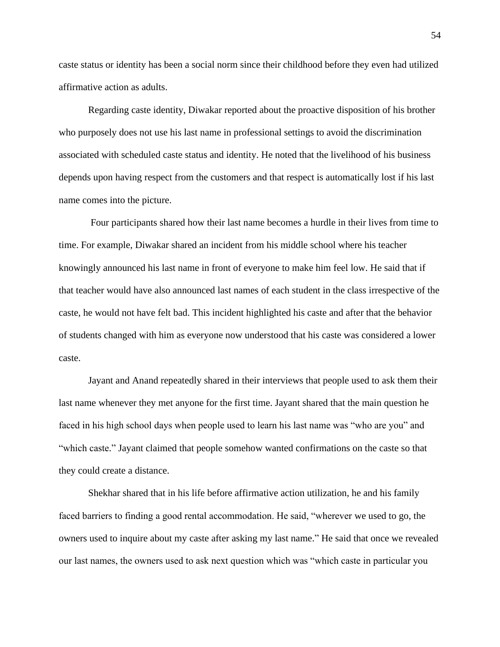caste status or identity has been a social norm since their childhood before they even had utilized affirmative action as adults.

Regarding caste identity, Diwakar reported about the proactive disposition of his brother who purposely does not use his last name in professional settings to avoid the discrimination associated with scheduled caste status and identity. He noted that the livelihood of his business depends upon having respect from the customers and that respect is automatically lost if his last name comes into the picture.

Four participants shared how their last name becomes a hurdle in their lives from time to time. For example, Diwakar shared an incident from his middle school where his teacher knowingly announced his last name in front of everyone to make him feel low. He said that if that teacher would have also announced last names of each student in the class irrespective of the caste, he would not have felt bad. This incident highlighted his caste and after that the behavior of students changed with him as everyone now understood that his caste was considered a lower caste.

Jayant and Anand repeatedly shared in their interviews that people used to ask them their last name whenever they met anyone for the first time. Jayant shared that the main question he faced in his high school days when people used to learn his last name was "who are you" and "which caste." Jayant claimed that people somehow wanted confirmations on the caste so that they could create a distance.

Shekhar shared that in his life before affirmative action utilization, he and his family faced barriers to finding a good rental accommodation. He said, "wherever we used to go, the owners used to inquire about my caste after asking my last name." He said that once we revealed our last names, the owners used to ask next question which was "which caste in particular you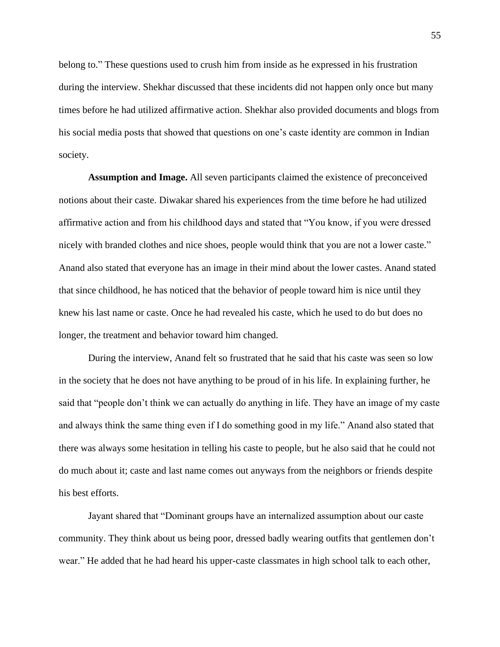belong to." These questions used to crush him from inside as he expressed in his frustration during the interview. Shekhar discussed that these incidents did not happen only once but many times before he had utilized affirmative action. Shekhar also provided documents and blogs from his social media posts that showed that questions on one's caste identity are common in Indian society.

**Assumption and Image.** All seven participants claimed the existence of preconceived notions about their caste. Diwakar shared his experiences from the time before he had utilized affirmative action and from his childhood days and stated that "You know, if you were dressed nicely with branded clothes and nice shoes, people would think that you are not a lower caste." Anand also stated that everyone has an image in their mind about the lower castes. Anand stated that since childhood, he has noticed that the behavior of people toward him is nice until they knew his last name or caste. Once he had revealed his caste, which he used to do but does no longer, the treatment and behavior toward him changed.

During the interview, Anand felt so frustrated that he said that his caste was seen so low in the society that he does not have anything to be proud of in his life. In explaining further, he said that "people don't think we can actually do anything in life. They have an image of my caste and always think the same thing even if I do something good in my life." Anand also stated that there was always some hesitation in telling his caste to people, but he also said that he could not do much about it; caste and last name comes out anyways from the neighbors or friends despite his best efforts.

Jayant shared that "Dominant groups have an internalized assumption about our caste community. They think about us being poor, dressed badly wearing outfits that gentlemen don't wear." He added that he had heard his upper-caste classmates in high school talk to each other,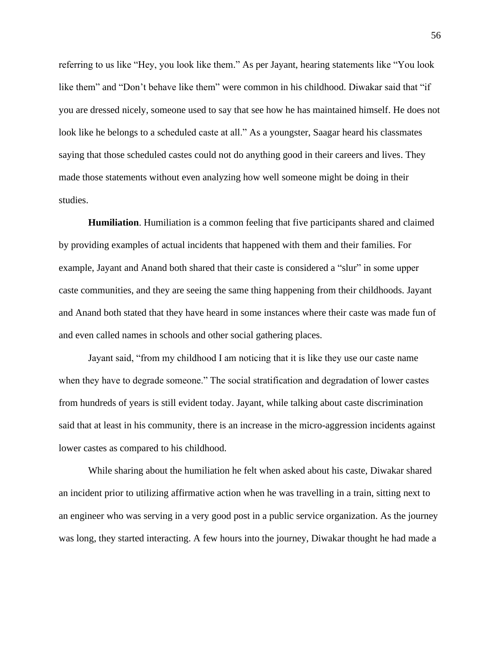referring to us like "Hey, you look like them." As per Jayant, hearing statements like "You look like them" and "Don't behave like them" were common in his childhood. Diwakar said that "if you are dressed nicely, someone used to say that see how he has maintained himself. He does not look like he belongs to a scheduled caste at all." As a youngster, Saagar heard his classmates saying that those scheduled castes could not do anything good in their careers and lives. They made those statements without even analyzing how well someone might be doing in their studies.

**Humiliation**. Humiliation is a common feeling that five participants shared and claimed by providing examples of actual incidents that happened with them and their families. For example, Jayant and Anand both shared that their caste is considered a "slur" in some upper caste communities, and they are seeing the same thing happening from their childhoods. Jayant and Anand both stated that they have heard in some instances where their caste was made fun of and even called names in schools and other social gathering places.

Jayant said, "from my childhood I am noticing that it is like they use our caste name when they have to degrade someone." The social stratification and degradation of lower castes from hundreds of years is still evident today. Jayant, while talking about caste discrimination said that at least in his community, there is an increase in the micro-aggression incidents against lower castes as compared to his childhood.

While sharing about the humiliation he felt when asked about his caste, Diwakar shared an incident prior to utilizing affirmative action when he was travelling in a train, sitting next to an engineer who was serving in a very good post in a public service organization. As the journey was long, they started interacting. A few hours into the journey, Diwakar thought he had made a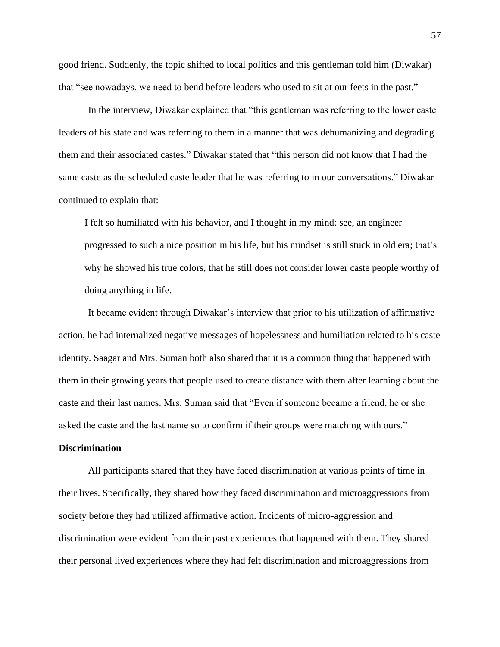good friend. Suddenly, the topic shifted to local politics and this gentleman told him (Diwakar) that "see nowadays, we need to bend before leaders who used to sit at our feets in the past."

In the interview, Diwakar explained that "this gentleman was referring to the lower caste leaders of his state and was referring to them in a manner that was dehumanizing and degrading them and their associated castes." Diwakar stated that "this person did not know that I had the same caste as the scheduled caste leader that he was referring to in our conversations." Diwakar continued to explain that:

I felt so humiliated with his behavior, and I thought in my mind: see, an engineer progressed to such a nice position in his life, but his mindset is still stuck in old era; that's why he showed his true colors, that he still does not consider lower caste people worthy of doing anything in life.

It became evident through Diwakar's interview that prior to his utilization of affirmative action, he had internalized negative messages of hopelessness and humiliation related to his caste identity. Saagar and Mrs. Suman both also shared that it is a common thing that happened with them in their growing years that people used to create distance with them after learning about the caste and their last names. Mrs. Suman said that "Even if someone became a friend, he or she asked the caste and the last name so to confirm if their groups were matching with ours."

## **Discrimination**

All participants shared that they have faced discrimination at various points of time in their lives. Specifically, they shared how they faced discrimination and microaggressions from society before they had utilized affirmative action. Incidents of micro-aggression and discrimination were evident from their past experiences that happened with them. They shared their personal lived experiences where they had felt discrimination and microaggressions from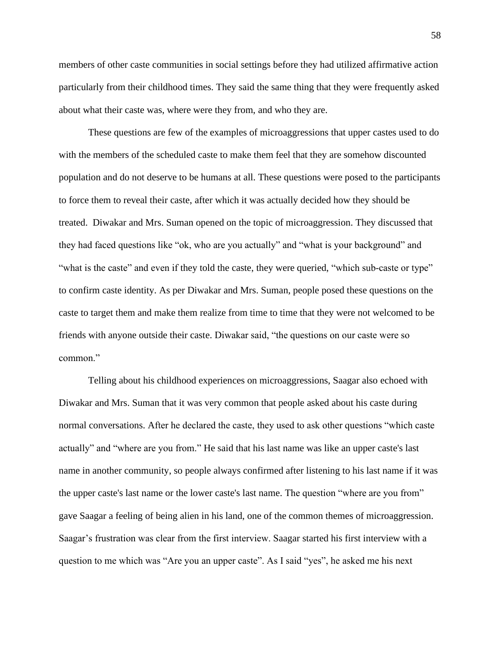members of other caste communities in social settings before they had utilized affirmative action particularly from their childhood times. They said the same thing that they were frequently asked about what their caste was, where were they from, and who they are.

These questions are few of the examples of microaggressions that upper castes used to do with the members of the scheduled caste to make them feel that they are somehow discounted population and do not deserve to be humans at all. These questions were posed to the participants to force them to reveal their caste, after which it was actually decided how they should be treated. Diwakar and Mrs. Suman opened on the topic of microaggression. They discussed that they had faced questions like "ok, who are you actually" and "what is your background" and "what is the caste" and even if they told the caste, they were queried, "which sub-caste or type" to confirm caste identity. As per Diwakar and Mrs. Suman, people posed these questions on the caste to target them and make them realize from time to time that they were not welcomed to be friends with anyone outside their caste. Diwakar said, "the questions on our caste were so common."

Telling about his childhood experiences on microaggressions, Saagar also echoed with Diwakar and Mrs. Suman that it was very common that people asked about his caste during normal conversations. After he declared the caste, they used to ask other questions "which caste actually" and "where are you from." He said that his last name was like an upper caste's last name in another community, so people always confirmed after listening to his last name if it was the upper caste's last name or the lower caste's last name. The question "where are you from" gave Saagar a feeling of being alien in his land, one of the common themes of microaggression. Saagar's frustration was clear from the first interview. Saagar started his first interview with a question to me which was "Are you an upper caste". As I said "yes", he asked me his next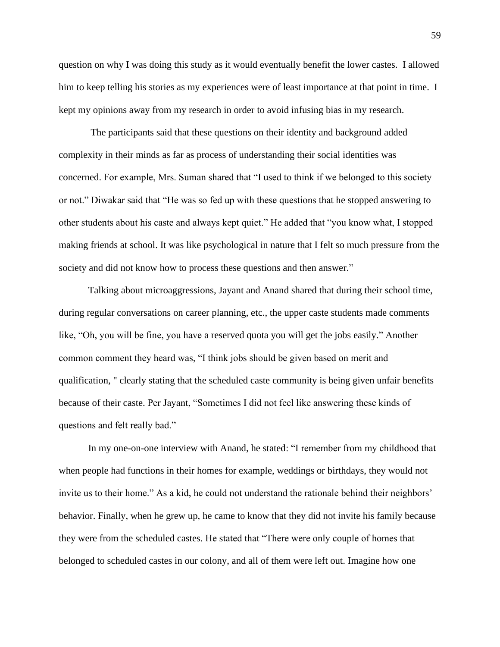question on why I was doing this study as it would eventually benefit the lower castes. I allowed him to keep telling his stories as my experiences were of least importance at that point in time. I kept my opinions away from my research in order to avoid infusing bias in my research.

The participants said that these questions on their identity and background added complexity in their minds as far as process of understanding their social identities was concerned. For example, Mrs. Suman shared that "I used to think if we belonged to this society or not." Diwakar said that "He was so fed up with these questions that he stopped answering to other students about his caste and always kept quiet." He added that "you know what, I stopped making friends at school. It was like psychological in nature that I felt so much pressure from the society and did not know how to process these questions and then answer."

Talking about microaggressions, Jayant and Anand shared that during their school time, during regular conversations on career planning, etc., the upper caste students made comments like, "Oh, you will be fine, you have a reserved quota you will get the jobs easily." Another common comment they heard was, "I think jobs should be given based on merit and qualification, " clearly stating that the scheduled caste community is being given unfair benefits because of their caste. Per Jayant, "Sometimes I did not feel like answering these kinds of questions and felt really bad."

In my one-on-one interview with Anand, he stated: "I remember from my childhood that when people had functions in their homes for example, weddings or birthdays, they would not invite us to their home." As a kid, he could not understand the rationale behind their neighbors' behavior. Finally, when he grew up, he came to know that they did not invite his family because they were from the scheduled castes. He stated that "There were only couple of homes that belonged to scheduled castes in our colony, and all of them were left out. Imagine how one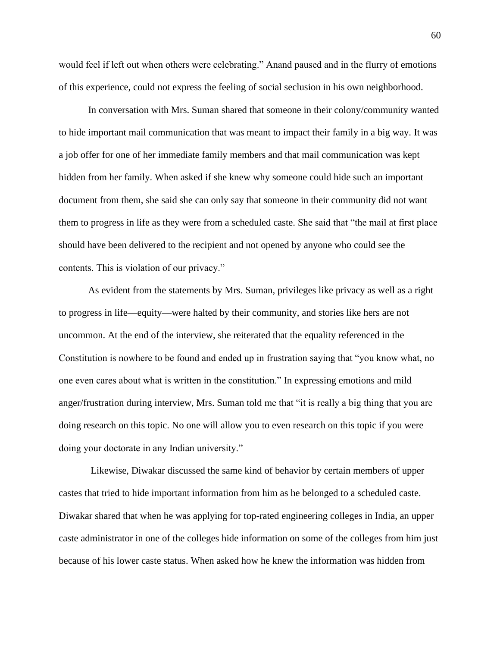would feel if left out when others were celebrating." Anand paused and in the flurry of emotions of this experience, could not express the feeling of social seclusion in his own neighborhood.

In conversation with Mrs. Suman shared that someone in their colony/community wanted to hide important mail communication that was meant to impact their family in a big way. It was a job offer for one of her immediate family members and that mail communication was kept hidden from her family. When asked if she knew why someone could hide such an important document from them, she said she can only say that someone in their community did not want them to progress in life as they were from a scheduled caste. She said that "the mail at first place should have been delivered to the recipient and not opened by anyone who could see the contents. This is violation of our privacy."

As evident from the statements by Mrs. Suman, privileges like privacy as well as a right to progress in life—equity—were halted by their community, and stories like hers are not uncommon. At the end of the interview, she reiterated that the equality referenced in the Constitution is nowhere to be found and ended up in frustration saying that "you know what, no one even cares about what is written in the constitution." In expressing emotions and mild anger/frustration during interview, Mrs. Suman told me that "it is really a big thing that you are doing research on this topic. No one will allow you to even research on this topic if you were doing your doctorate in any Indian university."

Likewise, Diwakar discussed the same kind of behavior by certain members of upper castes that tried to hide important information from him as he belonged to a scheduled caste. Diwakar shared that when he was applying for top-rated engineering colleges in India, an upper caste administrator in one of the colleges hide information on some of the colleges from him just because of his lower caste status. When asked how he knew the information was hidden from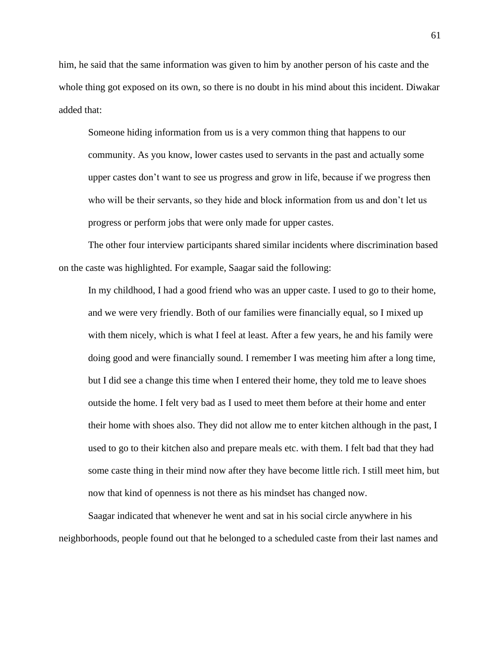him, he said that the same information was given to him by another person of his caste and the whole thing got exposed on its own, so there is no doubt in his mind about this incident. Diwakar added that:

Someone hiding information from us is a very common thing that happens to our community. As you know, lower castes used to servants in the past and actually some upper castes don't want to see us progress and grow in life, because if we progress then who will be their servants, so they hide and block information from us and don't let us progress or perform jobs that were only made for upper castes.

The other four interview participants shared similar incidents where discrimination based on the caste was highlighted. For example, Saagar said the following:

In my childhood, I had a good friend who was an upper caste. I used to go to their home, and we were very friendly. Both of our families were financially equal, so I mixed up with them nicely, which is what I feel at least. After a few years, he and his family were doing good and were financially sound. I remember I was meeting him after a long time, but I did see a change this time when I entered their home, they told me to leave shoes outside the home. I felt very bad as I used to meet them before at their home and enter their home with shoes also. They did not allow me to enter kitchen although in the past, I used to go to their kitchen also and prepare meals etc. with them. I felt bad that they had some caste thing in their mind now after they have become little rich. I still meet him, but now that kind of openness is not there as his mindset has changed now.

Saagar indicated that whenever he went and sat in his social circle anywhere in his neighborhoods, people found out that he belonged to a scheduled caste from their last names and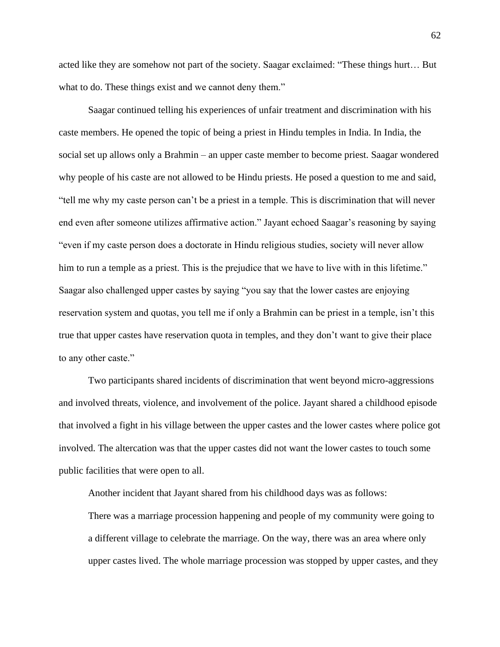acted like they are somehow not part of the society. Saagar exclaimed: "These things hurt… But what to do. These things exist and we cannot deny them."

Saagar continued telling his experiences of unfair treatment and discrimination with his caste members. He opened the topic of being a priest in Hindu temples in India. In India, the social set up allows only a Brahmin – an upper caste member to become priest. Saagar wondered why people of his caste are not allowed to be Hindu priests. He posed a question to me and said, "tell me why my caste person can't be a priest in a temple. This is discrimination that will never end even after someone utilizes affirmative action." Jayant echoed Saagar's reasoning by saying "even if my caste person does a doctorate in Hindu religious studies, society will never allow him to run a temple as a priest. This is the prejudice that we have to live with in this lifetime." Saagar also challenged upper castes by saying "you say that the lower castes are enjoying reservation system and quotas, you tell me if only a Brahmin can be priest in a temple, isn't this true that upper castes have reservation quota in temples, and they don't want to give their place to any other caste."

Two participants shared incidents of discrimination that went beyond micro-aggressions and involved threats, violence, and involvement of the police. Jayant shared a childhood episode that involved a fight in his village between the upper castes and the lower castes where police got involved. The altercation was that the upper castes did not want the lower castes to touch some public facilities that were open to all.

Another incident that Jayant shared from his childhood days was as follows: There was a marriage procession happening and people of my community were going to a different village to celebrate the marriage. On the way, there was an area where only upper castes lived. The whole marriage procession was stopped by upper castes, and they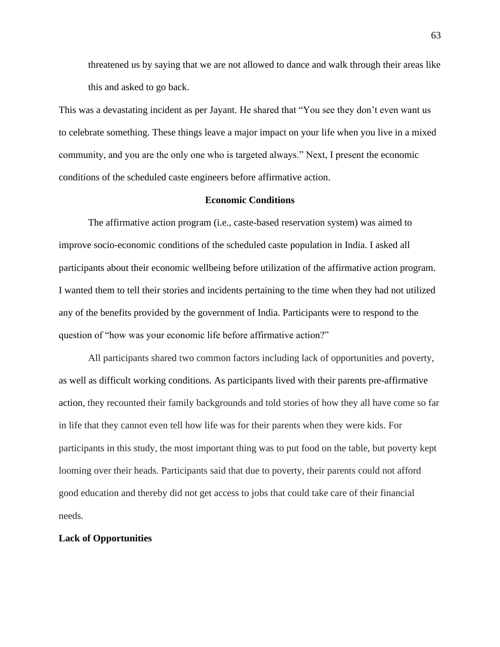threatened us by saying that we are not allowed to dance and walk through their areas like this and asked to go back.

This was a devastating incident as per Jayant. He shared that "You see they don't even want us to celebrate something. These things leave a major impact on your life when you live in a mixed community, and you are the only one who is targeted always." Next, I present the economic conditions of the scheduled caste engineers before affirmative action.

#### **Economic Conditions**

The affirmative action program (i.e., caste-based reservation system) was aimed to improve socio-economic conditions of the scheduled caste population in India. I asked all participants about their economic wellbeing before utilization of the affirmative action program. I wanted them to tell their stories and incidents pertaining to the time when they had not utilized any of the benefits provided by the government of India. Participants were to respond to the question of "how was your economic life before affirmative action?"

All participants shared two common factors including lack of opportunities and poverty, as well as difficult working conditions. As participants lived with their parents pre-affirmative action, they recounted their family backgrounds and told stories of how they all have come so far in life that they cannot even tell how life was for their parents when they were kids. For participants in this study, the most important thing was to put food on the table, but poverty kept looming over their heads. Participants said that due to poverty, their parents could not afford good education and thereby did not get access to jobs that could take care of their financial needs.

# **Lack of Opportunities**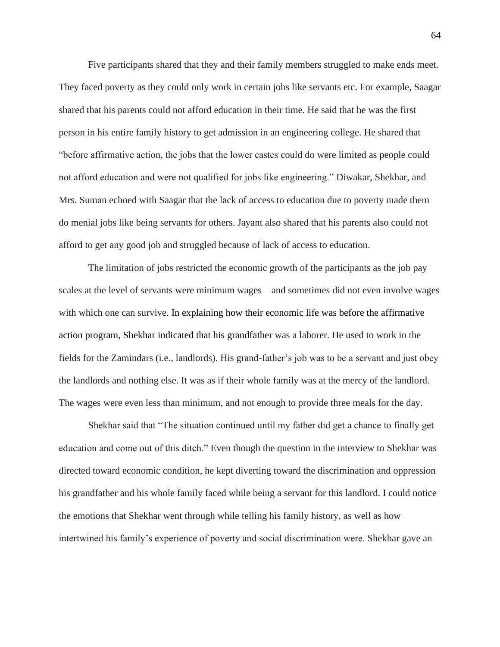Five participants shared that they and their family members struggled to make ends meet. They faced poverty as they could only work in certain jobs like servants etc. For example, Saagar shared that his parents could not afford education in their time. He said that he was the first person in his entire family history to get admission in an engineering college. He shared that "before affirmative action, the jobs that the lower castes could do were limited as people could not afford education and were not qualified for jobs like engineering." Diwakar, Shekhar, and Mrs. Suman echoed with Saagar that the lack of access to education due to poverty made them do menial jobs like being servants for others. Jayant also shared that his parents also could not afford to get any good job and struggled because of lack of access to education.

The limitation of jobs restricted the economic growth of the participants as the job pay scales at the level of servants were minimum wages—and sometimes did not even involve wages with which one can survive. In explaining how their economic life was before the affirmative action program, Shekhar indicated that his grandfather was a laborer. He used to work in the fields for the Zamindars (i.e., landlords). His grand-father's job was to be a servant and just obey the landlords and nothing else. It was as if their whole family was at the mercy of the landlord. The wages were even less than minimum, and not enough to provide three meals for the day.

Shekhar said that "The situation continued until my father did get a chance to finally get education and come out of this ditch." Even though the question in the interview to Shekhar was directed toward economic condition, he kept diverting toward the discrimination and oppression his grandfather and his whole family faced while being a servant for this landlord. I could notice the emotions that Shekhar went through while telling his family history, as well as how intertwined his family's experience of poverty and social discrimination were. Shekhar gave an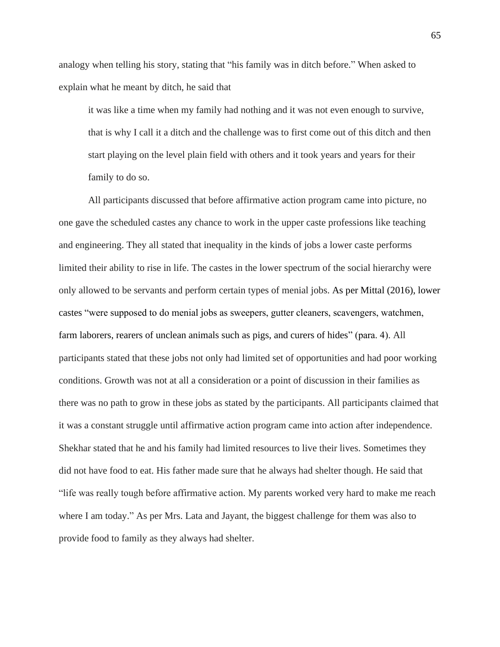analogy when telling his story, stating that "his family was in ditch before." When asked to explain what he meant by ditch, he said that

it was like a time when my family had nothing and it was not even enough to survive, that is why I call it a ditch and the challenge was to first come out of this ditch and then start playing on the level plain field with others and it took years and years for their family to do so.

All participants discussed that before affirmative action program came into picture, no one gave the scheduled castes any chance to work in the upper caste professions like teaching and engineering. They all stated that inequality in the kinds of jobs a lower caste performs limited their ability to rise in life. The castes in the lower spectrum of the social hierarchy were only allowed to be servants and perform certain types of menial jobs. As per Mittal (2016), lower castes "were supposed to do menial jobs as sweepers, gutter cleaners, scavengers, watchmen, farm laborers, rearers of unclean animals such as pigs, and curers of hides" (para. 4). All participants stated that these jobs not only had limited set of opportunities and had poor working conditions. Growth was not at all a consideration or a point of discussion in their families as there was no path to grow in these jobs as stated by the participants. All participants claimed that it was a constant struggle until affirmative action program came into action after independence. Shekhar stated that he and his family had limited resources to live their lives. Sometimes they did not have food to eat. His father made sure that he always had shelter though. He said that "life was really tough before affirmative action. My parents worked very hard to make me reach where I am today." As per Mrs. Lata and Jayant, the biggest challenge for them was also to provide food to family as they always had shelter.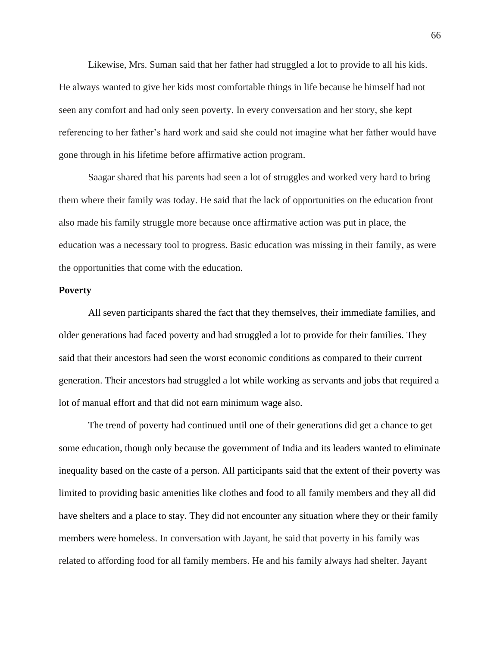Likewise, Mrs. Suman said that her father had struggled a lot to provide to all his kids. He always wanted to give her kids most comfortable things in life because he himself had not seen any comfort and had only seen poverty. In every conversation and her story, she kept referencing to her father's hard work and said she could not imagine what her father would have gone through in his lifetime before affirmative action program.

Saagar shared that his parents had seen a lot of struggles and worked very hard to bring them where their family was today. He said that the lack of opportunities on the education front also made his family struggle more because once affirmative action was put in place, the education was a necessary tool to progress. Basic education was missing in their family, as were the opportunities that come with the education.

# **Poverty**

All seven participants shared the fact that they themselves, their immediate families, and older generations had faced poverty and had struggled a lot to provide for their families. They said that their ancestors had seen the worst economic conditions as compared to their current generation. Their ancestors had struggled a lot while working as servants and jobs that required a lot of manual effort and that did not earn minimum wage also.

The trend of poverty had continued until one of their generations did get a chance to get some education, though only because the government of India and its leaders wanted to eliminate inequality based on the caste of a person. All participants said that the extent of their poverty was limited to providing basic amenities like clothes and food to all family members and they all did have shelters and a place to stay. They did not encounter any situation where they or their family members were homeless. In conversation with Jayant, he said that poverty in his family was related to affording food for all family members. He and his family always had shelter. Jayant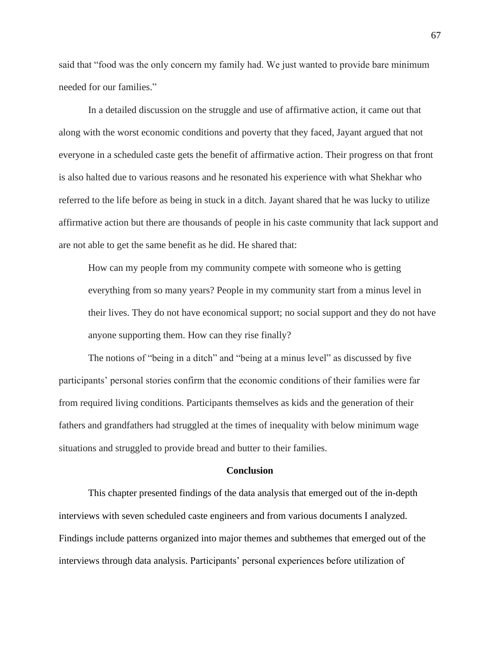said that "food was the only concern my family had. We just wanted to provide bare minimum needed for our families."

In a detailed discussion on the struggle and use of affirmative action, it came out that along with the worst economic conditions and poverty that they faced, Jayant argued that not everyone in a scheduled caste gets the benefit of affirmative action. Their progress on that front is also halted due to various reasons and he resonated his experience with what Shekhar who referred to the life before as being in stuck in a ditch. Jayant shared that he was lucky to utilize affirmative action but there are thousands of people in his caste community that lack support and are not able to get the same benefit as he did. He shared that:

How can my people from my community compete with someone who is getting everything from so many years? People in my community start from a minus level in their lives. They do not have economical support; no social support and they do not have anyone supporting them. How can they rise finally?

The notions of "being in a ditch" and "being at a minus level" as discussed by five participants' personal stories confirm that the economic conditions of their families were far from required living conditions. Participants themselves as kids and the generation of their fathers and grandfathers had struggled at the times of inequality with below minimum wage situations and struggled to provide bread and butter to their families.

#### **Conclusion**

This chapter presented findings of the data analysis that emerged out of the in-depth interviews with seven scheduled caste engineers and from various documents I analyzed. Findings include patterns organized into major themes and subthemes that emerged out of the interviews through data analysis. Participants' personal experiences before utilization of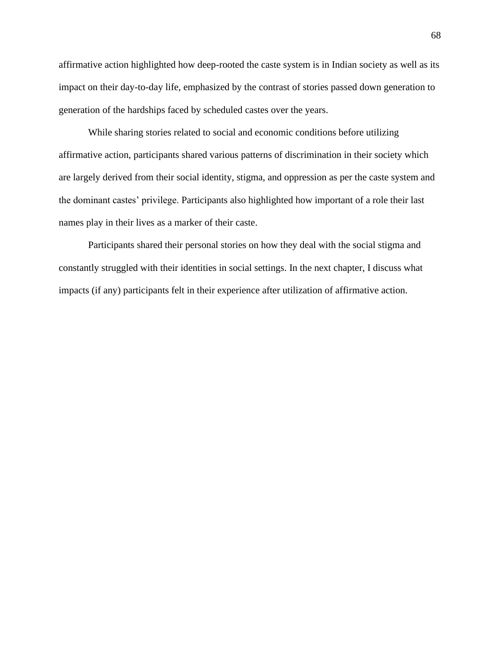affirmative action highlighted how deep-rooted the caste system is in Indian society as well as its impact on their day-to-day life, emphasized by the contrast of stories passed down generation to generation of the hardships faced by scheduled castes over the years.

While sharing stories related to social and economic conditions before utilizing affirmative action, participants shared various patterns of discrimination in their society which are largely derived from their social identity, stigma, and oppression as per the caste system and the dominant castes' privilege. Participants also highlighted how important of a role their last names play in their lives as a marker of their caste.

Participants shared their personal stories on how they deal with the social stigma and constantly struggled with their identities in social settings. In the next chapter, I discuss what impacts (if any) participants felt in their experience after utilization of affirmative action.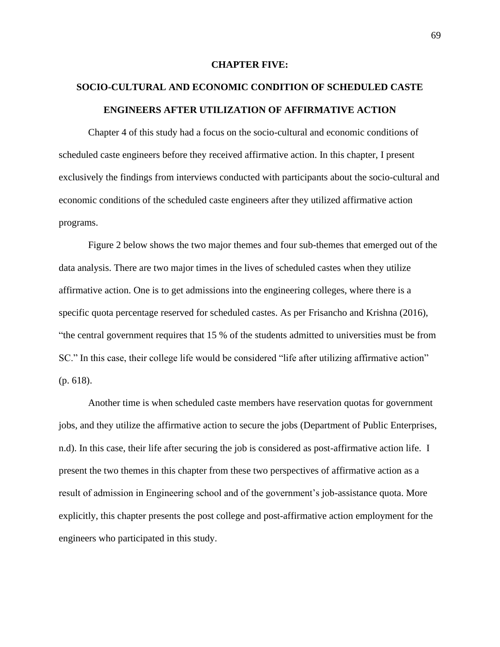# **CHAPTER FIVE:**

# **SOCIO-CULTURAL AND ECONOMIC CONDITION OF SCHEDULED CASTE ENGINEERS AFTER UTILIZATION OF AFFIRMATIVE ACTION**

Chapter 4 of this study had a focus on the socio-cultural and economic conditions of scheduled caste engineers before they received affirmative action. In this chapter, I present exclusively the findings from interviews conducted with participants about the socio-cultural and economic conditions of the scheduled caste engineers after they utilized affirmative action programs.

Figure 2 below shows the two major themes and four sub-themes that emerged out of the data analysis. There are two major times in the lives of scheduled castes when they utilize affirmative action. One is to get admissions into the engineering colleges, where there is a specific quota percentage reserved for scheduled castes. As per Frisancho and Krishna (2016), "the central government requires that 15 % of the students admitted to universities must be from SC." In this case, their college life would be considered "life after utilizing affirmative action" (p. 618).

Another time is when scheduled caste members have reservation quotas for government jobs, and they utilize the affirmative action to secure the jobs (Department of Public Enterprises, n.d). In this case, their life after securing the job is considered as post-affirmative action life. I present the two themes in this chapter from these two perspectives of affirmative action as a result of admission in Engineering school and of the government's job-assistance quota. More explicitly, this chapter presents the post college and post-affirmative action employment for the engineers who participated in this study.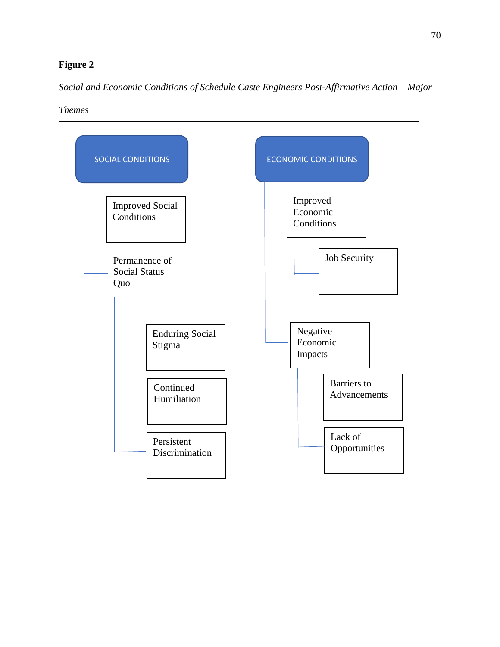# **Figure 2**

*Social and Economic Conditions of Schedule Caste Engineers Post-Affirmative Action – Major* 



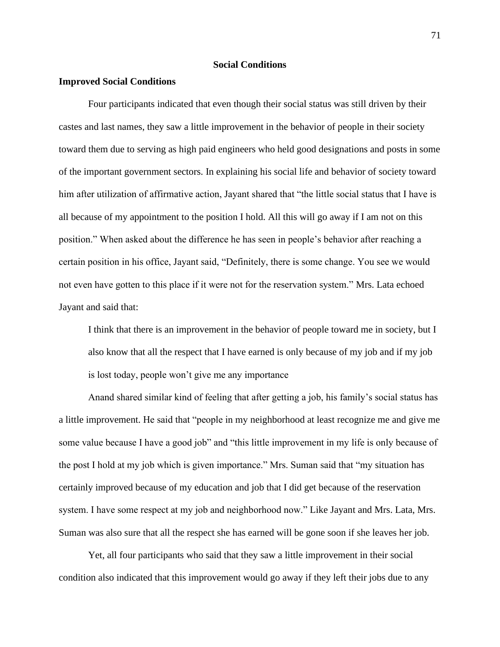# **Social Conditions**

# **Improved Social Conditions**

Four participants indicated that even though their social status was still driven by their castes and last names, they saw a little improvement in the behavior of people in their society toward them due to serving as high paid engineers who held good designations and posts in some of the important government sectors. In explaining his social life and behavior of society toward him after utilization of affirmative action, Jayant shared that "the little social status that I have is all because of my appointment to the position I hold. All this will go away if I am not on this position." When asked about the difference he has seen in people's behavior after reaching a certain position in his office, Jayant said, "Definitely, there is some change. You see we would not even have gotten to this place if it were not for the reservation system." Mrs. Lata echoed Jayant and said that:

I think that there is an improvement in the behavior of people toward me in society, but I also know that all the respect that I have earned is only because of my job and if my job is lost today, people won't give me any importance

Anand shared similar kind of feeling that after getting a job, his family's social status has a little improvement. He said that "people in my neighborhood at least recognize me and give me some value because I have a good job" and "this little improvement in my life is only because of the post I hold at my job which is given importance." Mrs. Suman said that "my situation has certainly improved because of my education and job that I did get because of the reservation system. I have some respect at my job and neighborhood now." Like Jayant and Mrs. Lata, Mrs. Suman was also sure that all the respect she has earned will be gone soon if she leaves her job.

Yet, all four participants who said that they saw a little improvement in their social condition also indicated that this improvement would go away if they left their jobs due to any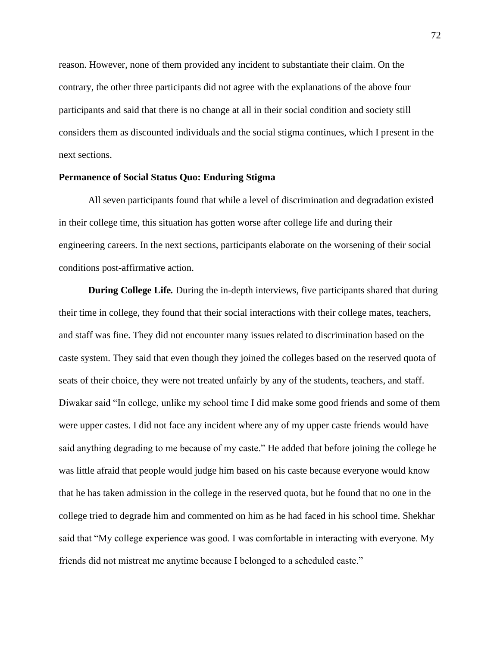reason. However, none of them provided any incident to substantiate their claim. On the contrary, the other three participants did not agree with the explanations of the above four participants and said that there is no change at all in their social condition and society still considers them as discounted individuals and the social stigma continues, which I present in the next sections.

# **Permanence of Social Status Quo: Enduring Stigma**

All seven participants found that while a level of discrimination and degradation existed in their college time, this situation has gotten worse after college life and during their engineering careers. In the next sections, participants elaborate on the worsening of their social conditions post-affirmative action.

**During College Life***.* During the in-depth interviews, five participants shared that during their time in college, they found that their social interactions with their college mates, teachers, and staff was fine. They did not encounter many issues related to discrimination based on the caste system. They said that even though they joined the colleges based on the reserved quota of seats of their choice, they were not treated unfairly by any of the students, teachers, and staff. Diwakar said "In college, unlike my school time I did make some good friends and some of them were upper castes. I did not face any incident where any of my upper caste friends would have said anything degrading to me because of my caste." He added that before joining the college he was little afraid that people would judge him based on his caste because everyone would know that he has taken admission in the college in the reserved quota, but he found that no one in the college tried to degrade him and commented on him as he had faced in his school time. Shekhar said that "My college experience was good. I was comfortable in interacting with everyone. My friends did not mistreat me anytime because I belonged to a scheduled caste."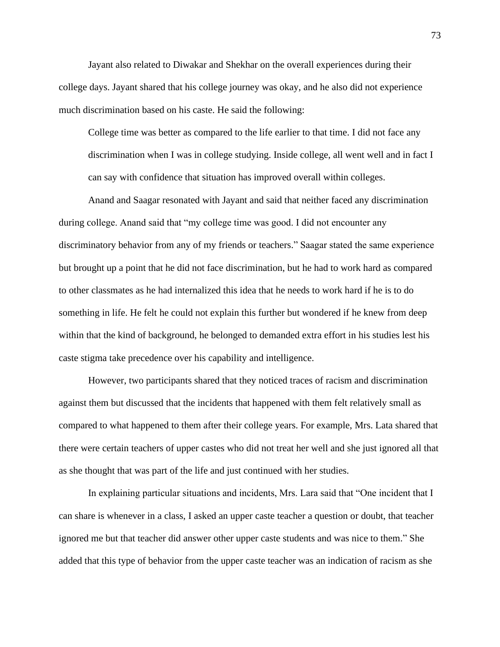Jayant also related to Diwakar and Shekhar on the overall experiences during their college days. Jayant shared that his college journey was okay, and he also did not experience much discrimination based on his caste. He said the following:

College time was better as compared to the life earlier to that time. I did not face any discrimination when I was in college studying. Inside college, all went well and in fact I can say with confidence that situation has improved overall within colleges.

Anand and Saagar resonated with Jayant and said that neither faced any discrimination during college. Anand said that "my college time was good. I did not encounter any discriminatory behavior from any of my friends or teachers." Saagar stated the same experience but brought up a point that he did not face discrimination, but he had to work hard as compared to other classmates as he had internalized this idea that he needs to work hard if he is to do something in life. He felt he could not explain this further but wondered if he knew from deep within that the kind of background, he belonged to demanded extra effort in his studies lest his caste stigma take precedence over his capability and intelligence.

However, two participants shared that they noticed traces of racism and discrimination against them but discussed that the incidents that happened with them felt relatively small as compared to what happened to them after their college years. For example, Mrs. Lata shared that there were certain teachers of upper castes who did not treat her well and she just ignored all that as she thought that was part of the life and just continued with her studies.

In explaining particular situations and incidents, Mrs. Lara said that "One incident that I can share is whenever in a class, I asked an upper caste teacher a question or doubt, that teacher ignored me but that teacher did answer other upper caste students and was nice to them." She added that this type of behavior from the upper caste teacher was an indication of racism as she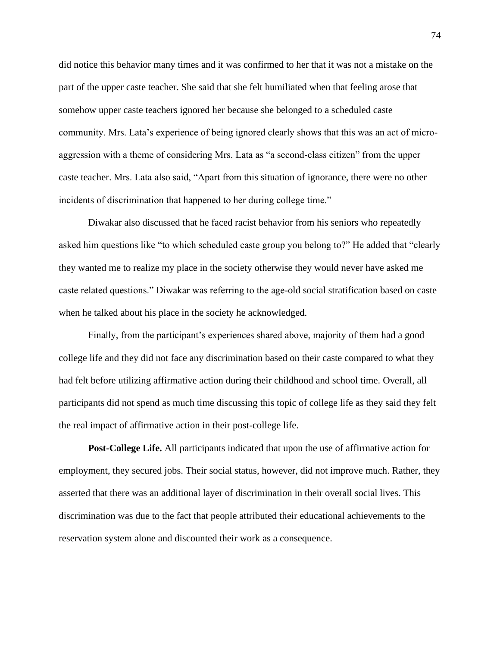did notice this behavior many times and it was confirmed to her that it was not a mistake on the part of the upper caste teacher. She said that she felt humiliated when that feeling arose that somehow upper caste teachers ignored her because she belonged to a scheduled caste community. Mrs. Lata's experience of being ignored clearly shows that this was an act of microaggression with a theme of considering Mrs. Lata as "a second-class citizen" from the upper caste teacher. Mrs. Lata also said, "Apart from this situation of ignorance, there were no other incidents of discrimination that happened to her during college time."

Diwakar also discussed that he faced racist behavior from his seniors who repeatedly asked him questions like "to which scheduled caste group you belong to?" He added that "clearly they wanted me to realize my place in the society otherwise they would never have asked me caste related questions." Diwakar was referring to the age-old social stratification based on caste when he talked about his place in the society he acknowledged.

Finally, from the participant's experiences shared above, majority of them had a good college life and they did not face any discrimination based on their caste compared to what they had felt before utilizing affirmative action during their childhood and school time. Overall, all participants did not spend as much time discussing this topic of college life as they said they felt the real impact of affirmative action in their post-college life.

**Post-College Life.** All participants indicated that upon the use of affirmative action for employment, they secured jobs. Their social status, however, did not improve much. Rather, they asserted that there was an additional layer of discrimination in their overall social lives. This discrimination was due to the fact that people attributed their educational achievements to the reservation system alone and discounted their work as a consequence.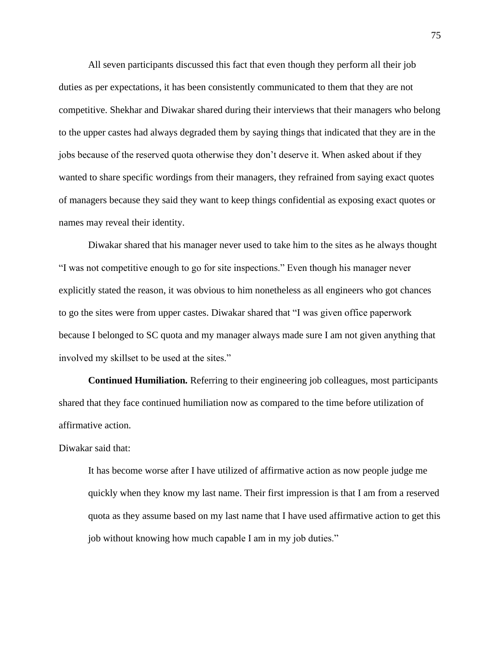All seven participants discussed this fact that even though they perform all their job duties as per expectations, it has been consistently communicated to them that they are not competitive. Shekhar and Diwakar shared during their interviews that their managers who belong to the upper castes had always degraded them by saying things that indicated that they are in the jobs because of the reserved quota otherwise they don't deserve it. When asked about if they wanted to share specific wordings from their managers, they refrained from saying exact quotes of managers because they said they want to keep things confidential as exposing exact quotes or names may reveal their identity.

Diwakar shared that his manager never used to take him to the sites as he always thought "I was not competitive enough to go for site inspections." Even though his manager never explicitly stated the reason, it was obvious to him nonetheless as all engineers who got chances to go the sites were from upper castes. Diwakar shared that "I was given office paperwork because I belonged to SC quota and my manager always made sure I am not given anything that involved my skillset to be used at the sites."

**Continued Humiliation***.* Referring to their engineering job colleagues, most participants shared that they face continued humiliation now as compared to the time before utilization of affirmative action.

# Diwakar said that:

It has become worse after I have utilized of affirmative action as now people judge me quickly when they know my last name. Their first impression is that I am from a reserved quota as they assume based on my last name that I have used affirmative action to get this job without knowing how much capable I am in my job duties."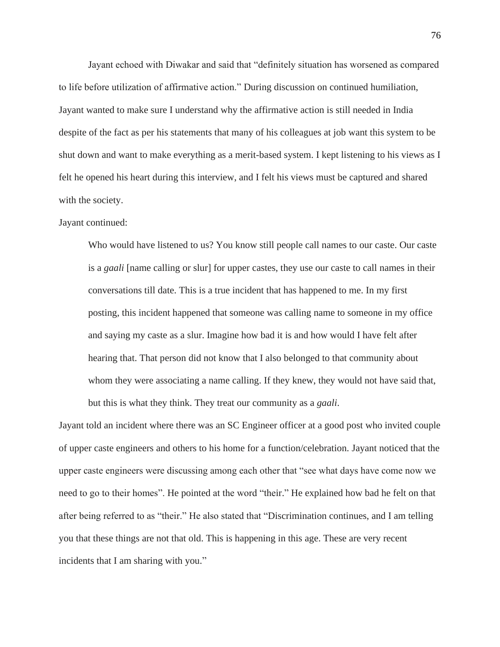Jayant echoed with Diwakar and said that "definitely situation has worsened as compared to life before utilization of affirmative action." During discussion on continued humiliation, Jayant wanted to make sure I understand why the affirmative action is still needed in India despite of the fact as per his statements that many of his colleagues at job want this system to be shut down and want to make everything as a merit-based system. I kept listening to his views as I felt he opened his heart during this interview, and I felt his views must be captured and shared with the society.

# Jayant continued:

Who would have listened to us? You know still people call names to our caste. Our caste is a *gaali* [name calling or slur] for upper castes, they use our caste to call names in their conversations till date. This is a true incident that has happened to me. In my first posting, this incident happened that someone was calling name to someone in my office and saying my caste as a slur. Imagine how bad it is and how would I have felt after hearing that. That person did not know that I also belonged to that community about whom they were associating a name calling. If they knew, they would not have said that, but this is what they think. They treat our community as a *gaali*.

Jayant told an incident where there was an SC Engineer officer at a good post who invited couple of upper caste engineers and others to his home for a function/celebration. Jayant noticed that the upper caste engineers were discussing among each other that "see what days have come now we need to go to their homes". He pointed at the word "their." He explained how bad he felt on that after being referred to as "their." He also stated that "Discrimination continues, and I am telling you that these things are not that old. This is happening in this age. These are very recent incidents that I am sharing with you."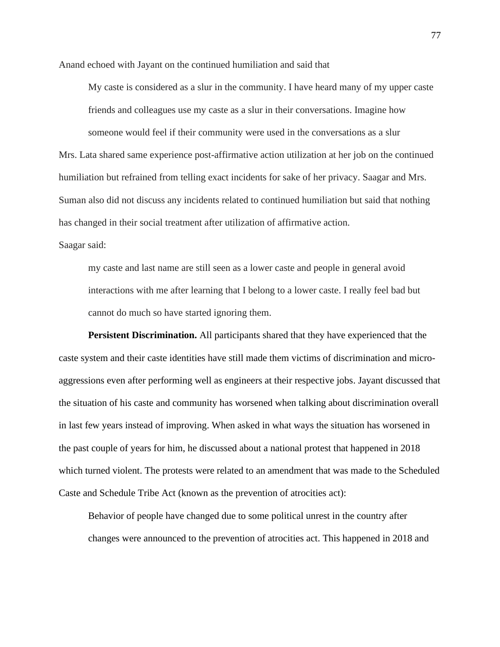Anand echoed with Jayant on the continued humiliation and said that

My caste is considered as a slur in the community. I have heard many of my upper caste friends and colleagues use my caste as a slur in their conversations. Imagine how someone would feel if their community were used in the conversations as a slur

Mrs. Lata shared same experience post-affirmative action utilization at her job on the continued humiliation but refrained from telling exact incidents for sake of her privacy. Saagar and Mrs. Suman also did not discuss any incidents related to continued humiliation but said that nothing has changed in their social treatment after utilization of affirmative action.

Saagar said:

my caste and last name are still seen as a lower caste and people in general avoid interactions with me after learning that I belong to a lower caste. I really feel bad but cannot do much so have started ignoring them.

**Persistent Discrimination.** All participants shared that they have experienced that the caste system and their caste identities have still made them victims of discrimination and microaggressions even after performing well as engineers at their respective jobs. Jayant discussed that the situation of his caste and community has worsened when talking about discrimination overall in last few years instead of improving. When asked in what ways the situation has worsened in the past couple of years for him, he discussed about a national protest that happened in 2018 which turned violent. The protests were related to an amendment that was made to the Scheduled Caste and Schedule Tribe Act (known as the prevention of atrocities act):

Behavior of people have changed due to some political unrest in the country after changes were announced to the prevention of atrocities act. This happened in 2018 and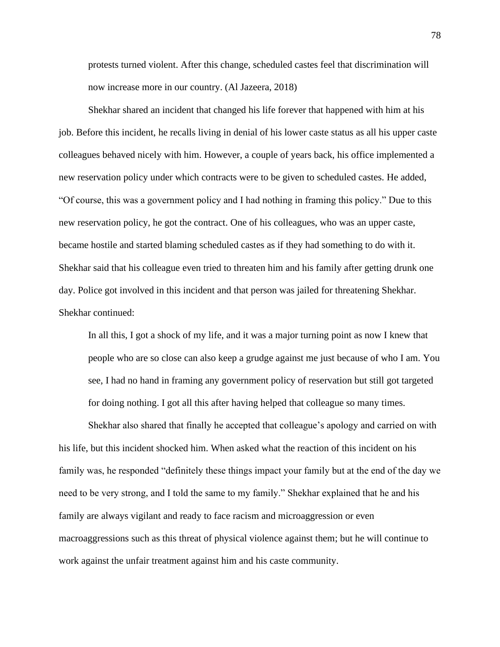protests turned violent. After this change, scheduled castes feel that discrimination will now increase more in our country. (Al Jazeera, 2018)

Shekhar shared an incident that changed his life forever that happened with him at his job. Before this incident, he recalls living in denial of his lower caste status as all his upper caste colleagues behaved nicely with him. However, a couple of years back, his office implemented a new reservation policy under which contracts were to be given to scheduled castes. He added, "Of course, this was a government policy and I had nothing in framing this policy." Due to this new reservation policy, he got the contract. One of his colleagues, who was an upper caste, became hostile and started blaming scheduled castes as if they had something to do with it. Shekhar said that his colleague even tried to threaten him and his family after getting drunk one day. Police got involved in this incident and that person was jailed for threatening Shekhar. Shekhar continued:

In all this, I got a shock of my life, and it was a major turning point as now I knew that people who are so close can also keep a grudge against me just because of who I am. You see, I had no hand in framing any government policy of reservation but still got targeted for doing nothing. I got all this after having helped that colleague so many times.

Shekhar also shared that finally he accepted that colleague's apology and carried on with his life, but this incident shocked him. When asked what the reaction of this incident on his family was, he responded "definitely these things impact your family but at the end of the day we need to be very strong, and I told the same to my family." Shekhar explained that he and his family are always vigilant and ready to face racism and microaggression or even macroaggressions such as this threat of physical violence against them; but he will continue to work against the unfair treatment against him and his caste community.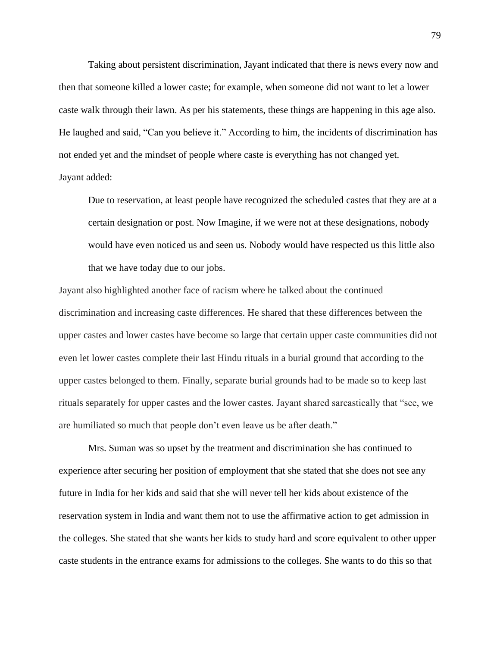Taking about persistent discrimination, Jayant indicated that there is news every now and then that someone killed a lower caste; for example, when someone did not want to let a lower caste walk through their lawn. As per his statements, these things are happening in this age also. He laughed and said, "Can you believe it." According to him, the incidents of discrimination has not ended yet and the mindset of people where caste is everything has not changed yet. Jayant added:

Due to reservation, at least people have recognized the scheduled castes that they are at a certain designation or post. Now Imagine, if we were not at these designations, nobody would have even noticed us and seen us. Nobody would have respected us this little also that we have today due to our jobs.

Jayant also highlighted another face of racism where he talked about the continued discrimination and increasing caste differences. He shared that these differences between the upper castes and lower castes have become so large that certain upper caste communities did not even let lower castes complete their last Hindu rituals in a burial ground that according to the upper castes belonged to them. Finally, separate burial grounds had to be made so to keep last rituals separately for upper castes and the lower castes. Jayant shared sarcastically that "see, we are humiliated so much that people don't even leave us be after death."

Mrs. Suman was so upset by the treatment and discrimination she has continued to experience after securing her position of employment that she stated that she does not see any future in India for her kids and said that she will never tell her kids about existence of the reservation system in India and want them not to use the affirmative action to get admission in the colleges. She stated that she wants her kids to study hard and score equivalent to other upper caste students in the entrance exams for admissions to the colleges. She wants to do this so that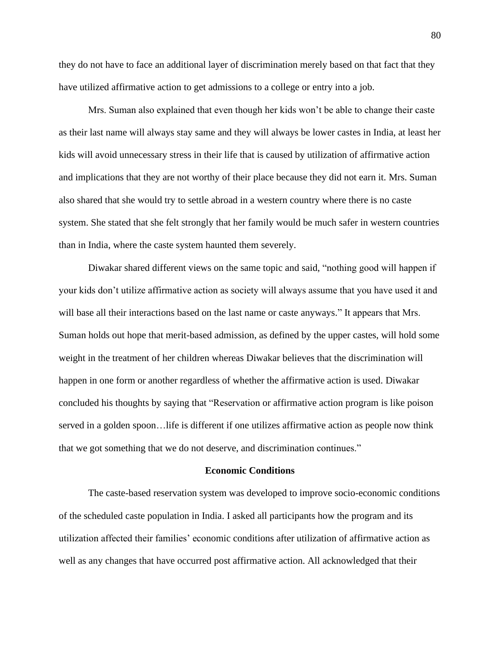they do not have to face an additional layer of discrimination merely based on that fact that they have utilized affirmative action to get admissions to a college or entry into a job.

Mrs. Suman also explained that even though her kids won't be able to change their caste as their last name will always stay same and they will always be lower castes in India, at least her kids will avoid unnecessary stress in their life that is caused by utilization of affirmative action and implications that they are not worthy of their place because they did not earn it. Mrs. Suman also shared that she would try to settle abroad in a western country where there is no caste system. She stated that she felt strongly that her family would be much safer in western countries than in India, where the caste system haunted them severely.

Diwakar shared different views on the same topic and said, "nothing good will happen if your kids don't utilize affirmative action as society will always assume that you have used it and will base all their interactions based on the last name or caste anyways." It appears that Mrs. Suman holds out hope that merit-based admission, as defined by the upper castes, will hold some weight in the treatment of her children whereas Diwakar believes that the discrimination will happen in one form or another regardless of whether the affirmative action is used. Diwakar concluded his thoughts by saying that "Reservation or affirmative action program is like poison served in a golden spoon…life is different if one utilizes affirmative action as people now think that we got something that we do not deserve, and discrimination continues."

#### **Economic Conditions**

The caste-based reservation system was developed to improve socio-economic conditions of the scheduled caste population in India. I asked all participants how the program and its utilization affected their families' economic conditions after utilization of affirmative action as well as any changes that have occurred post affirmative action. All acknowledged that their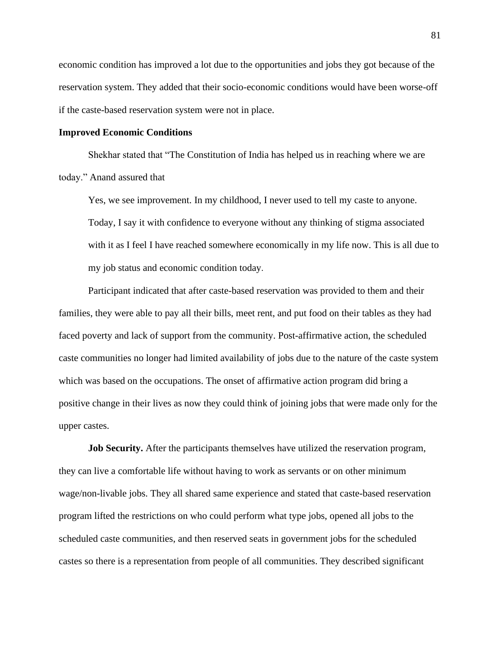economic condition has improved a lot due to the opportunities and jobs they got because of the reservation system. They added that their socio-economic conditions would have been worse-off if the caste-based reservation system were not in place.

# **Improved Economic Conditions**

Shekhar stated that "The Constitution of India has helped us in reaching where we are today." Anand assured that

Yes, we see improvement. In my childhood, I never used to tell my caste to anyone. Today, I say it with confidence to everyone without any thinking of stigma associated with it as I feel I have reached somewhere economically in my life now. This is all due to my job status and economic condition today.

Participant indicated that after caste-based reservation was provided to them and their families, they were able to pay all their bills, meet rent, and put food on their tables as they had faced poverty and lack of support from the community. Post-affirmative action, the scheduled caste communities no longer had limited availability of jobs due to the nature of the caste system which was based on the occupations. The onset of affirmative action program did bring a positive change in their lives as now they could think of joining jobs that were made only for the upper castes.

**Job Security.** After the participants themselves have utilized the reservation program, they can live a comfortable life without having to work as servants or on other minimum wage/non-livable jobs. They all shared same experience and stated that caste-based reservation program lifted the restrictions on who could perform what type jobs, opened all jobs to the scheduled caste communities, and then reserved seats in government jobs for the scheduled castes so there is a representation from people of all communities. They described significant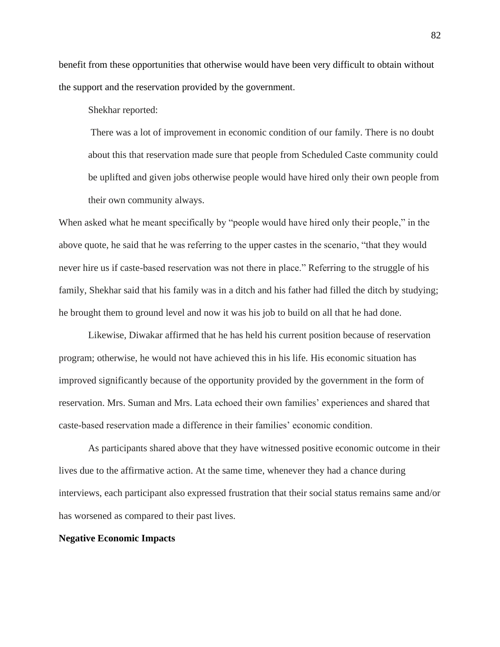benefit from these opportunities that otherwise would have been very difficult to obtain without the support and the reservation provided by the government.

Shekhar reported:

There was a lot of improvement in economic condition of our family. There is no doubt about this that reservation made sure that people from Scheduled Caste community could be uplifted and given jobs otherwise people would have hired only their own people from their own community always.

When asked what he meant specifically by "people would have hired only their people," in the above quote, he said that he was referring to the upper castes in the scenario, "that they would never hire us if caste-based reservation was not there in place." Referring to the struggle of his family, Shekhar said that his family was in a ditch and his father had filled the ditch by studying; he brought them to ground level and now it was his job to build on all that he had done.

Likewise, Diwakar affirmed that he has held his current position because of reservation program; otherwise, he would not have achieved this in his life. His economic situation has improved significantly because of the opportunity provided by the government in the form of reservation. Mrs. Suman and Mrs. Lata echoed their own families' experiences and shared that caste-based reservation made a difference in their families' economic condition.

As participants shared above that they have witnessed positive economic outcome in their lives due to the affirmative action. At the same time, whenever they had a chance during interviews, each participant also expressed frustration that their social status remains same and/or has worsened as compared to their past lives.

# **Negative Economic Impacts**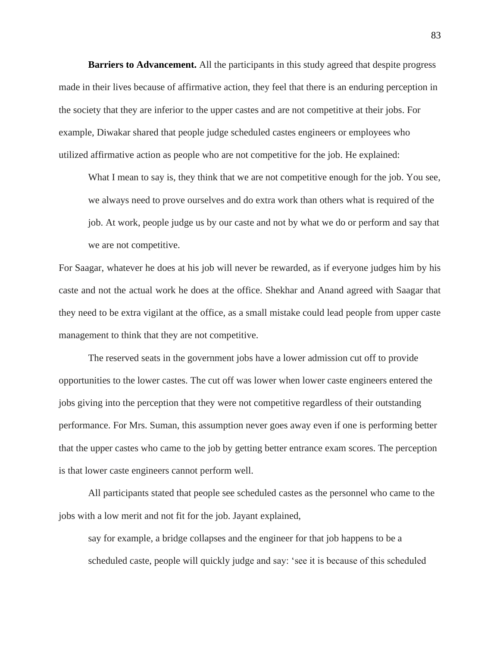**Barriers to Advancement.** All the participants in this study agreed that despite progress made in their lives because of affirmative action, they feel that there is an enduring perception in the society that they are inferior to the upper castes and are not competitive at their jobs. For example, Diwakar shared that people judge scheduled castes engineers or employees who utilized affirmative action as people who are not competitive for the job. He explained:

What I mean to say is, they think that we are not competitive enough for the job. You see, we always need to prove ourselves and do extra work than others what is required of the job. At work, people judge us by our caste and not by what we do or perform and say that we are not competitive.

For Saagar, whatever he does at his job will never be rewarded, as if everyone judges him by his caste and not the actual work he does at the office. Shekhar and Anand agreed with Saagar that they need to be extra vigilant at the office, as a small mistake could lead people from upper caste management to think that they are not competitive.

The reserved seats in the government jobs have a lower admission cut off to provide opportunities to the lower castes. The cut off was lower when lower caste engineers entered the jobs giving into the perception that they were not competitive regardless of their outstanding performance. For Mrs. Suman, this assumption never goes away even if one is performing better that the upper castes who came to the job by getting better entrance exam scores. The perception is that lower caste engineers cannot perform well.

All participants stated that people see scheduled castes as the personnel who came to the jobs with a low merit and not fit for the job. Jayant explained,

say for example, a bridge collapses and the engineer for that job happens to be a scheduled caste, people will quickly judge and say: 'see it is because of this scheduled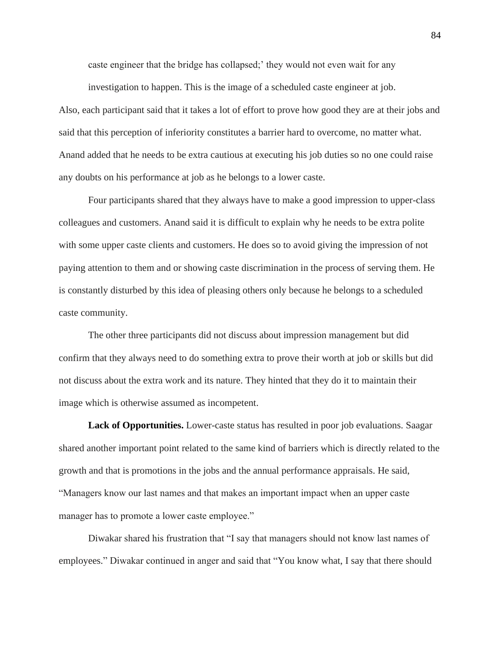caste engineer that the bridge has collapsed;' they would not even wait for any

investigation to happen. This is the image of a scheduled caste engineer at job. Also, each participant said that it takes a lot of effort to prove how good they are at their jobs and said that this perception of inferiority constitutes a barrier hard to overcome, no matter what. Anand added that he needs to be extra cautious at executing his job duties so no one could raise any doubts on his performance at job as he belongs to a lower caste.

Four participants shared that they always have to make a good impression to upper-class colleagues and customers. Anand said it is difficult to explain why he needs to be extra polite with some upper caste clients and customers. He does so to avoid giving the impression of not paying attention to them and or showing caste discrimination in the process of serving them. He is constantly disturbed by this idea of pleasing others only because he belongs to a scheduled caste community.

The other three participants did not discuss about impression management but did confirm that they always need to do something extra to prove their worth at job or skills but did not discuss about the extra work and its nature. They hinted that they do it to maintain their image which is otherwise assumed as incompetent.

**Lack of Opportunities.** Lower-caste status has resulted in poor job evaluations. Saagar shared another important point related to the same kind of barriers which is directly related to the growth and that is promotions in the jobs and the annual performance appraisals. He said, "Managers know our last names and that makes an important impact when an upper caste manager has to promote a lower caste employee."

Diwakar shared his frustration that "I say that managers should not know last names of employees." Diwakar continued in anger and said that "You know what, I say that there should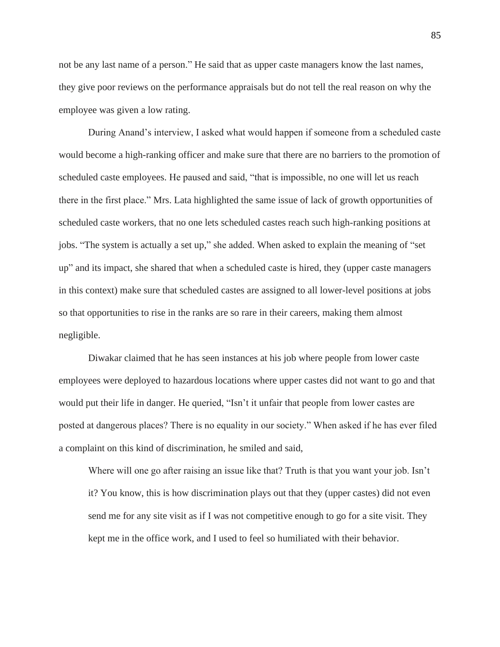not be any last name of a person." He said that as upper caste managers know the last names, they give poor reviews on the performance appraisals but do not tell the real reason on why the employee was given a low rating.

During Anand's interview, I asked what would happen if someone from a scheduled caste would become a high-ranking officer and make sure that there are no barriers to the promotion of scheduled caste employees. He paused and said, "that is impossible, no one will let us reach there in the first place." Mrs. Lata highlighted the same issue of lack of growth opportunities of scheduled caste workers, that no one lets scheduled castes reach such high-ranking positions at jobs. "The system is actually a set up," she added. When asked to explain the meaning of "set up" and its impact, she shared that when a scheduled caste is hired, they (upper caste managers in this context) make sure that scheduled castes are assigned to all lower-level positions at jobs so that opportunities to rise in the ranks are so rare in their careers, making them almost negligible.

Diwakar claimed that he has seen instances at his job where people from lower caste employees were deployed to hazardous locations where upper castes did not want to go and that would put their life in danger. He queried, "Isn't it unfair that people from lower castes are posted at dangerous places? There is no equality in our society." When asked if he has ever filed a complaint on this kind of discrimination, he smiled and said,

Where will one go after raising an issue like that? Truth is that you want your job. Isn't it? You know, this is how discrimination plays out that they (upper castes) did not even send me for any site visit as if I was not competitive enough to go for a site visit. They kept me in the office work, and I used to feel so humiliated with their behavior.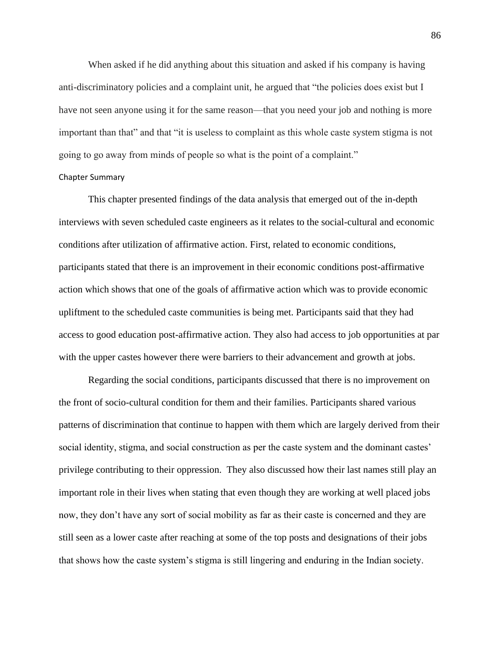When asked if he did anything about this situation and asked if his company is having anti-discriminatory policies and a complaint unit, he argued that "the policies does exist but I have not seen anyone using it for the same reason—that you need your job and nothing is more important than that" and that "it is useless to complaint as this whole caste system stigma is not going to go away from minds of people so what is the point of a complaint."

# Chapter Summary

This chapter presented findings of the data analysis that emerged out of the in-depth interviews with seven scheduled caste engineers as it relates to the social-cultural and economic conditions after utilization of affirmative action. First, related to economic conditions, participants stated that there is an improvement in their economic conditions post-affirmative action which shows that one of the goals of affirmative action which was to provide economic upliftment to the scheduled caste communities is being met. Participants said that they had access to good education post-affirmative action. They also had access to job opportunities at par with the upper castes however there were barriers to their advancement and growth at jobs.

Regarding the social conditions, participants discussed that there is no improvement on the front of socio-cultural condition for them and their families. Participants shared various patterns of discrimination that continue to happen with them which are largely derived from their social identity, stigma, and social construction as per the caste system and the dominant castes' privilege contributing to their oppression. They also discussed how their last names still play an important role in their lives when stating that even though they are working at well placed jobs now, they don't have any sort of social mobility as far as their caste is concerned and they are still seen as a lower caste after reaching at some of the top posts and designations of their jobs that shows how the caste system's stigma is still lingering and enduring in the Indian society.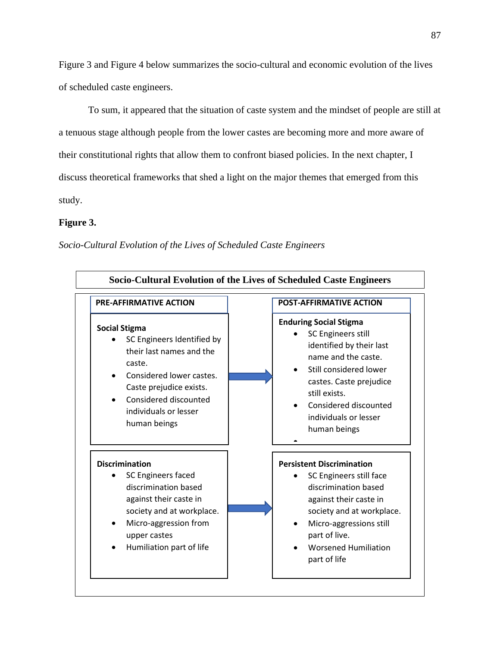Figure 3 and Figure 4 below summarizes the socio-cultural and economic evolution of the lives of scheduled caste engineers.

To sum, it appeared that the situation of caste system and the mindset of people are still at a tenuous stage although people from the lower castes are becoming more and more aware of their constitutional rights that allow them to confront biased policies. In the next chapter, I discuss theoretical frameworks that shed a light on the major themes that emerged from this study.

# **Figure 3.**

*Socio-Cultural Evolution of the Lives of Scheduled Caste Engineers*

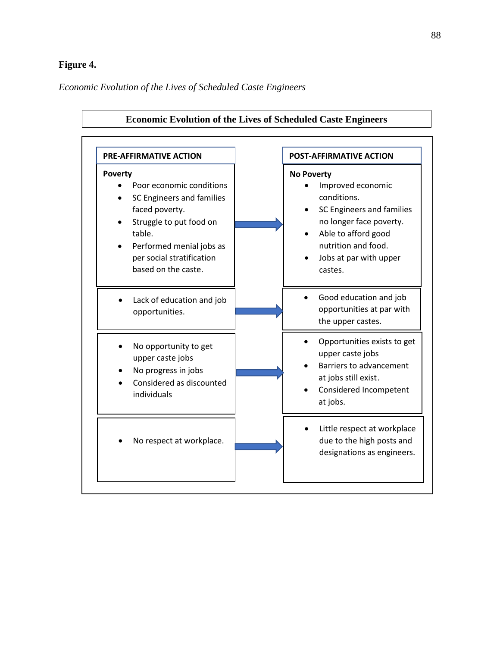# **Figure 4.**

*Economic Evolution of the Lives of Scheduled Caste Engineers*

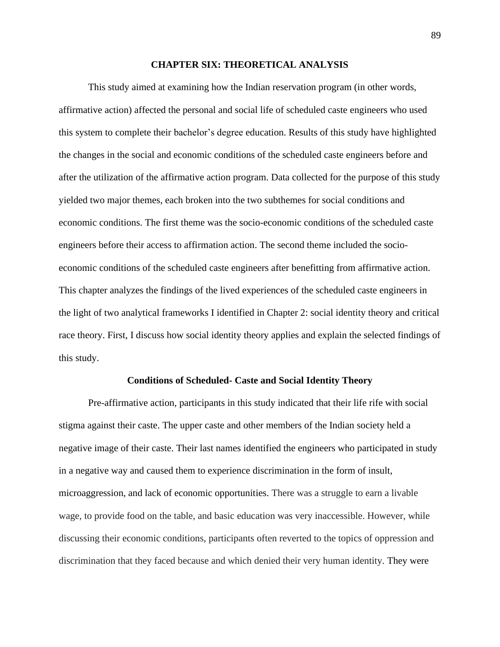#### **CHAPTER SIX: THEORETICAL ANALYSIS**

This study aimed at examining how the Indian reservation program (in other words, affirmative action) affected the personal and social life of scheduled caste engineers who used this system to complete their bachelor's degree education. Results of this study have highlighted the changes in the social and economic conditions of the scheduled caste engineers before and after the utilization of the affirmative action program. Data collected for the purpose of this study yielded two major themes, each broken into the two subthemes for social conditions and economic conditions. The first theme was the socio-economic conditions of the scheduled caste engineers before their access to affirmation action. The second theme included the socioeconomic conditions of the scheduled caste engineers after benefitting from affirmative action. This chapter analyzes the findings of the lived experiences of the scheduled caste engineers in the light of two analytical frameworks I identified in Chapter 2: social identity theory and critical race theory. First, I discuss how social identity theory applies and explain the selected findings of this study.

#### **Conditions of Scheduled- Caste and Social Identity Theory**

Pre-affirmative action, participants in this study indicated that their life rife with social stigma against their caste. The upper caste and other members of the Indian society held a negative image of their caste. Their last names identified the engineers who participated in study in a negative way and caused them to experience discrimination in the form of insult, microaggression, and lack of economic opportunities. There was a struggle to earn a livable wage, to provide food on the table, and basic education was very inaccessible. However, while discussing their economic conditions, participants often reverted to the topics of oppression and discrimination that they faced because and which denied their very human identity. They were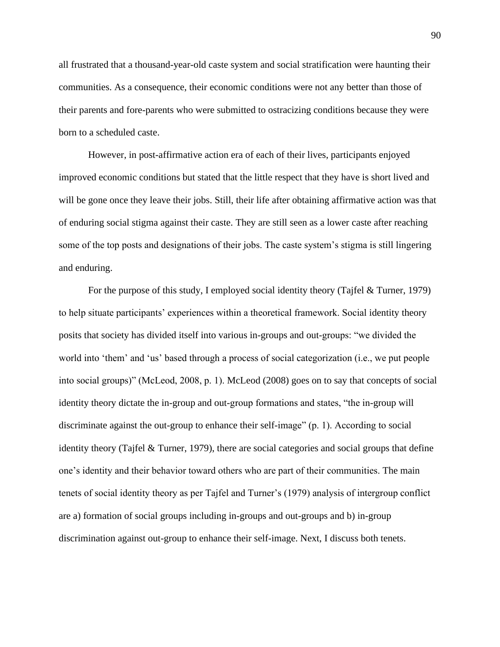all frustrated that a thousand-year-old caste system and social stratification were haunting their communities. As a consequence, their economic conditions were not any better than those of their parents and fore-parents who were submitted to ostracizing conditions because they were born to a scheduled caste.

However, in post-affirmative action era of each of their lives, participants enjoyed improved economic conditions but stated that the little respect that they have is short lived and will be gone once they leave their jobs. Still, their life after obtaining affirmative action was that of enduring social stigma against their caste. They are still seen as a lower caste after reaching some of the top posts and designations of their jobs. The caste system's stigma is still lingering and enduring.

For the purpose of this study, I employed social identity theory (Tajfel & Turner, 1979) to help situate participants' experiences within a theoretical framework. Social identity theory posits that society has divided itself into various in-groups and out-groups: "we divided the world into 'them' and 'us' based through a process of social categorization (i.e., we put people into social groups)" (McLeod, 2008, p. 1). McLeod (2008) goes on to say that concepts of social identity theory dictate the in-group and out-group formations and states, "the in-group will discriminate against the out-group to enhance their self-image" (p. 1). According to social identity theory (Tajfel & Turner, 1979), there are social categories and social groups that define one's identity and their behavior toward others who are part of their communities. The main tenets of social identity theory as per Tajfel and Turner's (1979) analysis of intergroup conflict are a) formation of social groups including in-groups and out-groups and b) in-group discrimination against out-group to enhance their self-image. Next, I discuss both tenets.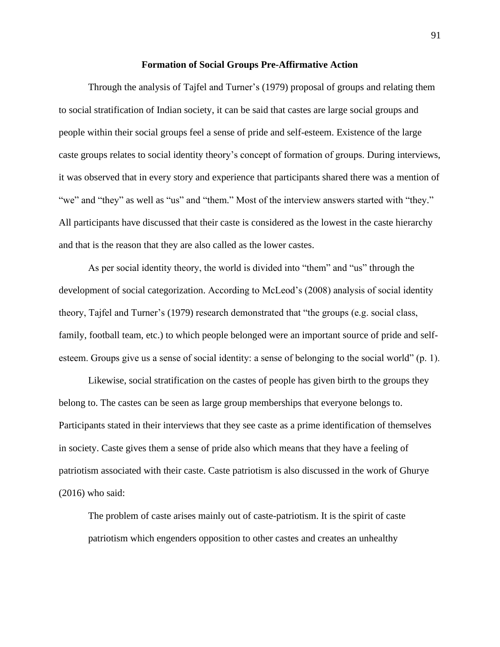#### **Formation of Social Groups Pre-Affirmative Action**

Through the analysis of Tajfel and Turner's (1979) proposal of groups and relating them to social stratification of Indian society, it can be said that castes are large social groups and people within their social groups feel a sense of pride and self-esteem. Existence of the large caste groups relates to social identity theory's concept of formation of groups. During interviews, it was observed that in every story and experience that participants shared there was a mention of "we" and "they" as well as "us" and "them." Most of the interview answers started with "they." All participants have discussed that their caste is considered as the lowest in the caste hierarchy and that is the reason that they are also called as the lower castes.

As per social identity theory, the world is divided into "them" and "us" through the development of social categorization. According to McLeod's (2008) analysis of social identity theory, Tajfel and Turner's (1979) research demonstrated that "the groups (e.g. social class, family, football team, etc.) to which people belonged were an important source of pride and selfesteem. Groups give us a sense of social identity: a sense of belonging to the social world" (p. 1).

Likewise, social stratification on the castes of people has given birth to the groups they belong to. The castes can be seen as large group memberships that everyone belongs to. Participants stated in their interviews that they see caste as a prime identification of themselves in society. Caste gives them a sense of pride also which means that they have a feeling of patriotism associated with their caste. Caste patriotism is also discussed in the work of Ghurye (2016) who said:

The problem of caste arises mainly out of caste-patriotism. It is the spirit of caste patriotism which engenders opposition to other castes and creates an unhealthy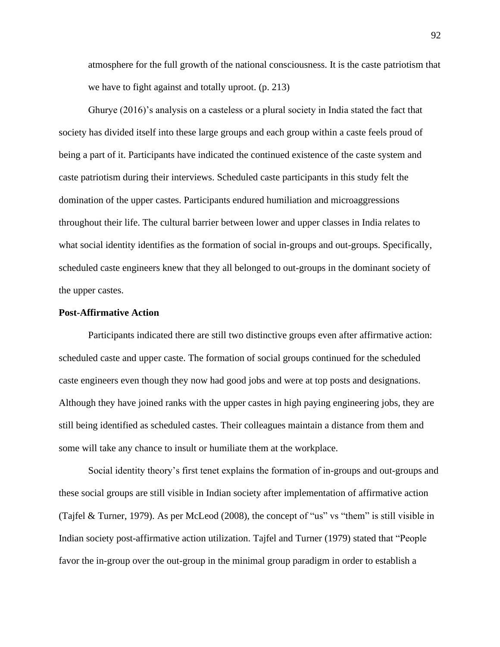atmosphere for the full growth of the national consciousness. It is the caste patriotism that we have to fight against and totally uproot. (p. 213)

Ghurye (2016)'s analysis on a casteless or a plural society in India stated the fact that society has divided itself into these large groups and each group within a caste feels proud of being a part of it. Participants have indicated the continued existence of the caste system and caste patriotism during their interviews. Scheduled caste participants in this study felt the domination of the upper castes. Participants endured humiliation and microaggressions throughout their life. The cultural barrier between lower and upper classes in India relates to what social identity identifies as the formation of social in-groups and out-groups. Specifically, scheduled caste engineers knew that they all belonged to out-groups in the dominant society of the upper castes.

# **Post-Affirmative Action**

Participants indicated there are still two distinctive groups even after affirmative action: scheduled caste and upper caste. The formation of social groups continued for the scheduled caste engineers even though they now had good jobs and were at top posts and designations. Although they have joined ranks with the upper castes in high paying engineering jobs, they are still being identified as scheduled castes. Their colleagues maintain a distance from them and some will take any chance to insult or humiliate them at the workplace.

Social identity theory's first tenet explains the formation of in-groups and out-groups and these social groups are still visible in Indian society after implementation of affirmative action (Tajfel & Turner, 1979). As per McLeod (2008), the concept of "us" vs "them" is still visible in Indian society post-affirmative action utilization. Tajfel and Turner (1979) stated that "People favor the in-group over the out-group in the minimal group paradigm in order to establish a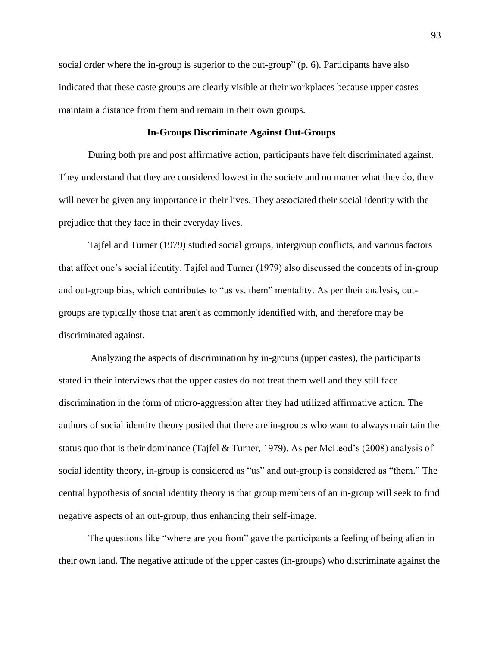social order where the in-group is superior to the out-group" (p. 6). Participants have also indicated that these caste groups are clearly visible at their workplaces because upper castes maintain a distance from them and remain in their own groups.

# **In-Groups Discriminate Against Out-Groups**

During both pre and post affirmative action, participants have felt discriminated against. They understand that they are considered lowest in the society and no matter what they do, they will never be given any importance in their lives. They associated their social identity with the prejudice that they face in their everyday lives.

Tajfel and Turner (1979) studied social groups, intergroup conflicts, and various factors that affect one's social identity. Tajfel and Turner (1979) also discussed the concepts of in-group and out-group bias, which contributes to "us vs. them" mentality. As per their analysis, outgroups are typically those that aren't as commonly identified with, and therefore may be discriminated against.

Analyzing the aspects of discrimination by in-groups (upper castes), the participants stated in their interviews that the upper castes do not treat them well and they still face discrimination in the form of micro-aggression after they had utilized affirmative action. The authors of social identity theory posited that there are in-groups who want to always maintain the status quo that is their dominance (Tajfel & Turner, 1979). As per McLeod's (2008) analysis of social identity theory, in-group is considered as "us" and out-group is considered as "them." The central hypothesis of social identity theory is that group members of an in-group will seek to find negative aspects of an out-group, thus enhancing their self-image.

The questions like "where are you from" gave the participants a feeling of being alien in their own land. The negative attitude of the upper castes (in-groups) who discriminate against the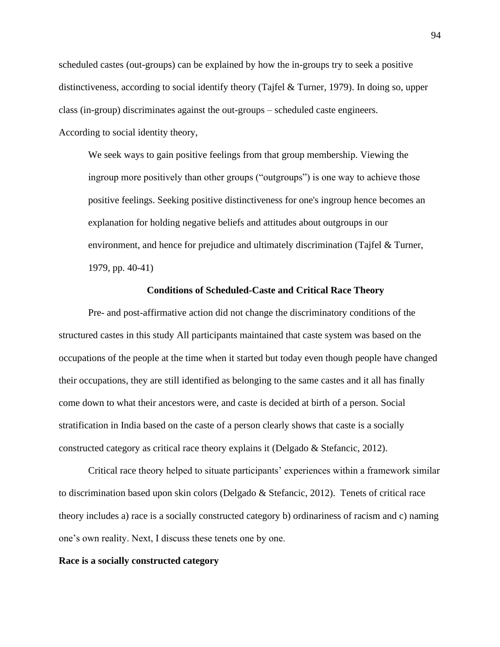scheduled castes (out-groups) can be explained by how the in-groups try to seek a positive distinctiveness, according to social identify theory (Tajfel & Turner, 1979). In doing so, upper class (in-group) discriminates against the out-groups – scheduled caste engineers. According to social identity theory,

We seek ways to gain positive feelings from that group membership. Viewing the ingroup more positively than other groups ("outgroups") is one way to achieve those positive feelings. Seeking positive distinctiveness for one's ingroup hence becomes an explanation for holding negative beliefs and attitudes about outgroups in our environment, and hence for prejudice and ultimately discrimination (Tajfel & Turner, 1979, pp. 40-41)

# **Conditions of Scheduled-Caste and Critical Race Theory**

Pre- and post-affirmative action did not change the discriminatory conditions of the structured castes in this study All participants maintained that caste system was based on the occupations of the people at the time when it started but today even though people have changed their occupations, they are still identified as belonging to the same castes and it all has finally come down to what their ancestors were, and caste is decided at birth of a person. Social stratification in India based on the caste of a person clearly shows that caste is a socially constructed category as critical race theory explains it (Delgado & Stefancic, 2012).

Critical race theory helped to situate participants' experiences within a framework similar to discrimination based upon skin colors (Delgado & Stefancic, 2012). Tenets of critical race theory includes a) race is a socially constructed category b) ordinariness of racism and c) naming one's own reality. Next, I discuss these tenets one by one.

# **Race is a socially constructed category**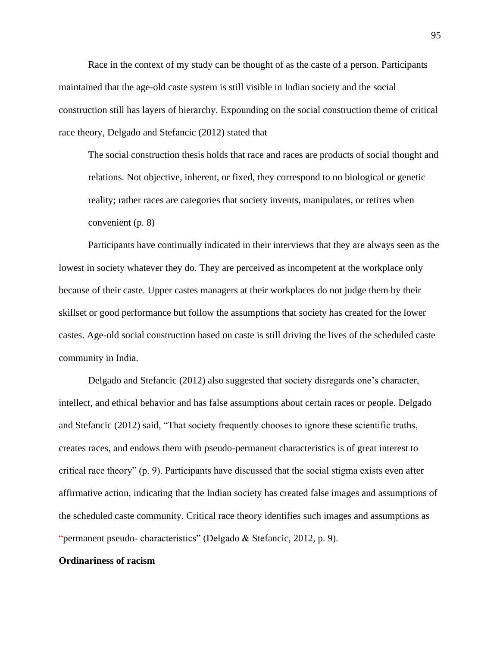Race in the context of my study can be thought of as the caste of a person. Participants maintained that the age-old caste system is still visible in Indian society and the social construction still has layers of hierarchy. Expounding on the social construction theme of critical race theory, Delgado and Stefancic (2012) stated that

The social construction thesis holds that race and races are products of social thought and relations. Not objective, inherent, or fixed, they correspond to no biological or genetic reality; rather races are categories that society invents, manipulates, or retires when convenient (p. 8)

Participants have continually indicated in their interviews that they are always seen as the lowest in society whatever they do. They are perceived as incompetent at the workplace only because of their caste. Upper castes managers at their workplaces do not judge them by their skillset or good performance but follow the assumptions that society has created for the lower castes. Age-old social construction based on caste is still driving the lives of the scheduled caste community in India.

Delgado and Stefancic (2012) also suggested that society disregards one's character, intellect, and ethical behavior and has false assumptions about certain races or people. Delgado and Stefancic (2012) said, "That society frequently chooses to ignore these scientific truths, creates races, and endows them with pseudo-permanent characteristics is of great interest to critical race theory" (p. 9). Participants have discussed that the social stigma exists even after affirmative action, indicating that the Indian society has created false images and assumptions of the scheduled caste community. Critical race theory identifies such images and assumptions as "permanent pseudo- characteristics" (Delgado & Stefancic, 2012, p. 9).

# **Ordinariness of racism**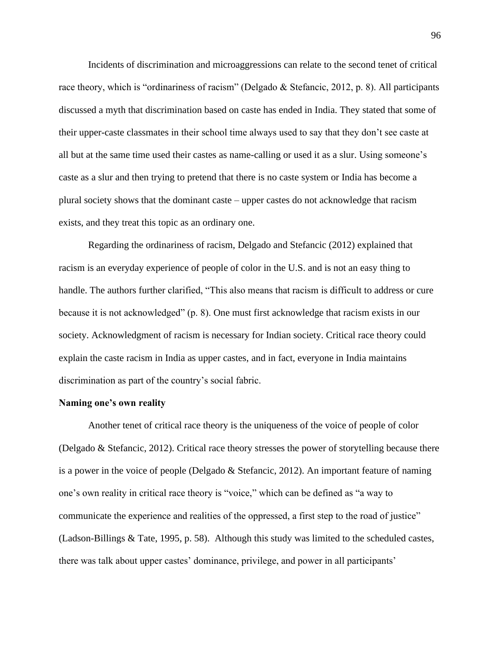Incidents of discrimination and microaggressions can relate to the second tenet of critical race theory, which is "ordinariness of racism" (Delgado & Stefancic, 2012, p. 8). All participants discussed a myth that discrimination based on caste has ended in India. They stated that some of their upper-caste classmates in their school time always used to say that they don't see caste at all but at the same time used their castes as name-calling or used it as a slur. Using someone's caste as a slur and then trying to pretend that there is no caste system or India has become a plural society shows that the dominant caste – upper castes do not acknowledge that racism exists, and they treat this topic as an ordinary one.

Regarding the ordinariness of racism, Delgado and Stefancic (2012) explained that racism is an everyday experience of people of color in the U.S. and is not an easy thing to handle. The authors further clarified, "This also means that racism is difficult to address or cure because it is not acknowledged" (p. 8). One must first acknowledge that racism exists in our society. Acknowledgment of racism is necessary for Indian society. Critical race theory could explain the caste racism in India as upper castes, and in fact, everyone in India maintains discrimination as part of the country's social fabric.

#### **Naming one's own reality**

Another tenet of critical race theory is the uniqueness of the voice of people of color (Delgado & Stefancic, 2012). Critical race theory stresses the power of storytelling because there is a power in the voice of people (Delgado & Stefancic, 2012). An important feature of naming one's own reality in critical race theory is "voice," which can be defined as "a way to communicate the experience and realities of the oppressed, a first step to the road of justice" (Ladson-Billings & Tate, 1995, p. 58). Although this study was limited to the scheduled castes, there was talk about upper castes' dominance, privilege, and power in all participants'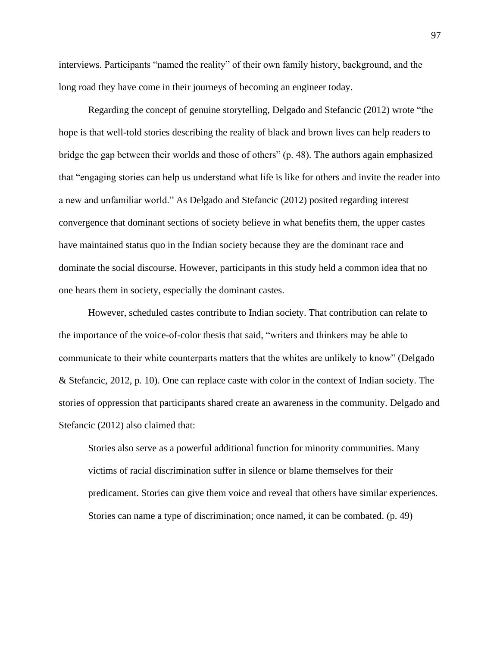interviews. Participants "named the reality" of their own family history, background, and the long road they have come in their journeys of becoming an engineer today.

Regarding the concept of genuine storytelling, Delgado and Stefancic (2012) wrote "the hope is that well-told stories describing the reality of black and brown lives can help readers to bridge the gap between their worlds and those of others" (p. 48). The authors again emphasized that "engaging stories can help us understand what life is like for others and invite the reader into a new and unfamiliar world." As Delgado and Stefancic (2012) posited regarding interest convergence that dominant sections of society believe in what benefits them, the upper castes have maintained status quo in the Indian society because they are the dominant race and dominate the social discourse. However, participants in this study held a common idea that no one hears them in society, especially the dominant castes.

However, scheduled castes contribute to Indian society. That contribution can relate to the importance of the voice-of-color thesis that said, "writers and thinkers may be able to communicate to their white counterparts matters that the whites are unlikely to know" (Delgado & Stefancic, 2012, p. 10). One can replace caste with color in the context of Indian society. The stories of oppression that participants shared create an awareness in the community. Delgado and Stefancic (2012) also claimed that:

Stories also serve as a powerful additional function for minority communities. Many victims of racial discrimination suffer in silence or blame themselves for their predicament. Stories can give them voice and reveal that others have similar experiences. Stories can name a type of discrimination; once named, it can be combated. (p. 49)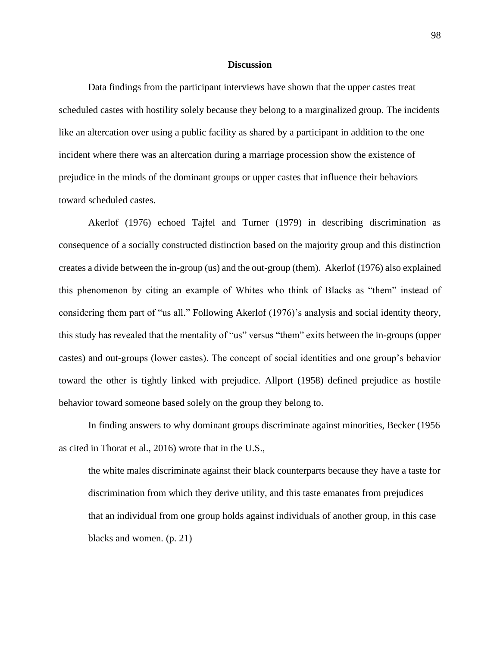#### **Discussion**

Data findings from the participant interviews have shown that the upper castes treat scheduled castes with hostility solely because they belong to a marginalized group. The incidents like an altercation over using a public facility as shared by a participant in addition to the one incident where there was an altercation during a marriage procession show the existence of prejudice in the minds of the dominant groups or upper castes that influence their behaviors toward scheduled castes.

Akerlof (1976) echoed Tajfel and Turner (1979) in describing discrimination as consequence of a socially constructed distinction based on the majority group and this distinction creates a divide between the in-group (us) and the out-group (them). Akerlof (1976) also explained this phenomenon by citing an example of Whites who think of Blacks as "them" instead of considering them part of "us all." Following Akerlof (1976)'s analysis and social identity theory, this study has revealed that the mentality of "us" versus "them" exits between the in-groups (upper castes) and out-groups (lower castes). The concept of social identities and one group's behavior toward the other is tightly linked with prejudice. Allport (1958) defined prejudice as hostile behavior toward someone based solely on the group they belong to.

In finding answers to why dominant groups discriminate against minorities, Becker (1956 as cited in Thorat et al., 2016) wrote that in the U.S.,

the white males discriminate against their black counterparts because they have a taste for discrimination from which they derive utility, and this taste emanates from prejudices that an individual from one group holds against individuals of another group, in this case blacks and women. (p. 21)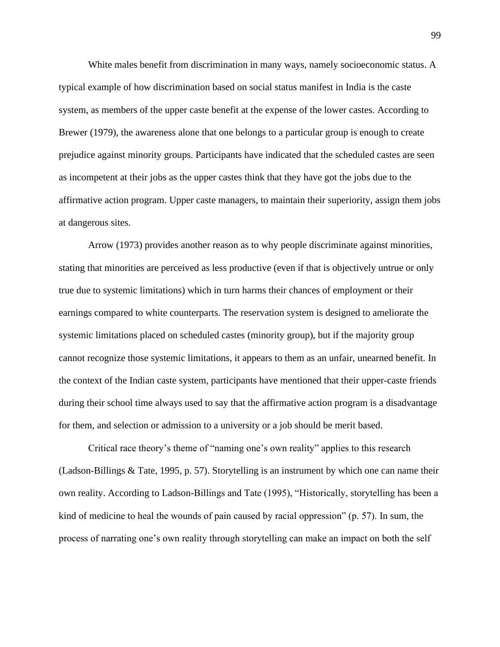White males benefit from discrimination in many ways, namely socioeconomic status. A typical example of how discrimination based on social status manifest in India is the caste system, as members of the upper caste benefit at the expense of the lower castes. According to Brewer (1979), the awareness alone that one belongs to a particular group is enough to create prejudice against minority groups. Participants have indicated that the scheduled castes are seen as incompetent at their jobs as the upper castes think that they have got the jobs due to the affirmative action program. Upper caste managers, to maintain their superiority, assign them jobs at dangerous sites.

Arrow (1973) provides another reason as to why people discriminate against minorities, stating that minorities are perceived as less productive (even if that is objectively untrue or only true due to systemic limitations) which in turn harms their chances of employment or their earnings compared to white counterparts. The reservation system is designed to ameliorate the systemic limitations placed on scheduled castes (minority group), but if the majority group cannot recognize those systemic limitations, it appears to them as an unfair, unearned benefit. In the context of the Indian caste system, participants have mentioned that their upper-caste friends during their school time always used to say that the affirmative action program is a disadvantage for them, and selection or admission to a university or a job should be merit based.

Critical race theory's theme of "naming one's own reality" applies to this research (Ladson-Billings & Tate, 1995, p. 57). Storytelling is an instrument by which one can name their own reality. According to Ladson-Billings and Tate (1995), "Historically, storytelling has been a kind of medicine to heal the wounds of pain caused by racial oppression" (p. 57). In sum, the process of narrating one's own reality through storytelling can make an impact on both the self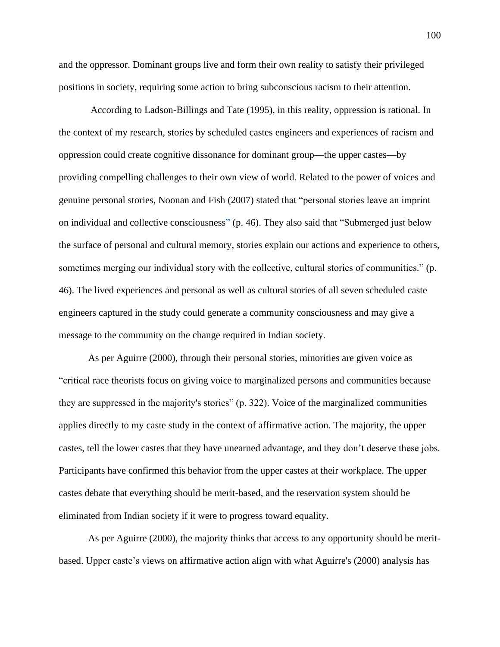and the oppressor. Dominant groups live and form their own reality to satisfy their privileged positions in society, requiring some action to bring subconscious racism to their attention.

According to Ladson-Billings and Tate (1995), in this reality, oppression is rational. In the context of my research, stories by scheduled castes engineers and experiences of racism and oppression could create cognitive dissonance for dominant group—the upper castes—by providing compelling challenges to their own view of world. Related to the power of voices and genuine personal stories, Noonan and Fish (2007) stated that "personal stories leave an imprint on individual and collective consciousness" (p. 46). They also said that "Submerged just below the surface of personal and cultural memory, stories explain our actions and experience to others, sometimes merging our individual story with the collective, cultural stories of communities." (p. 46). The lived experiences and personal as well as cultural stories of all seven scheduled caste engineers captured in the study could generate a community consciousness and may give a message to the community on the change required in Indian society.

As per Aguirre (2000), through their personal stories, minorities are given voice as "critical race theorists focus on giving voice to marginalized persons and communities because they are suppressed in the majority's stories" (p. 322). Voice of the marginalized communities applies directly to my caste study in the context of affirmative action. The majority, the upper castes, tell the lower castes that they have unearned advantage, and they don't deserve these jobs. Participants have confirmed this behavior from the upper castes at their workplace. The upper castes debate that everything should be merit-based, and the reservation system should be eliminated from Indian society if it were to progress toward equality.

As per Aguirre (2000), the majority thinks that access to any opportunity should be meritbased. Upper caste's views on affirmative action align with what Aguirre's (2000) analysis has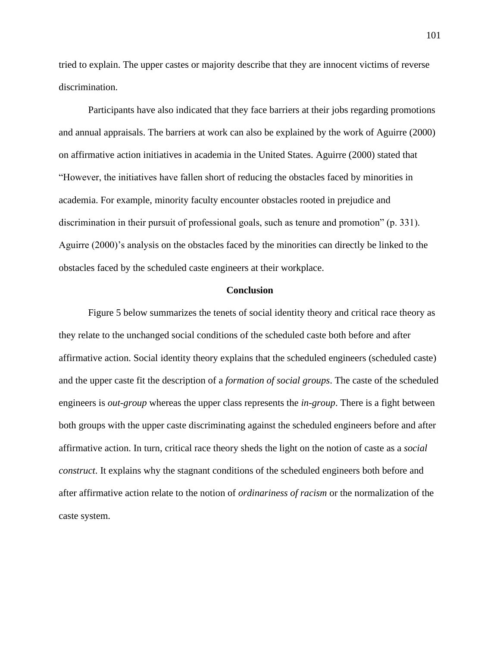tried to explain. The upper castes or majority describe that they are innocent victims of reverse discrimination.

Participants have also indicated that they face barriers at their jobs regarding promotions and annual appraisals. The barriers at work can also be explained by the work of Aguirre (2000) on affirmative action initiatives in academia in the United States. Aguirre (2000) stated that "However, the initiatives have fallen short of reducing the obstacles faced by minorities in academia. For example, minority faculty encounter obstacles rooted in prejudice and discrimination in their pursuit of professional goals, such as tenure and promotion" (p. 331). Aguirre (2000)'s analysis on the obstacles faced by the minorities can directly be linked to the obstacles faced by the scheduled caste engineers at their workplace.

#### **Conclusion**

Figure 5 below summarizes the tenets of social identity theory and critical race theory as they relate to the unchanged social conditions of the scheduled caste both before and after affirmative action. Social identity theory explains that the scheduled engineers (scheduled caste) and the upper caste fit the description of a *formation of social groups*. The caste of the scheduled engineers is *out-group* whereas the upper class represents the *in-group*. There is a fight between both groups with the upper caste discriminating against the scheduled engineers before and after affirmative action. In turn, critical race theory sheds the light on the notion of caste as a *social construct*. It explains why the stagnant conditions of the scheduled engineers both before and after affirmative action relate to the notion of *ordinariness of racism* or the normalization of the caste system.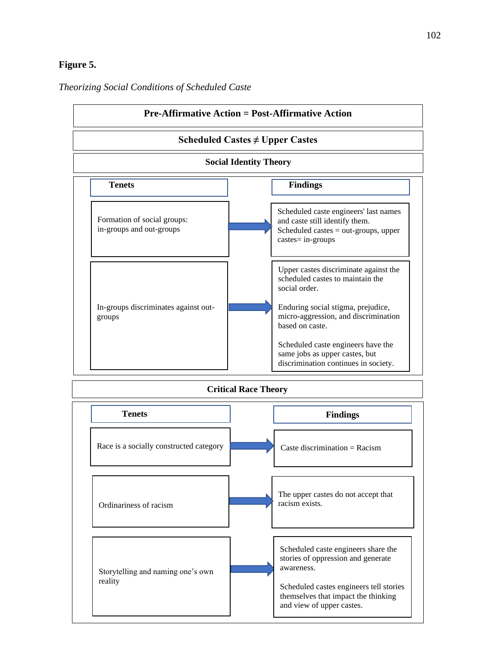## **Figure 5.**



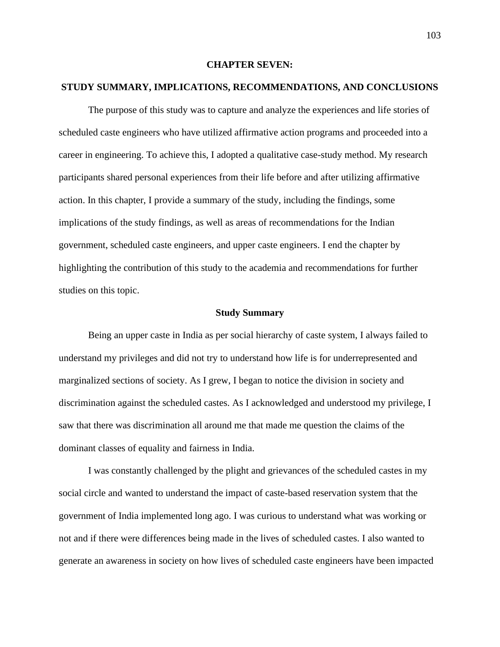### **CHAPTER SEVEN:**

### **STUDY SUMMARY, IMPLICATIONS, RECOMMENDATIONS, AND CONCLUSIONS**

The purpose of this study was to capture and analyze the experiences and life stories of scheduled caste engineers who have utilized affirmative action programs and proceeded into a career in engineering. To achieve this, I adopted a qualitative case-study method. My research participants shared personal experiences from their life before and after utilizing affirmative action. In this chapter, I provide a summary of the study, including the findings, some implications of the study findings, as well as areas of recommendations for the Indian government, scheduled caste engineers, and upper caste engineers. I end the chapter by highlighting the contribution of this study to the academia and recommendations for further studies on this topic.

### **Study Summary**

Being an upper caste in India as per social hierarchy of caste system, I always failed to understand my privileges and did not try to understand how life is for underrepresented and marginalized sections of society. As I grew, I began to notice the division in society and discrimination against the scheduled castes. As I acknowledged and understood my privilege, I saw that there was discrimination all around me that made me question the claims of the dominant classes of equality and fairness in India.

I was constantly challenged by the plight and grievances of the scheduled castes in my social circle and wanted to understand the impact of caste-based reservation system that the government of India implemented long ago. I was curious to understand what was working or not and if there were differences being made in the lives of scheduled castes. I also wanted to generate an awareness in society on how lives of scheduled caste engineers have been impacted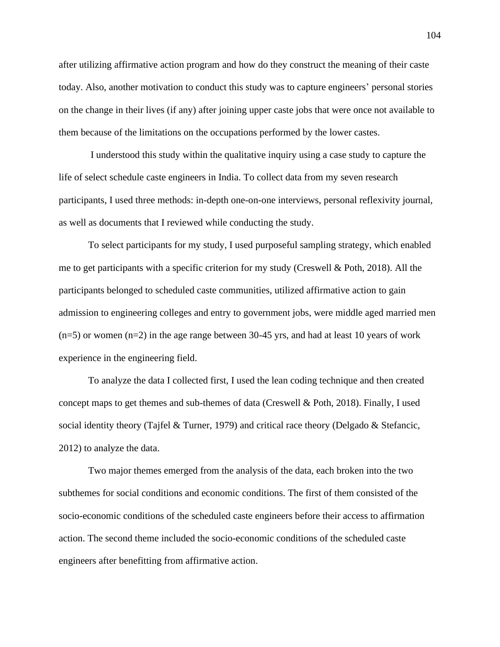after utilizing affirmative action program and how do they construct the meaning of their caste today. Also, another motivation to conduct this study was to capture engineers' personal stories on the change in their lives (if any) after joining upper caste jobs that were once not available to them because of the limitations on the occupations performed by the lower castes.

I understood this study within the qualitative inquiry using a case study to capture the life of select schedule caste engineers in India. To collect data from my seven research participants, I used three methods: in-depth one-on-one interviews, personal reflexivity journal, as well as documents that I reviewed while conducting the study.

To select participants for my study, I used purposeful sampling strategy, which enabled me to get participants with a specific criterion for my study (Creswell & Poth, 2018). All the participants belonged to scheduled caste communities, utilized affirmative action to gain admission to engineering colleges and entry to government jobs, were middle aged married men  $(n=5)$  or women  $(n=2)$  in the age range between 30-45 yrs, and had at least 10 years of work experience in the engineering field.

To analyze the data I collected first, I used the lean coding technique and then created concept maps to get themes and sub-themes of data (Creswell & Poth, 2018). Finally, I used social identity theory (Tajfel & Turner, 1979) and critical race theory (Delgado & Stefancic, 2012) to analyze the data.

Two major themes emerged from the analysis of the data, each broken into the two subthemes for social conditions and economic conditions. The first of them consisted of the socio-economic conditions of the scheduled caste engineers before their access to affirmation action. The second theme included the socio-economic conditions of the scheduled caste engineers after benefitting from affirmative action.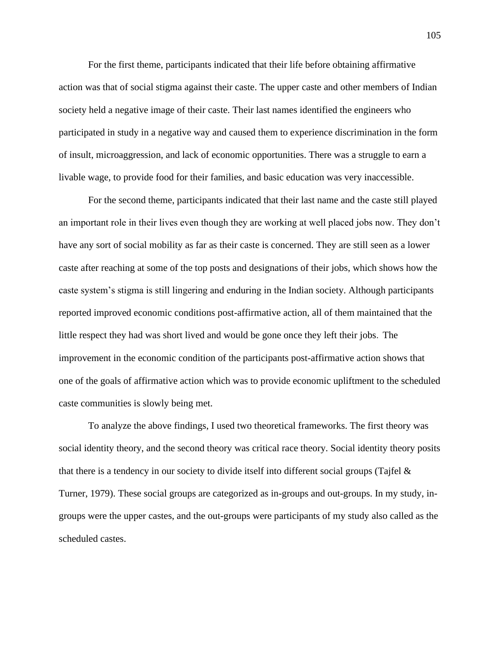For the first theme, participants indicated that their life before obtaining affirmative action was that of social stigma against their caste. The upper caste and other members of Indian society held a negative image of their caste. Their last names identified the engineers who participated in study in a negative way and caused them to experience discrimination in the form of insult, microaggression, and lack of economic opportunities. There was a struggle to earn a livable wage, to provide food for their families, and basic education was very inaccessible.

For the second theme, participants indicated that their last name and the caste still played an important role in their lives even though they are working at well placed jobs now. They don't have any sort of social mobility as far as their caste is concerned. They are still seen as a lower caste after reaching at some of the top posts and designations of their jobs, which shows how the caste system's stigma is still lingering and enduring in the Indian society. Although participants reported improved economic conditions post-affirmative action, all of them maintained that the little respect they had was short lived and would be gone once they left their jobs. The improvement in the economic condition of the participants post-affirmative action shows that one of the goals of affirmative action which was to provide economic upliftment to the scheduled caste communities is slowly being met.

To analyze the above findings, I used two theoretical frameworks. The first theory was social identity theory, and the second theory was critical race theory. Social identity theory posits that there is a tendency in our society to divide itself into different social groups (Tajfel & Turner, 1979). These social groups are categorized as in-groups and out-groups. In my study, ingroups were the upper castes, and the out-groups were participants of my study also called as the scheduled castes.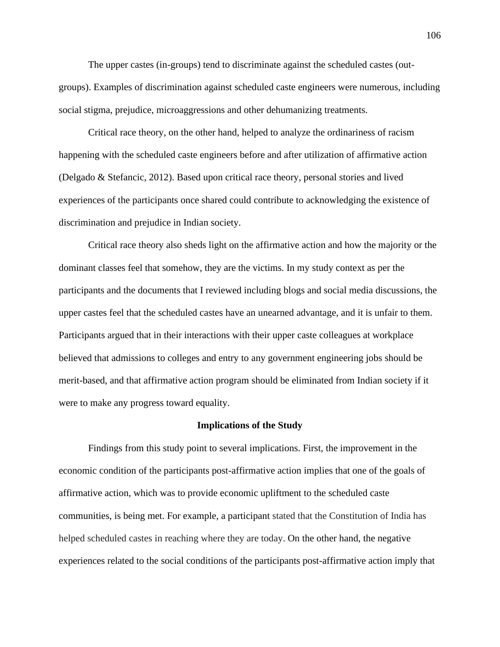The upper castes (in-groups) tend to discriminate against the scheduled castes (outgroups). Examples of discrimination against scheduled caste engineers were numerous, including social stigma, prejudice, microaggressions and other dehumanizing treatments.

Critical race theory, on the other hand, helped to analyze the ordinariness of racism happening with the scheduled caste engineers before and after utilization of affirmative action (Delgado & Stefancic, 2012). Based upon critical race theory, personal stories and lived experiences of the participants once shared could contribute to acknowledging the existence of discrimination and prejudice in Indian society.

Critical race theory also sheds light on the affirmative action and how the majority or the dominant classes feel that somehow, they are the victims. In my study context as per the participants and the documents that I reviewed including blogs and social media discussions, the upper castes feel that the scheduled castes have an unearned advantage, and it is unfair to them. Participants argued that in their interactions with their upper caste colleagues at workplace believed that admissions to colleges and entry to any government engineering jobs should be merit-based, and that affirmative action program should be eliminated from Indian society if it were to make any progress toward equality.

#### **Implications of the Study**

Findings from this study point to several implications. First, the improvement in the economic condition of the participants post-affirmative action implies that one of the goals of affirmative action, which was to provide economic upliftment to the scheduled caste communities, is being met. For example, a participant stated that the Constitution of India has helped scheduled castes in reaching where they are today. On the other hand, the negative experiences related to the social conditions of the participants post-affirmative action imply that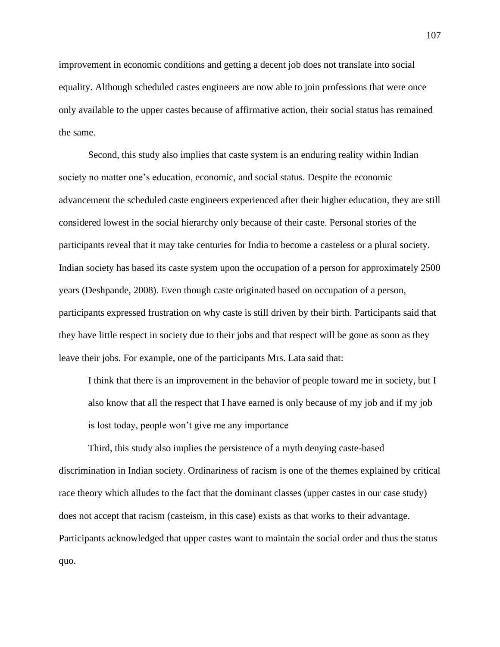improvement in economic conditions and getting a decent job does not translate into social equality. Although scheduled castes engineers are now able to join professions that were once only available to the upper castes because of affirmative action, their social status has remained the same.

Second, this study also implies that caste system is an enduring reality within Indian society no matter one's education, economic, and social status. Despite the economic advancement the scheduled caste engineers experienced after their higher education, they are still considered lowest in the social hierarchy only because of their caste. Personal stories of the participants reveal that it may take centuries for India to become a casteless or a plural society. Indian society has based its caste system upon the occupation of a person for approximately 2500 years (Deshpande, 2008). Even though caste originated based on occupation of a person, participants expressed frustration on why caste is still driven by their birth. Participants said that they have little respect in society due to their jobs and that respect will be gone as soon as they leave their jobs. For example, one of the participants Mrs. Lata said that:

I think that there is an improvement in the behavior of people toward me in society, but I also know that all the respect that I have earned is only because of my job and if my job is lost today, people won't give me any importance

Third, this study also implies the persistence of a myth denying caste-based discrimination in Indian society. Ordinariness of racism is one of the themes explained by critical race theory which alludes to the fact that the dominant classes (upper castes in our case study) does not accept that racism (casteism, in this case) exists as that works to their advantage. Participants acknowledged that upper castes want to maintain the social order and thus the status quo.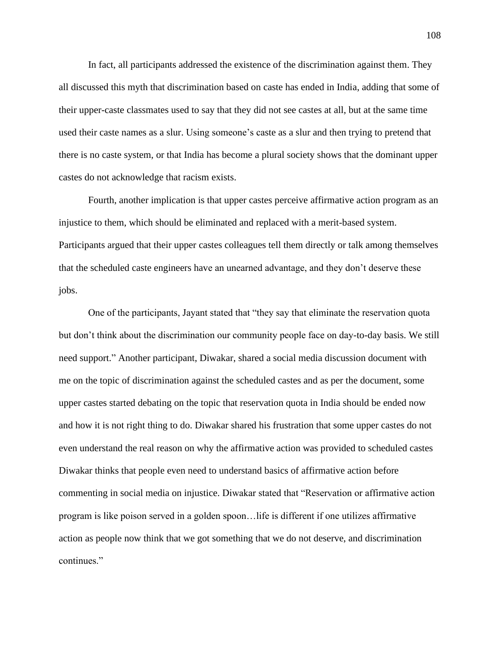In fact, all participants addressed the existence of the discrimination against them. They all discussed this myth that discrimination based on caste has ended in India, adding that some of their upper-caste classmates used to say that they did not see castes at all, but at the same time used their caste names as a slur. Using someone's caste as a slur and then trying to pretend that there is no caste system, or that India has become a plural society shows that the dominant upper castes do not acknowledge that racism exists.

Fourth, another implication is that upper castes perceive affirmative action program as an injustice to them, which should be eliminated and replaced with a merit-based system. Participants argued that their upper castes colleagues tell them directly or talk among themselves that the scheduled caste engineers have an unearned advantage, and they don't deserve these jobs.

One of the participants, Jayant stated that "they say that eliminate the reservation quota but don't think about the discrimination our community people face on day-to-day basis. We still need support." Another participant, Diwakar, shared a social media discussion document with me on the topic of discrimination against the scheduled castes and as per the document, some upper castes started debating on the topic that reservation quota in India should be ended now and how it is not right thing to do. Diwakar shared his frustration that some upper castes do not even understand the real reason on why the affirmative action was provided to scheduled castes Diwakar thinks that people even need to understand basics of affirmative action before commenting in social media on injustice. Diwakar stated that "Reservation or affirmative action program is like poison served in a golden spoon…life is different if one utilizes affirmative action as people now think that we got something that we do not deserve, and discrimination continues."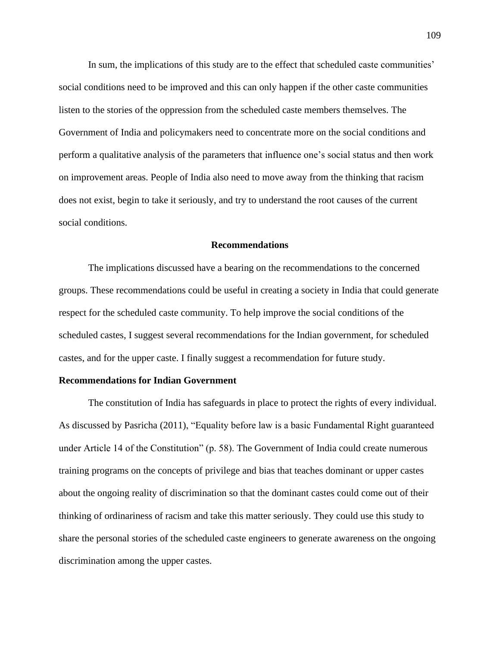In sum, the implications of this study are to the effect that scheduled caste communities' social conditions need to be improved and this can only happen if the other caste communities listen to the stories of the oppression from the scheduled caste members themselves. The Government of India and policymakers need to concentrate more on the social conditions and perform a qualitative analysis of the parameters that influence one's social status and then work on improvement areas. People of India also need to move away from the thinking that racism does not exist, begin to take it seriously, and try to understand the root causes of the current social conditions.

#### **Recommendations**

The implications discussed have a bearing on the recommendations to the concerned groups. These recommendations could be useful in creating a society in India that could generate respect for the scheduled caste community. To help improve the social conditions of the scheduled castes, I suggest several recommendations for the Indian government, for scheduled castes, and for the upper caste. I finally suggest a recommendation for future study.

#### **Recommendations for Indian Government**

The constitution of India has safeguards in place to protect the rights of every individual. As discussed by Pasricha (2011), "Equality before law is a basic Fundamental Right guaranteed under Article 14 of the Constitution" (p. 58). The Government of India could create numerous training programs on the concepts of privilege and bias that teaches dominant or upper castes about the ongoing reality of discrimination so that the dominant castes could come out of their thinking of ordinariness of racism and take this matter seriously. They could use this study to share the personal stories of the scheduled caste engineers to generate awareness on the ongoing discrimination among the upper castes.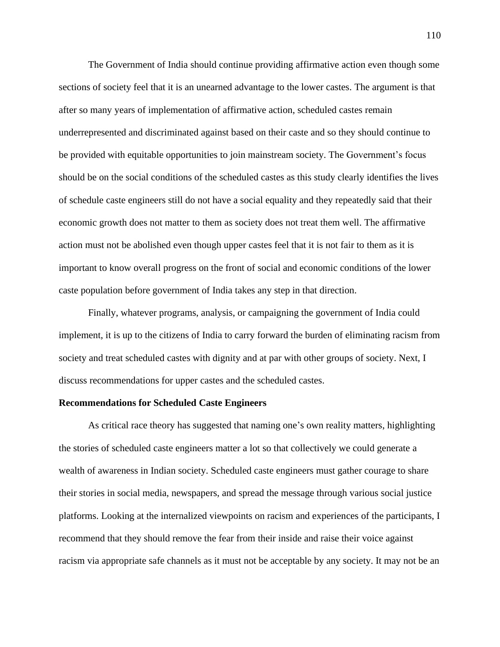The Government of India should continue providing affirmative action even though some sections of society feel that it is an unearned advantage to the lower castes. The argument is that after so many years of implementation of affirmative action, scheduled castes remain underrepresented and discriminated against based on their caste and so they should continue to be provided with equitable opportunities to join mainstream society. The Government's focus should be on the social conditions of the scheduled castes as this study clearly identifies the lives of schedule caste engineers still do not have a social equality and they repeatedly said that their economic growth does not matter to them as society does not treat them well. The affirmative action must not be abolished even though upper castes feel that it is not fair to them as it is important to know overall progress on the front of social and economic conditions of the lower caste population before government of India takes any step in that direction.

Finally, whatever programs, analysis, or campaigning the government of India could implement, it is up to the citizens of India to carry forward the burden of eliminating racism from society and treat scheduled castes with dignity and at par with other groups of society. Next, I discuss recommendations for upper castes and the scheduled castes.

#### **Recommendations for Scheduled Caste Engineers**

As critical race theory has suggested that naming one's own reality matters, highlighting the stories of scheduled caste engineers matter a lot so that collectively we could generate a wealth of awareness in Indian society. Scheduled caste engineers must gather courage to share their stories in social media, newspapers, and spread the message through various social justice platforms. Looking at the internalized viewpoints on racism and experiences of the participants, I recommend that they should remove the fear from their inside and raise their voice against racism via appropriate safe channels as it must not be acceptable by any society. It may not be an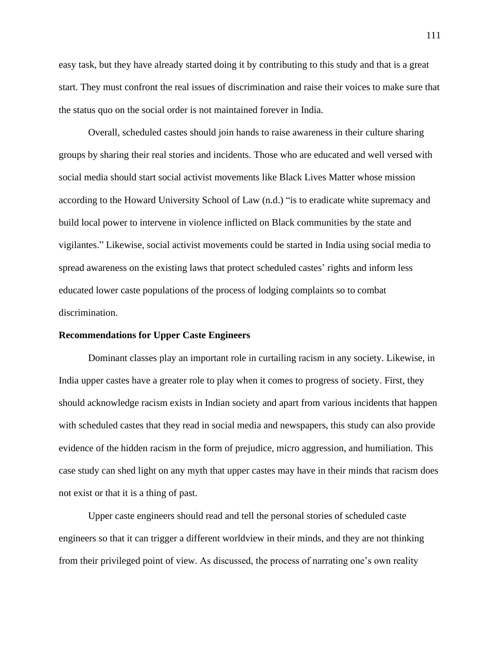easy task, but they have already started doing it by contributing to this study and that is a great start. They must confront the real issues of discrimination and raise their voices to make sure that the status quo on the social order is not maintained forever in India.

Overall, scheduled castes should join hands to raise awareness in their culture sharing groups by sharing their real stories and incidents. Those who are educated and well versed with social media should start social activist movements like Black Lives Matter whose mission according to the Howard University School of Law (n.d.) "is to eradicate white supremacy and build local power to intervene in violence inflicted on Black communities by the state and vigilantes." Likewise, social activist movements could be started in India using social media to spread awareness on the existing laws that protect scheduled castes' rights and inform less educated lower caste populations of the process of lodging complaints so to combat discrimination.

#### **Recommendations for Upper Caste Engineers**

Dominant classes play an important role in curtailing racism in any society. Likewise, in India upper castes have a greater role to play when it comes to progress of society. First, they should acknowledge racism exists in Indian society and apart from various incidents that happen with scheduled castes that they read in social media and newspapers, this study can also provide evidence of the hidden racism in the form of prejudice, micro aggression, and humiliation. This case study can shed light on any myth that upper castes may have in their minds that racism does not exist or that it is a thing of past.

Upper caste engineers should read and tell the personal stories of scheduled caste engineers so that it can trigger a different worldview in their minds, and they are not thinking from their privileged point of view. As discussed, the process of narrating one's own reality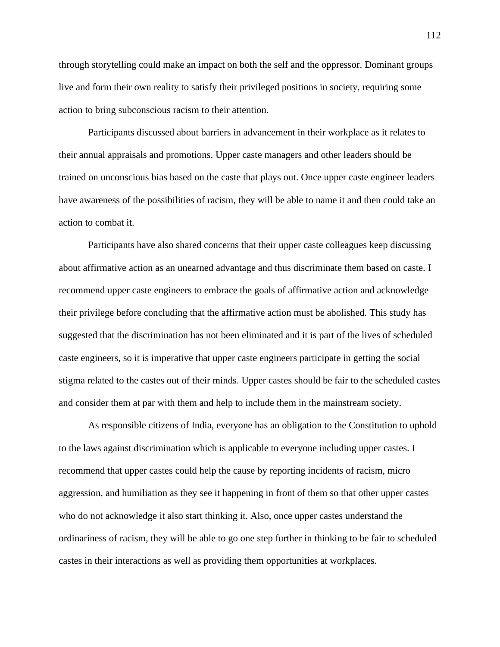through storytelling could make an impact on both the self and the oppressor. Dominant groups live and form their own reality to satisfy their privileged positions in society, requiring some action to bring subconscious racism to their attention.

Participants discussed about barriers in advancement in their workplace as it relates to their annual appraisals and promotions. Upper caste managers and other leaders should be trained on unconscious bias based on the caste that plays out. Once upper caste engineer leaders have awareness of the possibilities of racism, they will be able to name it and then could take an action to combat it.

Participants have also shared concerns that their upper caste colleagues keep discussing about affirmative action as an unearned advantage and thus discriminate them based on caste. I recommend upper caste engineers to embrace the goals of affirmative action and acknowledge their privilege before concluding that the affirmative action must be abolished. This study has suggested that the discrimination has not been eliminated and it is part of the lives of scheduled caste engineers, so it is imperative that upper caste engineers participate in getting the social stigma related to the castes out of their minds. Upper castes should be fair to the scheduled castes and consider them at par with them and help to include them in the mainstream society.

As responsible citizens of India, everyone has an obligation to the Constitution to uphold to the laws against discrimination which is applicable to everyone including upper castes. I recommend that upper castes could help the cause by reporting incidents of racism, micro aggression, and humiliation as they see it happening in front of them so that other upper castes who do not acknowledge it also start thinking it. Also, once upper castes understand the ordinariness of racism, they will be able to go one step further in thinking to be fair to scheduled castes in their interactions as well as providing them opportunities at workplaces.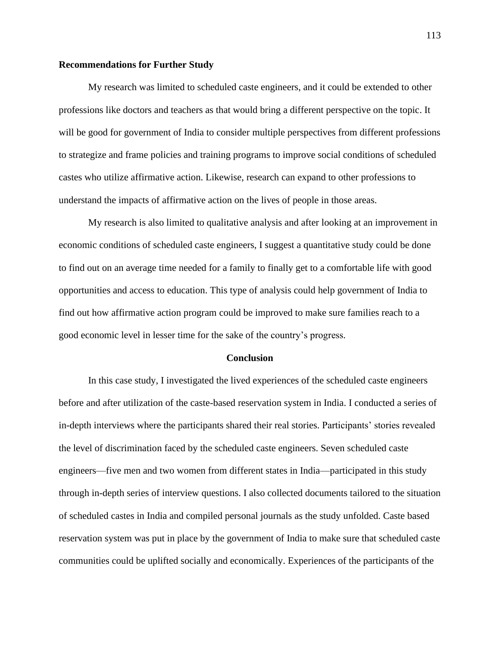#### **Recommendations for Further Study**

My research was limited to scheduled caste engineers, and it could be extended to other professions like doctors and teachers as that would bring a different perspective on the topic. It will be good for government of India to consider multiple perspectives from different professions to strategize and frame policies and training programs to improve social conditions of scheduled castes who utilize affirmative action. Likewise, research can expand to other professions to understand the impacts of affirmative action on the lives of people in those areas.

My research is also limited to qualitative analysis and after looking at an improvement in economic conditions of scheduled caste engineers, I suggest a quantitative study could be done to find out on an average time needed for a family to finally get to a comfortable life with good opportunities and access to education. This type of analysis could help government of India to find out how affirmative action program could be improved to make sure families reach to a good economic level in lesser time for the sake of the country's progress.

#### **Conclusion**

In this case study, I investigated the lived experiences of the scheduled caste engineers before and after utilization of the caste-based reservation system in India. I conducted a series of in-depth interviews where the participants shared their real stories. Participants' stories revealed the level of discrimination faced by the scheduled caste engineers. Seven scheduled caste engineers—five men and two women from different states in India—participated in this study through in-depth series of interview questions. I also collected documents tailored to the situation of scheduled castes in India and compiled personal journals as the study unfolded. Caste based reservation system was put in place by the government of India to make sure that scheduled caste communities could be uplifted socially and economically. Experiences of the participants of the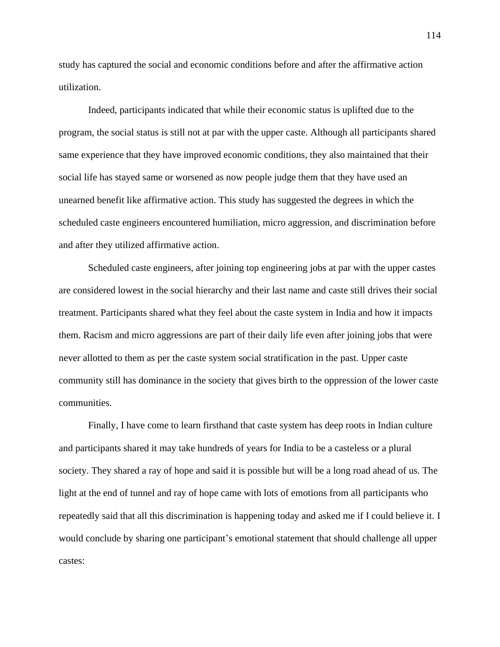study has captured the social and economic conditions before and after the affirmative action utilization.

Indeed, participants indicated that while their economic status is uplifted due to the program, the social status is still not at par with the upper caste. Although all participants shared same experience that they have improved economic conditions, they also maintained that their social life has stayed same or worsened as now people judge them that they have used an unearned benefit like affirmative action. This study has suggested the degrees in which the scheduled caste engineers encountered humiliation, micro aggression, and discrimination before and after they utilized affirmative action.

Scheduled caste engineers, after joining top engineering jobs at par with the upper castes are considered lowest in the social hierarchy and their last name and caste still drives their social treatment. Participants shared what they feel about the caste system in India and how it impacts them. Racism and micro aggressions are part of their daily life even after joining jobs that were never allotted to them as per the caste system social stratification in the past. Upper caste community still has dominance in the society that gives birth to the oppression of the lower caste communities.

Finally, I have come to learn firsthand that caste system has deep roots in Indian culture and participants shared it may take hundreds of years for India to be a casteless or a plural society. They shared a ray of hope and said it is possible but will be a long road ahead of us. The light at the end of tunnel and ray of hope came with lots of emotions from all participants who repeatedly said that all this discrimination is happening today and asked me if I could believe it. I would conclude by sharing one participant's emotional statement that should challenge all upper castes: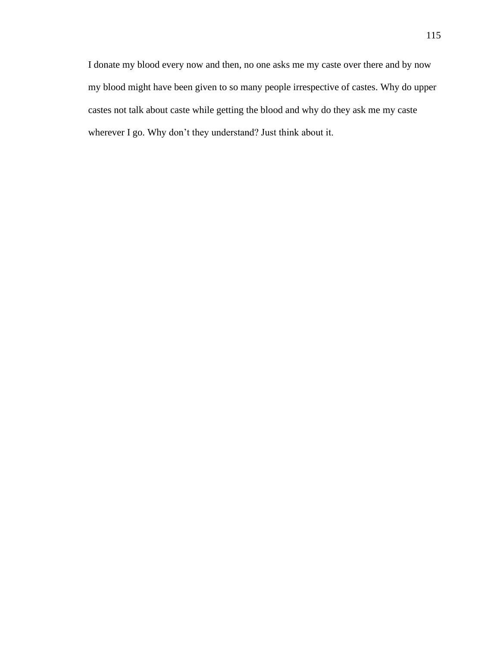I donate my blood every now and then, no one asks me my caste over there and by now my blood might have been given to so many people irrespective of castes. Why do upper castes not talk about caste while getting the blood and why do they ask me my caste wherever I go. Why don't they understand? Just think about it.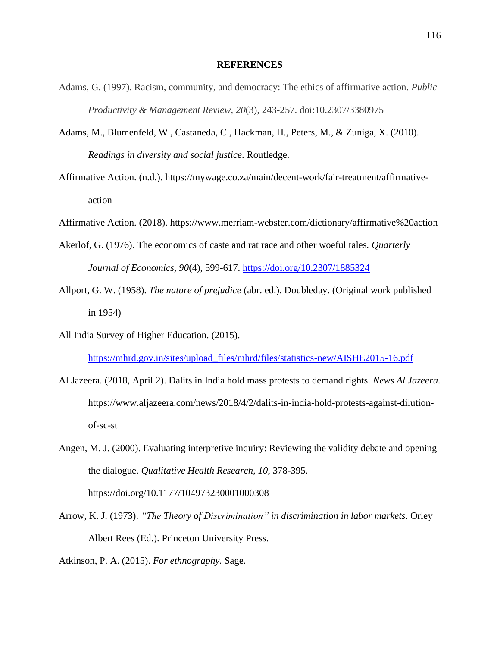#### **REFERENCES**

- Adams, G. (1997). Racism, community, and democracy: The ethics of affirmative action. *Public Productivity & Management Review, 20*(3), 243-257. doi:10.2307/3380975
- Adams, M., Blumenfeld, W., Castaneda, C., Hackman, H., Peters, M., & Zuniga, X. (2010). *Readings in diversity and social justice*. Routledge.
- Affirmative Action. (n.d.). https://mywage.co.za/main/decent-work/fair-treatment/affirmativeaction
- Affirmative Action. (2018). https://www.merriam-webster.com/dictionary/affirmative%20action
- Akerlof, G. (1976). The economics of caste and rat race and other woeful tales*. Quarterly Journal of Economics, 90*(4), 599-617. https://doi.org/10.2307/1885324
- Allport, G. W. (1958). *The nature of prejudice* (abr. ed.). Doubleday. (Original work published in 1954)
- All India Survey of Higher Education. (2015). https://mhrd.gov.in/sites/upload\_files/mhrd/files/statistics-new/AISHE2015-16.pdf
- Al Jazeera. (2018, April 2). Dalits in India hold mass protests to demand rights. *News Al Jazeera.* https://www.aljazeera.com/news/2018/4/2/dalits-in-india-hold-protests-against-dilutionof-sc-st
- Angen, M. J. (2000). Evaluating interpretive inquiry: Reviewing the validity debate and opening the dialogue. *Qualitative Health Research*, *10*, 378-395. https://doi.org/10.1177/104973230001000308
- Arrow, K. J. (1973). *"The Theory of Discrimination" in discrimination in labor markets*. Orley Albert Rees (Ed.). Princeton University Press.

Atkinson, P. A. (2015). *For ethnography.* Sage.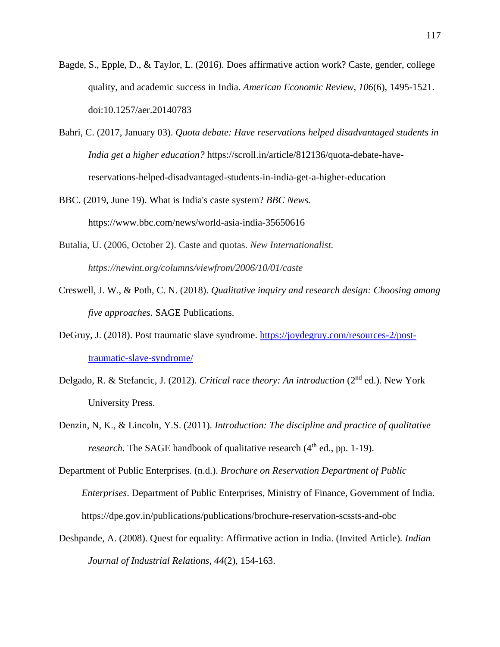- Bagde, S., Epple, D., & Taylor, L. (2016). Does affirmative action work? Caste, gender, college quality, and academic success in India. *American Economic Review, 106*(6), 1495-1521. doi:10.1257/aer.20140783
- Bahri, C. (2017, January 03). *Quota debate: Have reservations helped disadvantaged students in India get a higher education?* https://scroll.in/article/812136/quota-debate-havereservations-helped-disadvantaged-students-in-india-get-a-higher-education
- BBC. (2019, June 19). What is India's caste system? *BBC News.* https://www.bbc.com/news/world-asia-india-35650616
- Butalia, U. (2006, October 2). Caste and quotas. *New Internationalist. https://newint.org/columns/viewfrom/2006/10/01/caste*
- Creswell, J. W., & Poth, C. N. (2018). *Qualitative inquiry and research design: Choosing among five approaches*. SAGE Publications.
- DeGruy, J. (2018). Post traumatic slave syndrome. https://joydegruy.com/resources-2/posttraumatic-slave-syndrome/
- Delgado, R. & Stefancic, J. (2012). *Critical race theory: An introduction* (2nd ed.). New York University Press.
- Denzin, N, K., & Lincoln, Y.S. (2011). *Introduction: The discipline and practice of qualitative research*. The SAGE handbook of qualitative research  $(4<sup>th</sup>$  ed., pp. 1-19).
- Department of Public Enterprises. (n.d.). *Brochure on Reservation Department of Public Enterprises*. Department of Public Enterprises, Ministry of Finance, Government of India. https://dpe.gov.in/publications/publications/brochure-reservation-scssts-and-obc
- Deshpande, A. (2008). Quest for equality: Affirmative action in India. (Invited Article). *Indian Journal of Industrial Relations, 44*(2), 154-163.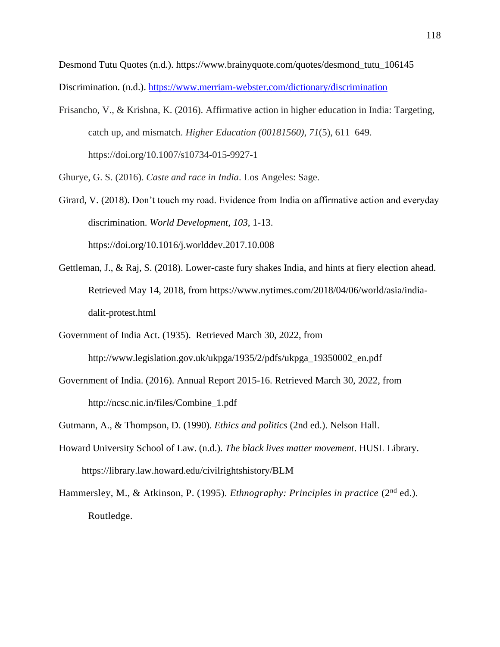Desmond Tutu Quotes (n.d.). https://www.brainyquote.com/quotes/desmond\_tutu\_106145

Discrimination. (n.d.). https://www.merriam-webster.com/dictionary/discrimination

Frisancho, V., & Krishna, K. (2016). Affirmative action in higher education in India: Targeting, catch up, and mismatch. *Higher Education (00181560)*, *71*(5), 611–649. https://doi.org/10.1007/s10734-015-9927-1

Ghurye, G. S. (2016). *Caste and race in India*. Los Angeles: Sage.

- Girard, V. (2018). Don't touch my road. Evidence from India on affirmative action and everyday discrimination. *World Development, 103*, 1-13. https://doi.org/10.1016/j.worlddev.2017.10.008
- Gettleman, J., & Raj, S. (2018). Lower-caste fury shakes India, and hints at fiery election ahead. Retrieved May 14, 2018, from https://www.nytimes.com/2018/04/06/world/asia/indiadalit-protest.html
- Government of India Act. (1935). Retrieved March 30, 2022, from http://www.legislation.gov.uk/ukpga/1935/2/pdfs/ukpga\_19350002\_en.pdf
- Government of India. (2016). Annual Report 2015-16. Retrieved March 30, 2022, from http://ncsc.nic.in/files/Combine\_1.pdf
- Gutmann, A., & Thompson, D. (1990). *Ethics and politics* (2nd ed.). Nelson Hall.
- Howard University School of Law. (n.d.). *The black lives matter movement*. HUSL Library. https://library.law.howard.edu/civilrightshistory/BLM
- Hammersley, M., & Atkinson, P. (1995). *Ethnography: Principles in practice* (2<sup>nd</sup> ed.). Routledge.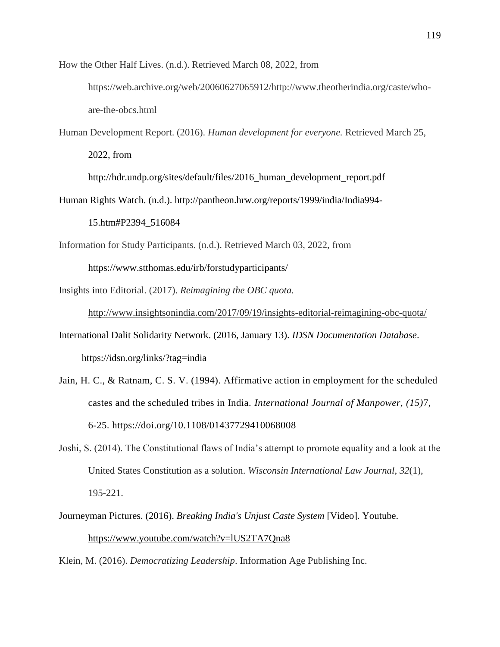How the Other Half Lives. (n.d.). Retrieved March 08, 2022, from

https://web.archive.org/web/20060627065912/http://www.theotherindia.org/caste/whoare-the-obcs.html

Human Development Report. (2016). *Human development for everyone.* Retrieved March 25, 2022, from

http://hdr.undp.org/sites/default/files/2016\_human\_development\_report.pdf

Human Rights Watch. (n.d.). http://pantheon.hrw.org/reports/1999/india/India994-

15.htm#P2394\_516084

Information for Study Participants. (n.d.). Retrieved March 03, 2022, from

https://www.stthomas.edu/irb/forstudyparticipants/

Insights into Editorial. (2017). *Reimagining the OBC quota.*

http://www.insightsonindia.com/2017/09/19/insights-editorial-reimagining-obc-quota/

International Dalit Solidarity Network. (2016, January 13). *IDSN Documentation Database*. https://idsn.org/links/?tag=india

- Jain, H. C., & Ratnam, C. S. V. (1994). Affirmative action in employment for the scheduled castes and the scheduled tribes in India. *International Journal of Manpower, (15)*7, 6-25. https://doi.org/10.1108/01437729410068008
- Joshi, S. (2014). The Constitutional flaws of India's attempt to promote equality and a look at the United States Constitution as a solution. *Wisconsin International Law Journal*, *32*(1), 195-221.
- Journeyman Pictures. (2016). *Breaking India's Unjust Caste System* [Video]. Youtube. https://www.youtube.com/watch?v=lUS2TA7Qna8

Klein, M. (2016). *Democratizing Leadership*. Information Age Publishing Inc.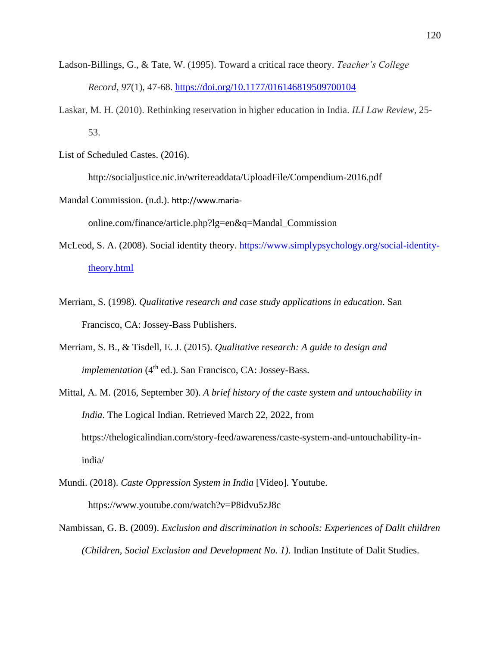- Ladson-Billings, G., & Tate, W. (1995). Toward a critical race theory. *Teacher's College Record, 97*(1), 47-68. https://doi.org/10.1177/016146819509700104
- Laskar, M. H. (2010). Rethinking reservation in higher education in India. *ILI Law Review*, 25- 53.
- List of Scheduled Castes. (2016). http://socialjustice.nic.in/writereaddata/UploadFile/Compendium-2016.pdf Mandal Commission. (n.d.). http://www.maria-

online.com/finance/article.php?lg=en&q=Mandal\_Commission

- McLeod, S. A. (2008). Social identity theory. https://www.simplypsychology.org/social-identitytheory.html
- Merriam, S. (1998). *Qualitative research and case study applications in education*. San Francisco, CA: Jossey-Bass Publishers.
- Merriam, S. B., & Tisdell, E. J. (2015). *Qualitative research: A guide to design and implementation* (4<sup>th</sup> ed.). San Francisco, CA: Jossey-Bass.
- Mittal, A. M. (2016, September 30). *A brief history of the caste system and untouchability in India*. The Logical Indian. Retrieved March 22, 2022, from https://thelogicalindian.com/story-feed/awareness/caste-system-and-untouchability-inindia/
- Mundi. (2018). *Caste Oppression System in India* [Video]. Youtube. https://www.youtube.com/watch?v=P8idvu5zJ8c
- Nambissan, G. B. (2009). *Exclusion and discrimination in schools: Experiences of Dalit children (Children, Social Exclusion and Development No. 1).* Indian Institute of Dalit Studies.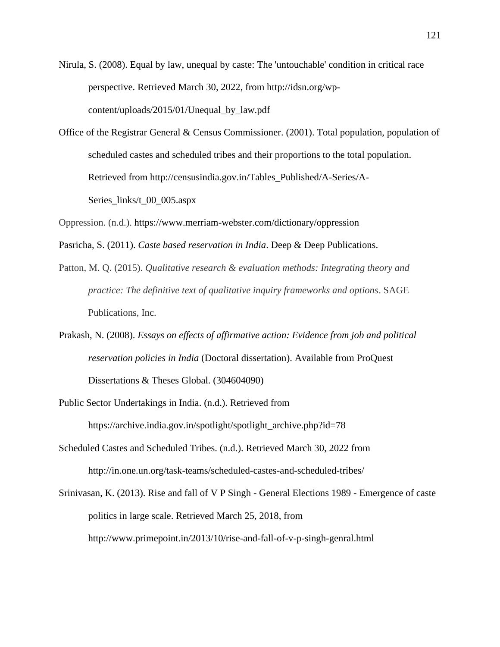Nirula, S. (2008). Equal by law, unequal by caste: The 'untouchable' condition in critical race perspective. Retrieved March 30, 2022, from http://idsn.org/wpcontent/uploads/2015/01/Unequal\_by\_law.pdf

- Office of the Registrar General & Census Commissioner. (2001). Total population, population of scheduled castes and scheduled tribes and their proportions to the total population. Retrieved from http://censusindia.gov.in/Tables\_Published/A-Series/A-Series\_links/t\_00\_005.aspx
- Oppression. (n.d.). https://www.merriam-webster.com/dictionary/oppression

Pasricha, S. (2011). *Caste based reservation in India*. Deep & Deep Publications.

- Patton, M. Q. (2015). *Qualitative research & evaluation methods: Integrating theory and practice: The definitive text of qualitative inquiry frameworks and options*. SAGE Publications, Inc.
- Prakash, N. (2008). *Essays on effects of affirmative action: Evidence from job and political reservation policies in India* (Doctoral dissertation). Available from ProQuest Dissertations & Theses Global. (304604090)
- Public Sector Undertakings in India. (n.d.). Retrieved from https://archive.india.gov.in/spotlight/spotlight\_archive.php?id=78
- Scheduled Castes and Scheduled Tribes. (n.d.). Retrieved March 30, 2022 from http://in.one.un.org/task-teams/scheduled-castes-and-scheduled-tribes/
- Srinivasan, K. (2013). Rise and fall of V P Singh General Elections 1989 Emergence of caste politics in large scale. Retrieved March 25, 2018, from http://www.primepoint.in/2013/10/rise-and-fall-of-v-p-singh-genral.html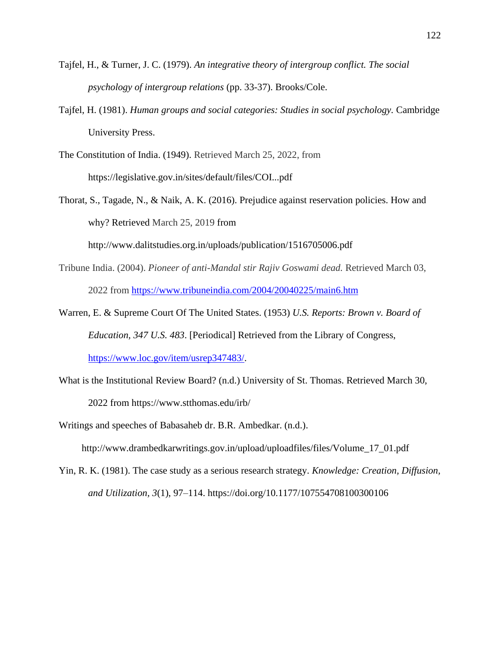- Tajfel, H., & Turner, J. C. (1979). *An integrative theory of intergroup conflict. The social psychology of intergroup relations* (pp. 33-37). Brooks/Cole.
- Tajfel, H. (1981). *Human groups and social categories: Studies in social psychology.* Cambridge University Press.
- The Constitution of India. (1949). Retrieved March 25, 2022, from https://legislative.gov.in/sites/default/files/COI...pdf
- Thorat, S., Tagade, N., & Naik, A. K. (2016). Prejudice against reservation policies. How and why? Retrieved March 25, 2019 from

http://www.dalitstudies.org.in/uploads/publication/1516705006.pdf

- Tribune India. (2004). *Pioneer of anti-Mandal stir Rajiv Goswami dead.* Retrieved March 03, 2022 from https://www.tribuneindia.com/2004/20040225/main6.htm
- Warren, E. & Supreme Court Of The United States. (1953) *U.S. Reports: Brown v. Board of Education, 347 U.S. 483*. [Periodical] Retrieved from the Library of Congress, https://www.loc.gov/item/usrep347483/.
- What is the Institutional Review Board? (n.d.) University of St. Thomas. Retrieved March 30, 2022 from https://www.stthomas.edu/irb/
- Writings and speeches of Babasaheb dr. B.R. Ambedkar. (n.d.).

http://www.drambedkarwritings.gov.in/upload/uploadfiles/files/Volume\_17\_01.pdf

Yin, R. K. (1981). The case study as a serious research strategy. *Knowledge: Creation, Diffusion, and Utilization, 3*(1), 97–114. https://doi.org/10.1177/107554708100300106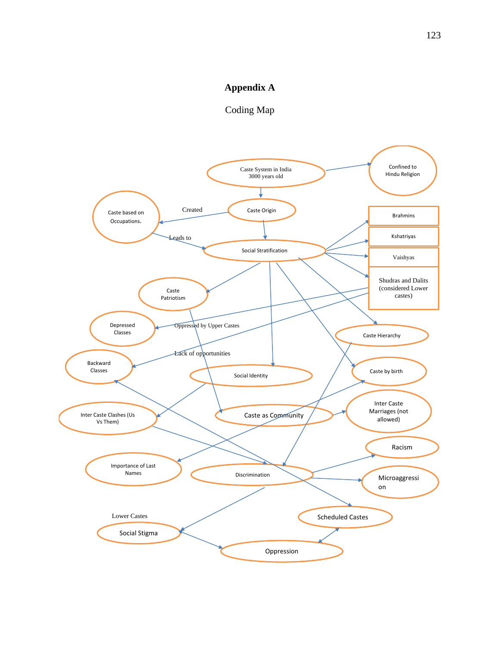## **Appendix A**

Coding Map

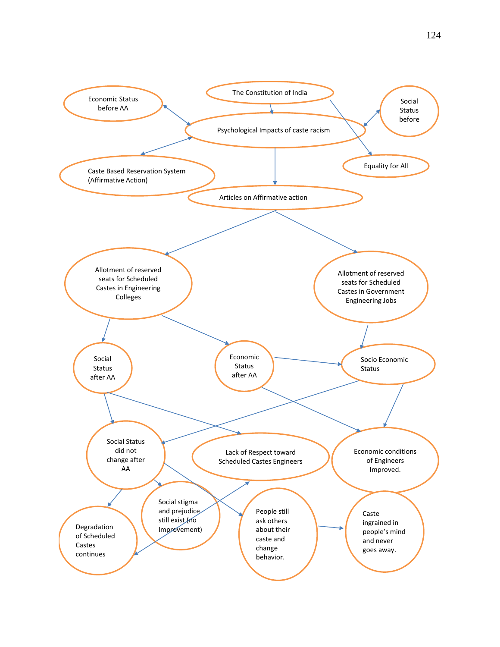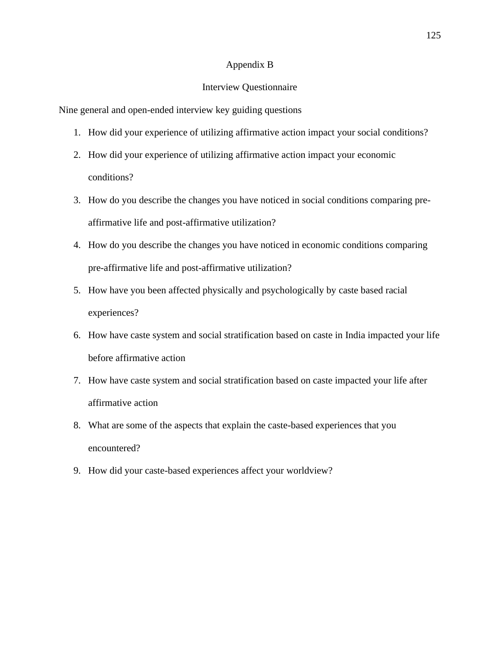### Appendix B

### Interview Questionnaire

Nine general and open-ended interview key guiding questions

- 1. How did your experience of utilizing affirmative action impact your social conditions?
- 2. How did your experience of utilizing affirmative action impact your economic conditions?
- 3. How do you describe the changes you have noticed in social conditions comparing preaffirmative life and post-affirmative utilization?
- 4. How do you describe the changes you have noticed in economic conditions comparing pre-affirmative life and post-affirmative utilization?
- 5. How have you been affected physically and psychologically by caste based racial experiences?
- 6. How have caste system and social stratification based on caste in India impacted your life before affirmative action
- 7. How have caste system and social stratification based on caste impacted your life after affirmative action
- 8. What are some of the aspects that explain the caste-based experiences that you encountered?
- 9. How did your caste-based experiences affect your worldview?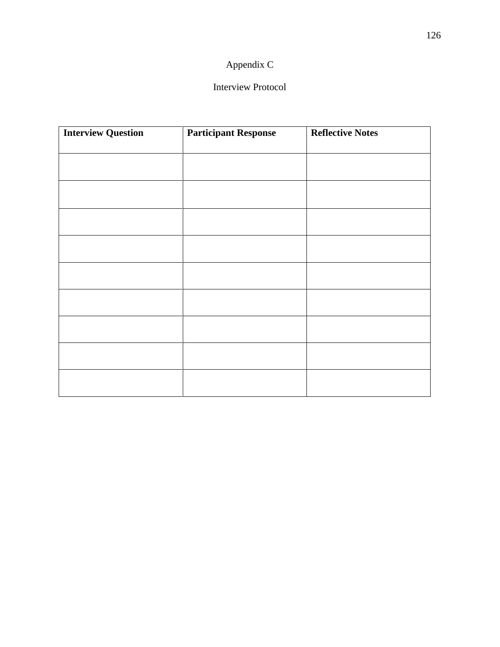# Appendix C

## Interview Protocol

| <b>Participant Response</b> | <b>Reflective Notes</b> |
|-----------------------------|-------------------------|
|                             |                         |
|                             |                         |
|                             |                         |
|                             |                         |
|                             |                         |
|                             |                         |
|                             |                         |
|                             |                         |
|                             |                         |
|                             |                         |
|                             |                         |
|                             |                         |
|                             |                         |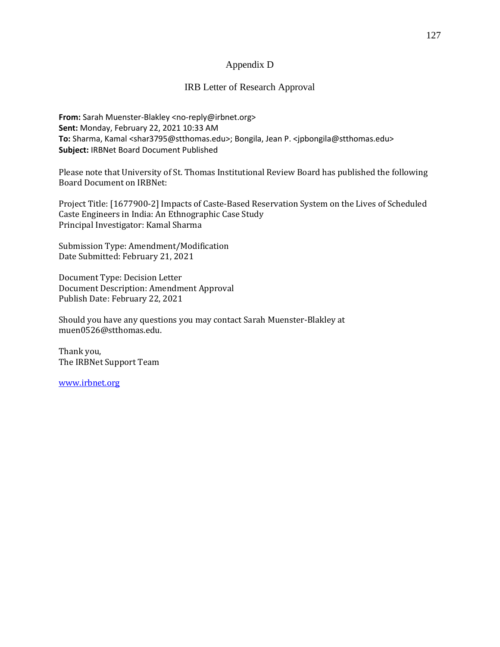## Appendix D

## IRB Letter of Research Approval

**From:** Sarah Muenster-Blakley <no-reply@irbnet.org> **Sent:** Monday, February 22, 2021 10:33 AM **To:** Sharma, Kamal <shar3795@stthomas.edu>; Bongila, Jean P. <jpbongila@stthomas.edu> **Subject:** IRBNet Board Document Published

Please note that University of St. Thomas Institutional Review Board has published the following Board Document on IRBNet:

Project Title: [1677900-2] Impacts of Caste-Based Reservation System on the Lives of Scheduled Caste Engineers in India: An Ethnographic Case Study Principal Investigator: Kamal Sharma

Submission Type: Amendment/Modification Date Submitted: February 21, 2021

Document Type: Decision Letter Document Description: Amendment Approval Publish Date: February 22, 2021

Should you have any questions you may contact Sarah Muenster-Blakley at muen0526@stthomas.edu.

Thank you, The IRBNet Support Team

www.irbnet.org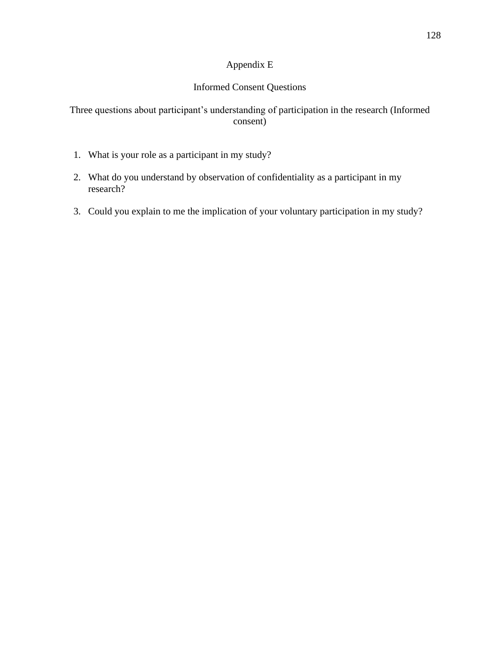# Appendix E

## Informed Consent Questions

## Three questions about participant's understanding of participation in the research (Informed consent)

- 1. What is your role as a participant in my study?
- 2. What do you understand by observation of confidentiality as a participant in my research?
- 3. Could you explain to me the implication of your voluntary participation in my study?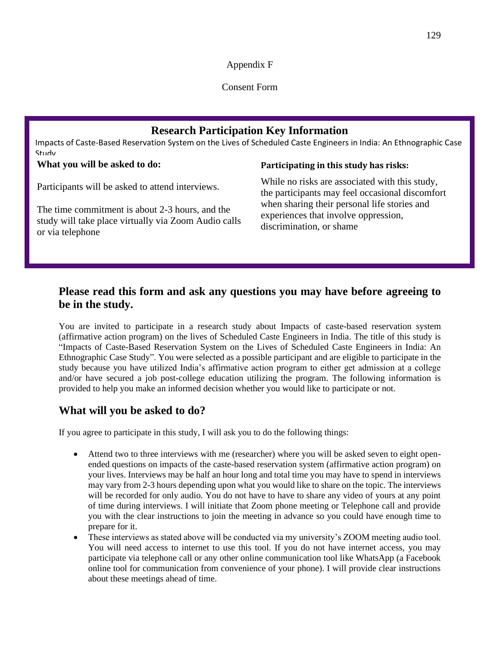Appendix F

Consent Form

# **Research Participation Key Information**

Impacts of Caste-Based Reservation System on the Lives of Scheduled Caste Engineers in India: An Ethnographic Case Study

## **What you will be asked to do:**

**Participating in this study has risks:** 

Participants will be asked to attend interviews.

The time commitment is about 2-3 hours, and the study will take place virtually via Zoom Audio calls or via telephone

## While no risks are associated with this study, the participants may feel occasional discomfort when sharing their personal life stories and experiences that involve oppression, discrimination, or shame

# **Please read this form and ask any questions you may have before agreeing to be in the study.**

You are invited to participate in a research study about Impacts of caste-based reservation system (affirmative action program) on the lives of Scheduled Caste Engineers in India. The title of this study is "Impacts of Caste-Based Reservation System on the Lives of Scheduled Caste Engineers in India: An Ethnographic Case Study". You were selected as a possible participant and are eligible to participate in the study because you have utilized India's affirmative action program to either get admission at a college and/or have secured a job post-college education utilizing the program. The following information is provided to help you make an informed decision whether you would like to participate or not.

# **What will you be asked to do?**

If you agree to participate in this study, I will ask you to do the following things:

- Attend two to three interviews with me (researcher) where you will be asked seven to eight openended questions on impacts of the caste-based reservation system (affirmative action program) on your lives. Interviews may be half an hour long and total time you may have to spend in interviews may vary from 2-3 hours depending upon what you would like to share on the topic. The interviews will be recorded for only audio. You do not have to have to share any video of yours at any point of time during interviews. I will initiate that Zoom phone meeting or Telephone call and provide you with the clear instructions to join the meeting in advance so you could have enough time to prepare for it.
- These interviews as stated above will be conducted via my university's ZOOM meeting audio tool. You will need access to internet to use this tool. If you do not have internet access, you may participate via telephone call or any other online communication tool like WhatsApp (a Facebook online tool for communication from convenience of your phone). I will provide clear instructions about these meetings ahead of time.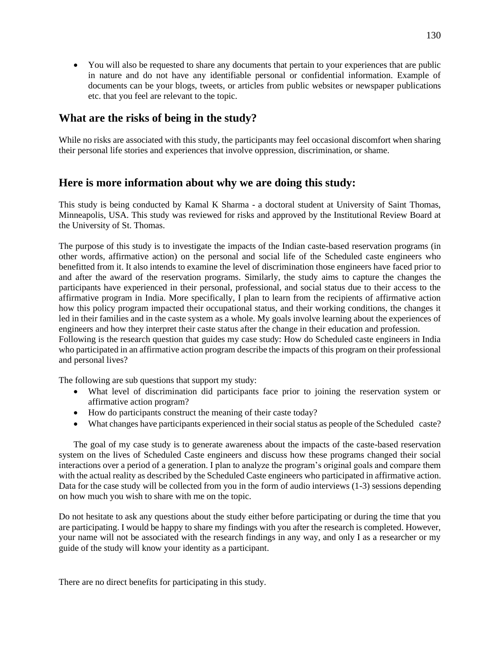• You will also be requested to share any documents that pertain to your experiences that are public in nature and do not have any identifiable personal or confidential information. Example of documents can be your blogs, tweets, or articles from public websites or newspaper publications etc. that you feel are relevant to the topic.

## **What are the risks of being in the study?**

While no risks are associated with this study, the participants may feel occasional discomfort when sharing their personal life stories and experiences that involve oppression, discrimination, or shame.

## **Here is more information about why we are doing this study:**

This study is being conducted by Kamal K Sharma - a doctoral student at University of Saint Thomas, Minneapolis, USA. This study was reviewed for risks and approved by the Institutional Review Board at the University of St. Thomas.

The purpose of this study is to investigate the impacts of the Indian caste-based reservation programs (in other words, affirmative action) on the personal and social life of the Scheduled caste engineers who benefitted from it. It also intends to examine the level of discrimination those engineers have faced prior to and after the award of the reservation programs. Similarly, the study aims to capture the changes the participants have experienced in their personal, professional, and social status due to their access to the affirmative program in India. More specifically, I plan to learn from the recipients of affirmative action how this policy program impacted their occupational status, and their working conditions, the changes it led in their families and in the caste system as a whole. My goals involve learning about the experiences of engineers and how they interpret their caste status after the change in their education and profession. Following is the research question that guides my case study: How do Scheduled caste engineers in India who participated in an affirmative action program describe the impacts of this program on their professional and personal lives?

The following are sub questions that support my study:

- What level of discrimination did participants face prior to joining the reservation system or affirmative action program?
- How do participants construct the meaning of their caste today?
- What changes have participants experienced in their social status as people of the Scheduled caste?

The goal of my case study is to generate awareness about the impacts of the caste-based reservation system on the lives of Scheduled Caste engineers and discuss how these programs changed their social interactions over a period of a generation. I plan to analyze the program's original goals and compare them with the actual reality as described by the Scheduled Caste engineers who participated in affirmative action. Data for the case study will be collected from you in the form of audio interviews (1-3) sessions depending on how much you wish to share with me on the topic.

Do not hesitate to ask any questions about the study either before participating or during the time that you are participating. I would be happy to share my findings with you after the research is completed. However, your name will not be associated with the research findings in any way, and only I as a researcher or my guide of the study will know your identity as a participant.

There are no direct benefits for participating in this study.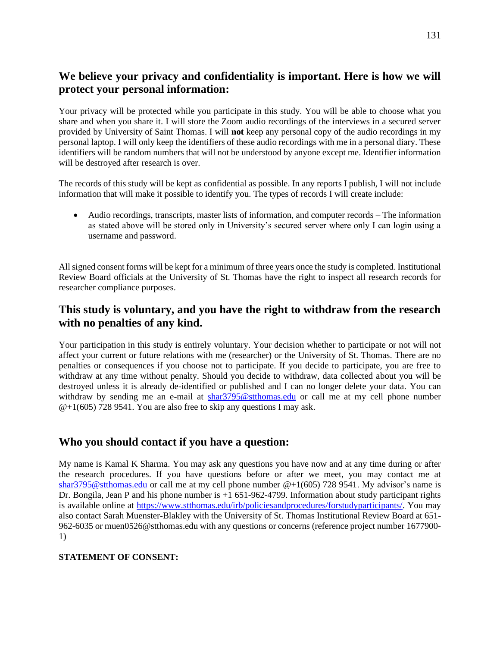# **We believe your privacy and confidentiality is important. Here is how we will protect your personal information:**

Your privacy will be protected while you participate in this study. You will be able to choose what you share and when you share it. I will store the Zoom audio recordings of the interviews in a secured server provided by University of Saint Thomas. I will **not** keep any personal copy of the audio recordings in my personal laptop. I will only keep the identifiers of these audio recordings with me in a personal diary. These identifiers will be random numbers that will not be understood by anyone except me. Identifier information will be destroyed after research is over.

The records of this study will be kept as confidential as possible. In any reports I publish, I will not include information that will make it possible to identify you. The types of records I will create include:

• Audio recordings, transcripts, master lists of information, and computer records – The information as stated above will be stored only in University's secured server where only I can login using a username and password.

All signed consent forms will be kept for a minimum of three years once the study is completed. Institutional Review Board officials at the University of St. Thomas have the right to inspect all research records for researcher compliance purposes.

# **This study is voluntary, and you have the right to withdraw from the research with no penalties of any kind.**

Your participation in this study is entirely voluntary. Your decision whether to participate or not will not affect your current or future relations with me (researcher) or the University of St. Thomas. There are no penalties or consequences if you choose not to participate. If you decide to participate, you are free to withdraw at any time without penalty. Should you decide to withdraw, data collected about you will be destroyed unless it is already de-identified or published and I can no longer delete your data. You can withdraw by sending me an e-mail at shar3795@stthomas.edu or call me at my cell phone number  $\omega$ +1(605) 728 9541. You are also free to skip any questions I may ask.

# **Who you should contact if you have a question:**

My name is Kamal K Sharma. You may ask any questions you have now and at any time during or after the research procedures. If you have questions before or after we meet, you may contact me at shar3795@stthomas.edu or call me at my cell phone number @+1(605) 728 9541. My advisor's name is Dr. Bongila, Jean P and his phone number is +1 651-962-4799. Information about study participant rights is available online at https://www.stthomas.edu/irb/policiesandprocedures/forstudyparticipants/. You may also contact Sarah Muenster-Blakley with the University of St. Thomas Institutional Review Board at 651- 962-6035 or muen0526@stthomas.edu with any questions or concerns (reference project number 1677900- 1)

## **STATEMENT OF CONSENT:**